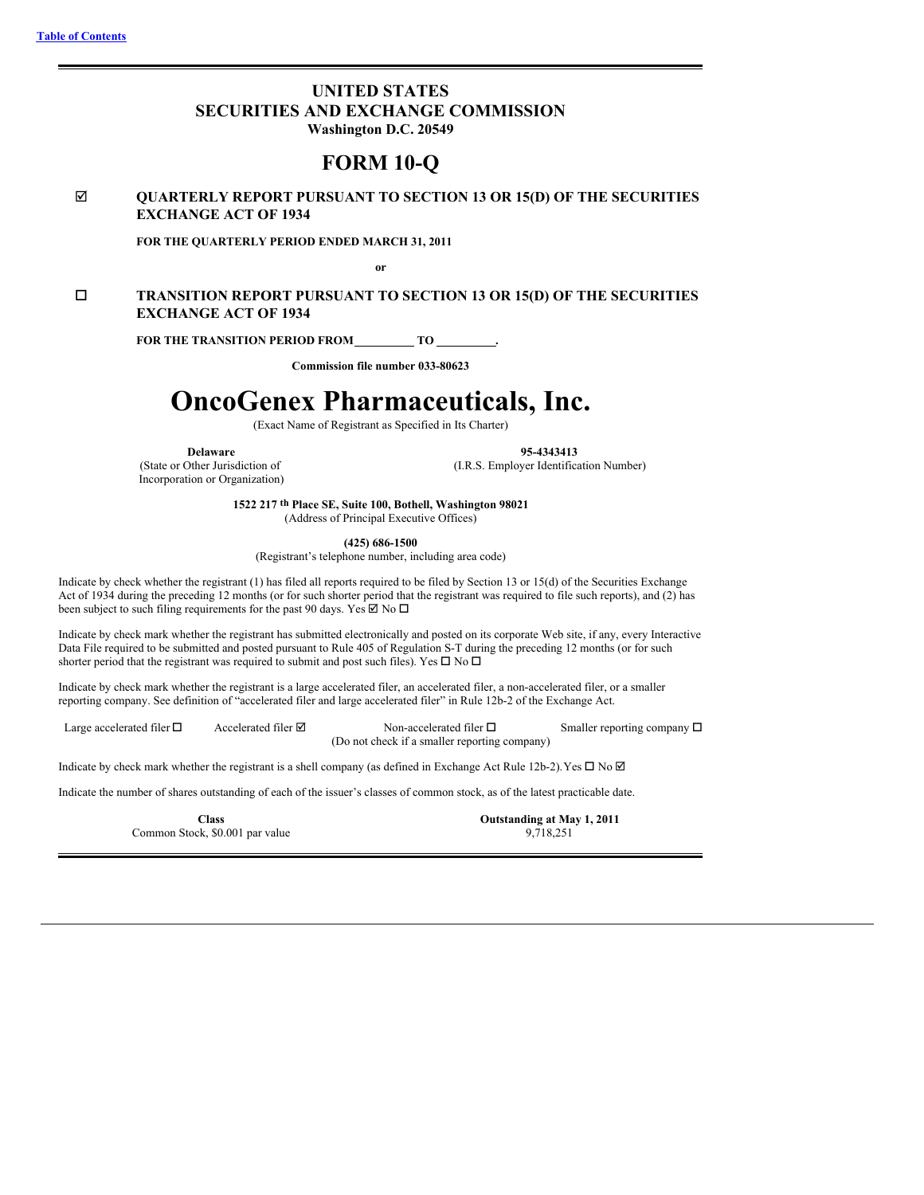# **UNITED STATES SECURITIES AND EXCHANGE COMMISSION**

**Washington D.C. 20549**

# **FORM 10-Q**

# þ **QUARTERLY REPORT PURSUANT TO SECTION 13 OR 15(D) OF THE SECURITIES EXCHANGE ACT OF 1934**

**FOR THE QUARTERLY PERIOD ENDED MARCH 31, 2011**

**or**

# o **TRANSITION REPORT PURSUANT TO SECTION 13 OR 15(D) OF THE SECURITIES EXCHANGE ACT OF 1934**

**FOR THE TRANSITION PERIOD FROM TO .**

**Commission file number 033-80623**

# **OncoGenex Pharmaceuticals, Inc.**

(Exact Name of Registrant as Specified in Its Charter)

(State or Other Jurisdiction of Incorporation or Organization)

**Delaware 95-4343413** (I.R.S. Employer Identification Number)

> **1522 217 th Place SE, Suite 100, Bothell, Washington 98021** (Address of Principal Executive Offices)

> > **(425) 686-1500**

(Registrant's telephone number, including area code)

Indicate by check whether the registrant (1) has filed all reports required to be filed by Section 13 or 15(d) of the Securities Exchange Act of 1934 during the preceding 12 months (or for such shorter period that the registrant was required to file such reports), and (2) has been subject to such filing requirements for the past 90 days. Yes  $\boxtimes$  No  $\square$ 

Indicate by check mark whether the registrant has submitted electronically and posted on its corporate Web site, if any, every Interactive Data File required to be submitted and posted pursuant to Rule 405 of Regulation S-T during the preceding 12 months (or for such shorter period that the registrant was required to submit and post such files). Yes  $\Box$  No  $\Box$ 

Indicate by check mark whether the registrant is a large accelerated filer, an accelerated filer, a non-accelerated filer, or a smaller reporting company. See definition of "accelerated filer and large accelerated filer" in Rule 12b-2 of the Exchange Act.

Large accelerated filer  $\square$  Accelerated filer  $\square$  Non-accelerated filer  $\square$  Smaller reporting company  $\square$ (Do not check if a smaller reporting company)

Indicate by check mark whether the registrant is a shell company (as defined in Exchange Act Rule 12b-2). Yes  $\Box$  No  $\Box$ 

Indicate the number of shares outstanding of each of the issuer's classes of common stock, as of the latest practicable date.

Common Stock, \$0.001 par value 9,718,251

**Class Outstanding at May 1, 2011**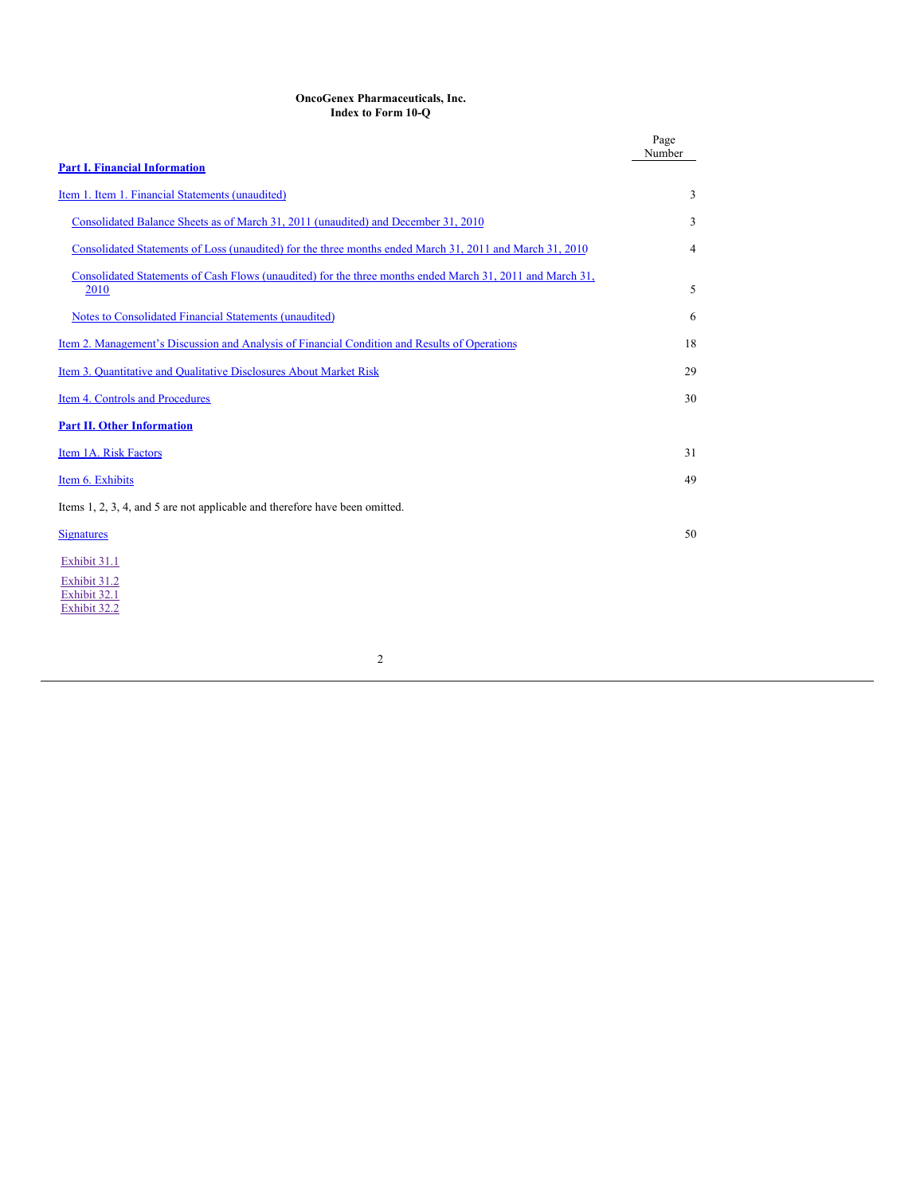### **OncoGenex Pharmaceuticals, Inc. Index to Form 10-Q**

<span id="page-1-0"></span>

|                                                                                                                   | Page<br>Number |
|-------------------------------------------------------------------------------------------------------------------|----------------|
| <b>Part I. Financial Information</b>                                                                              |                |
| Item 1. Item 1. Financial Statements (unaudited)                                                                  | 3              |
| Consolidated Balance Sheets as of March 31, 2011 (unaudited) and December 31, 2010                                | 3              |
| Consolidated Statements of Loss (unaudited) for the three months ended March 31, 2011 and March 31, 2010          | 4              |
| Consolidated Statements of Cash Flows (unaudited) for the three months ended March 31, 2011 and March 31,<br>2010 | 5              |
| Notes to Consolidated Financial Statements (unaudited)                                                            | 6              |
| Item 2. Management's Discussion and Analysis of Financial Condition and Results of Operations                     | 18             |
| Item 3. Quantitative and Qualitative Disclosures About Market Risk                                                | 29             |
| Item 4. Controls and Procedures                                                                                   | 30             |
| <b>Part II. Other Information</b>                                                                                 |                |
| Item 1A. Risk Factors                                                                                             | 31             |
| Item 6. Exhibits                                                                                                  | 49             |
| Items 1, 2, 3, 4, and 5 are not applicable and therefore have been omitted.                                       |                |
| <b>Signatures</b>                                                                                                 | 50             |
| Exhibit 31.1<br>Exhibit 31.2<br>Exhibit 32.1                                                                      |                |
| Exhibit 32.2                                                                                                      |                |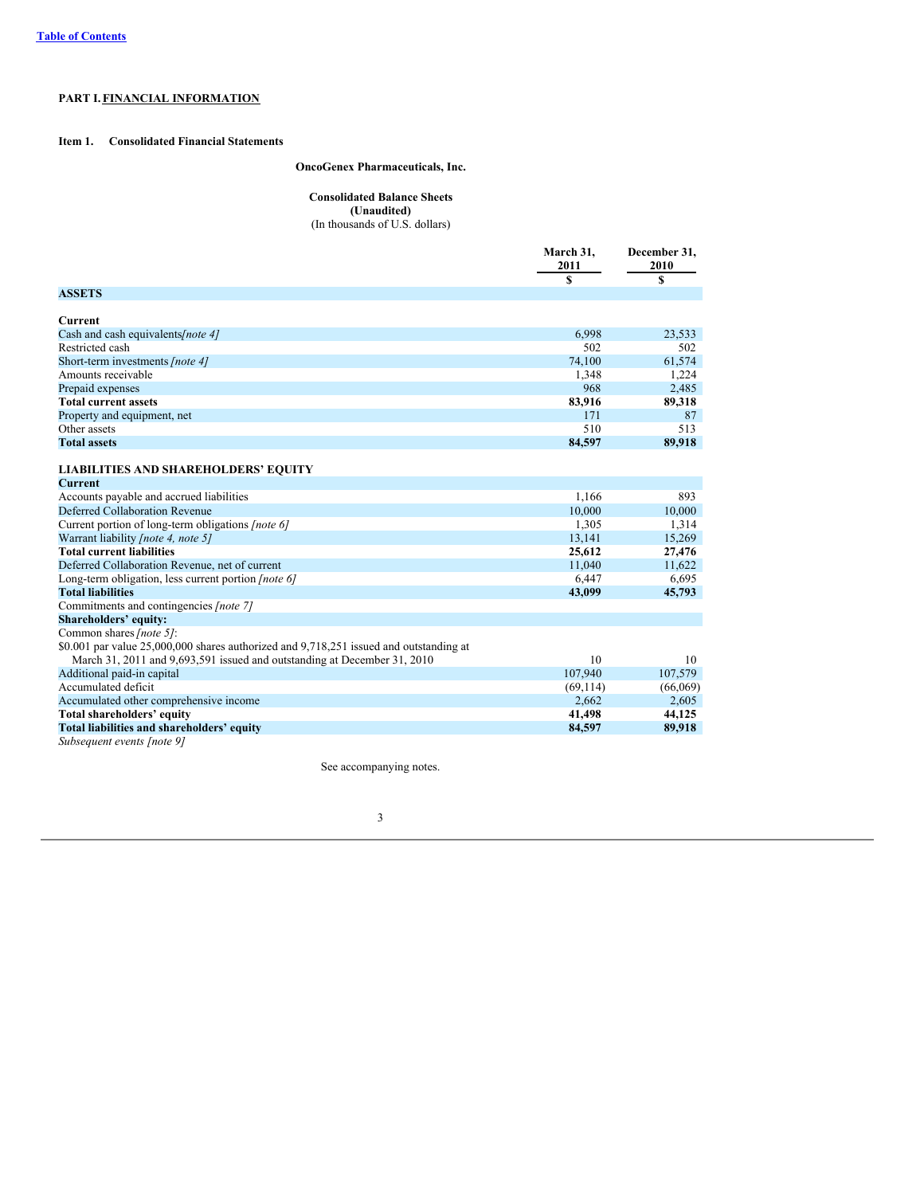# <span id="page-2-1"></span><span id="page-2-0"></span>**PART I. FINANCIAL INFORMATION**

# <span id="page-2-2"></span>**Item 1. Consolidated Financial Statements**

## **OncoGenex Pharmaceuticals, Inc.**

## **Consolidated Balance Sheets**

**(Unaudited)**

(In thousands of U.S. dollars)

|                                                                                             | March 31, | December 31, |
|---------------------------------------------------------------------------------------------|-----------|--------------|
|                                                                                             | 2011      | 2010         |
| <b>ASSETS</b>                                                                               | S         | S            |
|                                                                                             |           |              |
| Current                                                                                     |           |              |
| Cash and cash equivalents/note 4]                                                           | 6,998     | 23,533       |
| Restricted cash                                                                             | 502       | 502          |
| Short-term investments [note 4]                                                             | 74,100    | 61,574       |
| Amounts receivable                                                                          | 1,348     | 1,224        |
| Prepaid expenses                                                                            | 968       | 2,485        |
| <b>Total current assets</b>                                                                 | 83,916    | 89,318       |
| Property and equipment, net                                                                 | 171       | 87           |
| Other assets                                                                                | 510       | 513          |
| <b>Total assets</b>                                                                         | 84,597    | 89,918       |
|                                                                                             |           |              |
| <b>LIABILITIES AND SHAREHOLDERS' EQUITY</b>                                                 |           |              |
| <b>Current</b>                                                                              |           |              |
| Accounts payable and accrued liabilities                                                    | 1,166     | 893          |
| Deferred Collaboration Revenue                                                              | 10.000    | 10.000       |
| Current portion of long-term obligations [note 6]                                           | 1,305     | 1,314        |
| Warrant liability <i>[note 4, note 5]</i>                                                   | 13,141    | 15,269       |
| <b>Total current liabilities</b>                                                            | 25,612    | 27,476       |
| Deferred Collaboration Revenue, net of current                                              | 11,040    | 11,622       |
| Long-term obligation, less current portion [note 6]                                         | 6,447     | 6,695        |
| <b>Total liabilities</b>                                                                    | 43,099    | 45,793       |
| Commitments and contingencies <i>[note 7]</i>                                               |           |              |
| Shareholders' equity:                                                                       |           |              |
| Common shares [note 5]:                                                                     |           |              |
| $$0.001$ par value $25,000,000$ shares authorized and $9,718,251$ issued and outstanding at |           |              |
| March 31, 2011 and 9,693,591 issued and outstanding at December 31, 2010                    | 10        | 10           |
| Additional paid-in capital                                                                  | 107,940   | 107,579      |
| Accumulated deficit                                                                         | (69, 114) | (66,069)     |
| Accumulated other comprehensive income                                                      | 2,662     | 2,605        |
| Total shareholders' equity                                                                  | 41,498    | 44,125       |
| Total liabilities and shareholders' equity                                                  | 84,597    | 89,918       |
| Subsequent events [note 9]                                                                  |           |              |

See accompanying notes.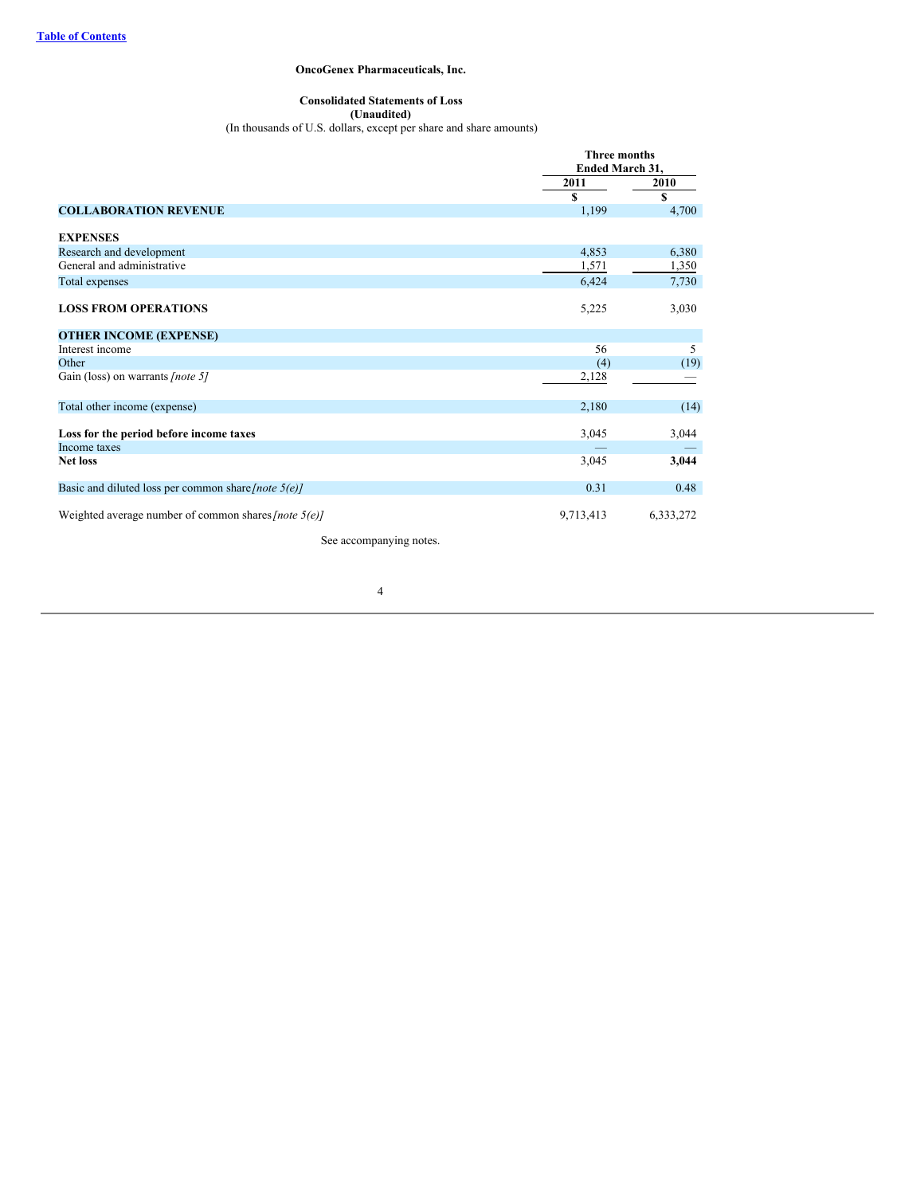# **OncoGenex Pharmaceuticals, Inc.**

## **Consolidated Statements of Loss (Unaudited)**

(In thousands of U.S. dollars, except per share and share amounts)

<span id="page-3-0"></span>

|                                                         |           | <b>Three months</b> |
|---------------------------------------------------------|-----------|---------------------|
|                                                         |           | Ended March 31,     |
|                                                         | 2011      | 2010                |
|                                                         | S         | S                   |
| <b>COLLABORATION REVENUE</b>                            | 1,199     | 4,700               |
| <b>EXPENSES</b>                                         |           |                     |
| Research and development                                | 4,853     | 6,380               |
| General and administrative                              | 1,571     | 1,350               |
| Total expenses                                          | 6,424     | 7,730               |
| <b>LOSS FROM OPERATIONS</b>                             | 5,225     | 3,030               |
| <b>OTHER INCOME (EXPENSE)</b>                           |           |                     |
| Interest income                                         | 56        | 5                   |
| Other                                                   | (4)       | (19)                |
| Gain (loss) on warrants [note 5]                        | 2,128     |                     |
| Total other income (expense)                            | 2,180     | (14)                |
| Loss for the period before income taxes                 | 3,045     | 3,044               |
| Income taxes                                            |           |                     |
| <b>Net loss</b>                                         | 3,045     | 3,044               |
| Basic and diluted loss per common share [note $5(e)$ ]  | 0.31      | 0.48                |
| Weighted average number of common shares [note $5(e)$ ] | 9,713,413 | 6,333,272           |

See accompanying notes.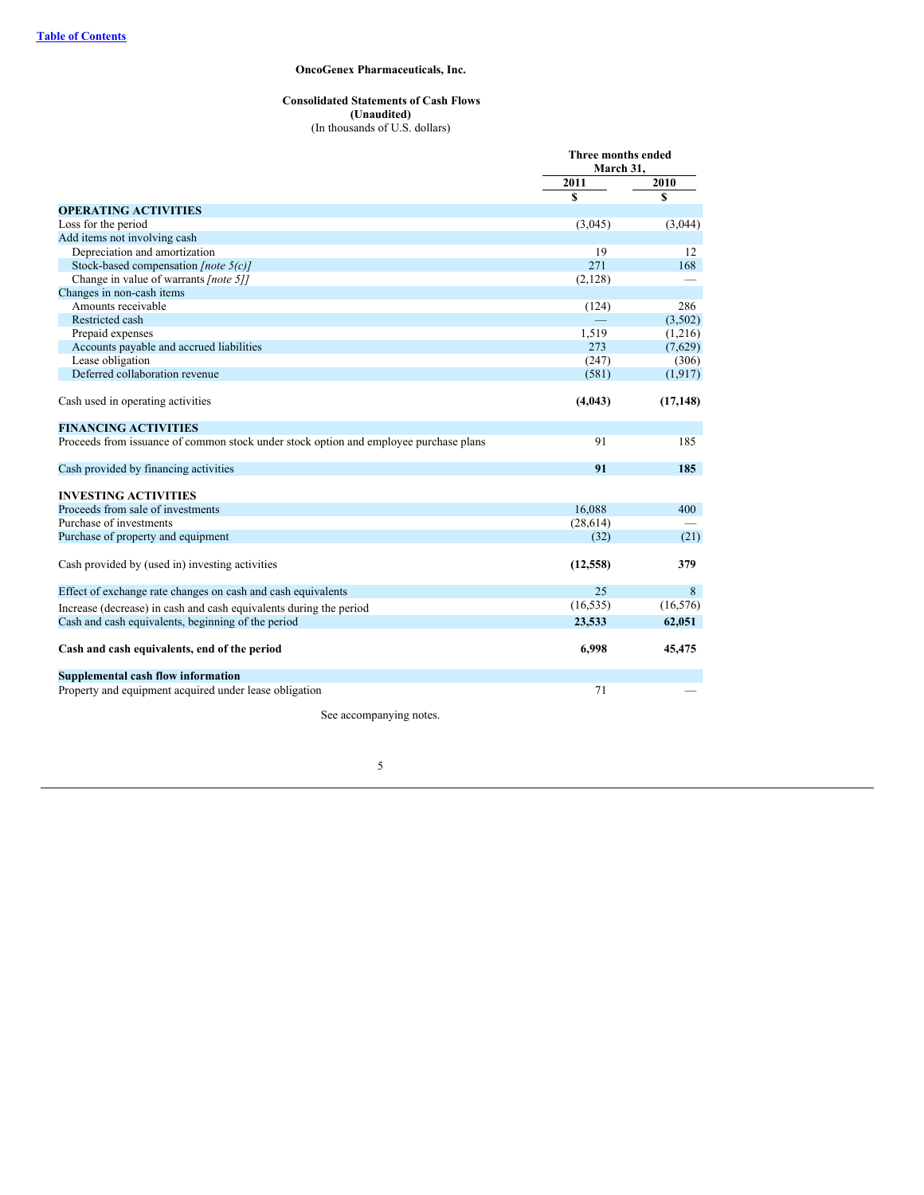# **OncoGenex Pharmaceuticals, Inc.**

## **Consolidated Statements of Cash Flows**

**(Unaudited)** (In thousands of U.S. dollars)

<span id="page-4-0"></span>

|                                                                                       | Three months ended<br>March 31, |           |  |
|---------------------------------------------------------------------------------------|---------------------------------|-----------|--|
|                                                                                       | 2011                            | 2010      |  |
|                                                                                       | \$                              | S         |  |
| <b>OPERATING ACTIVITIES</b>                                                           |                                 |           |  |
| Loss for the period                                                                   | (3,045)                         | (3,044)   |  |
| Add items not involving cash                                                          |                                 |           |  |
| Depreciation and amortization                                                         | 19                              | 12        |  |
| Stock-based compensation [note $5(c)$ ]                                               | 271                             | 168       |  |
| Change in value of warrants [note 5]]                                                 | (2,128)                         |           |  |
| Changes in non-cash items                                                             |                                 |           |  |
| Amounts receivable                                                                    | (124)                           | 286       |  |
| Restricted cash                                                                       |                                 | (3,502)   |  |
| Prepaid expenses                                                                      | 1,519                           | (1,216)   |  |
| Accounts payable and accrued liabilities                                              | 273                             | (7,629)   |  |
| Lease obligation                                                                      | (247)                           | (306)     |  |
| Deferred collaboration revenue                                                        | (581)                           | (1,917)   |  |
| Cash used in operating activities                                                     | (4,043)                         | (17, 148) |  |
| <b>FINANCING ACTIVITIES</b>                                                           |                                 |           |  |
| Proceeds from issuance of common stock under stock option and employee purchase plans | 91                              | 185       |  |
| Cash provided by financing activities                                                 | 91                              | 185       |  |
| <b>INVESTING ACTIVITIES</b>                                                           |                                 |           |  |
| Proceeds from sale of investments                                                     | 16,088                          | 400       |  |
| Purchase of investments                                                               | (28, 614)                       |           |  |
| Purchase of property and equipment                                                    | (32)                            | (21)      |  |
| Cash provided by (used in) investing activities                                       | (12, 558)                       | 379       |  |
| Effect of exchange rate changes on cash and cash equivalents                          | 25                              | 8         |  |
| Increase (decrease) in cash and cash equivalents during the period                    | (16, 535)                       | (16, 576) |  |
| Cash and cash equivalents, beginning of the period                                    | 23,533                          | 62,051    |  |
| Cash and cash equivalents, end of the period                                          | 6,998                           | 45,475    |  |
| <b>Supplemental cash flow information</b>                                             |                                 |           |  |
| Property and equipment acquired under lease obligation                                | 71                              |           |  |

See accompanying notes.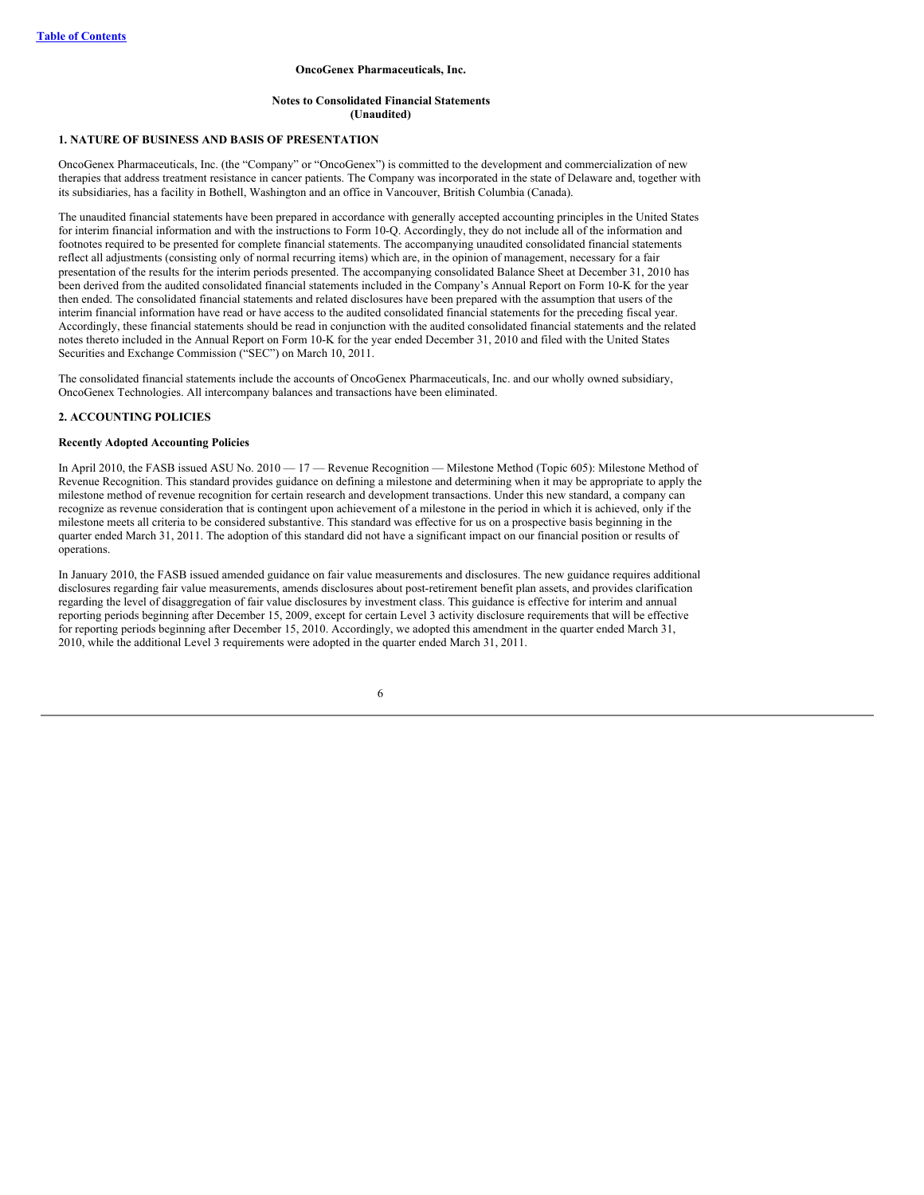#### **OncoGenex Pharmaceuticals, Inc.**

## **Notes to Consolidated Financial Statements (Unaudited)**

## <span id="page-5-0"></span>**1. NATURE OF BUSINESS AND BASIS OF PRESENTATION**

OncoGenex Pharmaceuticals, Inc. (the "Company" or "OncoGenex") is committed to the development and commercialization of new therapies that address treatment resistance in cancer patients. The Company was incorporated in the state of Delaware and, together with its subsidiaries, has a facility in Bothell, Washington and an office in Vancouver, British Columbia (Canada).

The unaudited financial statements have been prepared in accordance with generally accepted accounting principles in the United States for interim financial information and with the instructions to Form 10-Q. Accordingly, they do not include all of the information and footnotes required to be presented for complete financial statements. The accompanying unaudited consolidated financial statements reflect all adjustments (consisting only of normal recurring items) which are, in the opinion of management, necessary for a fair presentation of the results for the interim periods presented. The accompanying consolidated Balance Sheet at December 31, 2010 has been derived from the audited consolidated financial statements included in the Company's Annual Report on Form 10-K for the year then ended. The consolidated financial statements and related disclosures have been prepared with the assumption that users of the interim financial information have read or have access to the audited consolidated financial statements for the preceding fiscal year. Accordingly, these financial statements should be read in conjunction with the audited consolidated financial statements and the related notes thereto included in the Annual Report on Form 10-K for the year ended December 31, 2010 and filed with the United States Securities and Exchange Commission ("SEC") on March 10, 2011.

The consolidated financial statements include the accounts of OncoGenex Pharmaceuticals, Inc. and our wholly owned subsidiary, OncoGenex Technologies. All intercompany balances and transactions have been eliminated.

## **2. ACCOUNTING POLICIES**

## **Recently Adopted Accounting Policies**

In April 2010, the FASB issued ASU No. 2010 — 17 — Revenue Recognition — Milestone Method (Topic 605): Milestone Method of Revenue Recognition. This standard provides guidance on defining a milestone and determining when it may be appropriate to apply the milestone method of revenue recognition for certain research and development transactions. Under this new standard, a company can recognize as revenue consideration that is contingent upon achievement of a milestone in the period in which it is achieved, only if the milestone meets all criteria to be considered substantive. This standard was effective for us on a prospective basis beginning in the quarter ended March 31, 2011. The adoption of this standard did not have a significant impact on our financial position or results of operations.

In January 2010, the FASB issued amended guidance on fair value measurements and disclosures. The new guidance requires additional disclosures regarding fair value measurements, amends disclosures about post-retirement benefit plan assets, and provides clarification regarding the level of disaggregation of fair value disclosures by investment class. This guidance is effective for interim and annual reporting periods beginning after December 15, 2009, except for certain Level 3 activity disclosure requirements that will be effective for reporting periods beginning after December 15, 2010. Accordingly, we adopted this amendment in the quarter ended March 31, 2010, while the additional Level 3 requirements were adopted in the quarter ended March 31, 2011.

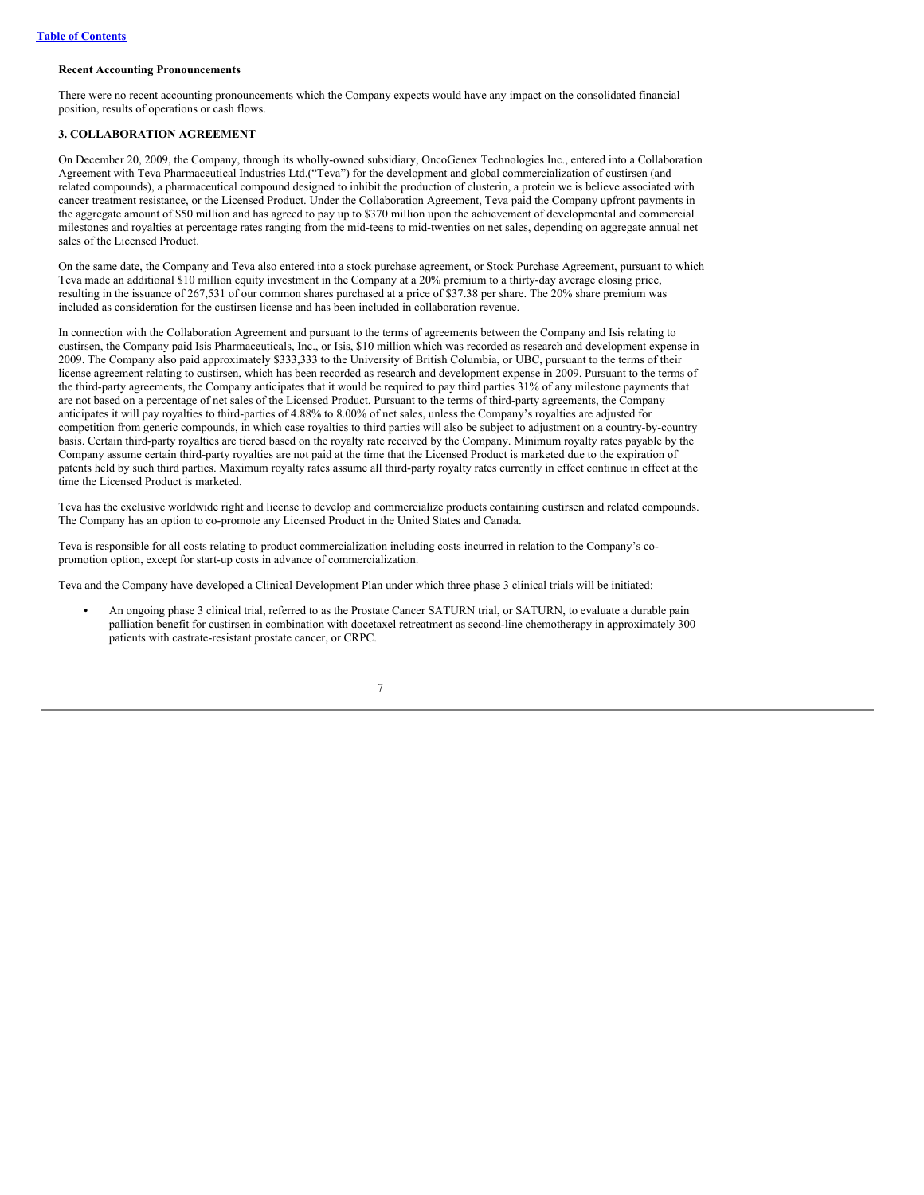#### **Recent Accounting Pronouncements**

There were no recent accounting pronouncements which the Company expects would have any impact on the consolidated financial position, results of operations or cash flows.

# **3. COLLABORATION AGREEMENT**

On December 20, 2009, the Company, through its wholly-owned subsidiary, OncoGenex Technologies Inc., entered into a Collaboration Agreement with Teva Pharmaceutical Industries Ltd.("Teva") for the development and global commercialization of custirsen (and related compounds), a pharmaceutical compound designed to inhibit the production of clusterin, a protein we is believe associated with cancer treatment resistance, or the Licensed Product. Under the Collaboration Agreement, Teva paid the Company upfront payments in the aggregate amount of \$50 million and has agreed to pay up to \$370 million upon the achievement of developmental and commercial milestones and royalties at percentage rates ranging from the mid-teens to mid-twenties on net sales, depending on aggregate annual net sales of the Licensed Product.

On the same date, the Company and Teva also entered into a stock purchase agreement, or Stock Purchase Agreement, pursuant to which Teva made an additional \$10 million equity investment in the Company at a 20% premium to a thirty-day average closing price, resulting in the issuance of 267,531 of our common shares purchased at a price of \$37.38 per share. The 20% share premium was included as consideration for the custirsen license and has been included in collaboration revenue.

In connection with the Collaboration Agreement and pursuant to the terms of agreements between the Company and Isis relating to custirsen, the Company paid Isis Pharmaceuticals, Inc., or Isis, \$10 million which was recorded as research and development expense in 2009. The Company also paid approximately \$333,333 to the University of British Columbia, or UBC, pursuant to the terms of their license agreement relating to custirsen, which has been recorded as research and development expense in 2009. Pursuant to the terms of the third-party agreements, the Company anticipates that it would be required to pay third parties 31% of any milestone payments that are not based on a percentage of net sales of the Licensed Product. Pursuant to the terms of third-party agreements, the Company anticipates it will pay royalties to third-parties of 4.88% to 8.00% of net sales, unless the Company's royalties are adjusted for competition from generic compounds, in which case royalties to third parties will also be subject to adjustment on a country-by-country basis. Certain third-party royalties are tiered based on the royalty rate received by the Company. Minimum royalty rates payable by the Company assume certain third-party royalties are not paid at the time that the Licensed Product is marketed due to the expiration of patents held by such third parties. Maximum royalty rates assume all third-party royalty rates currently in effect continue in effect at the time the Licensed Product is marketed.

Teva has the exclusive worldwide right and license to develop and commercialize products containing custirsen and related compounds. The Company has an option to co-promote any Licensed Product in the United States and Canada.

Teva is responsible for all costs relating to product commercialization including costs incurred in relation to the Company's copromotion option, except for start-up costs in advance of commercialization.

Teva and the Company have developed a Clinical Development Plan under which three phase 3 clinical trials will be initiated:

**•** An ongoing phase 3 clinical trial, referred to as the Prostate Cancer SATURN trial, or SATURN, to evaluate a durable pain palliation benefit for custirsen in combination with docetaxel retreatment as second-line chemotherapy in approximately 300 patients with castrate-resistant prostate cancer, or CRPC.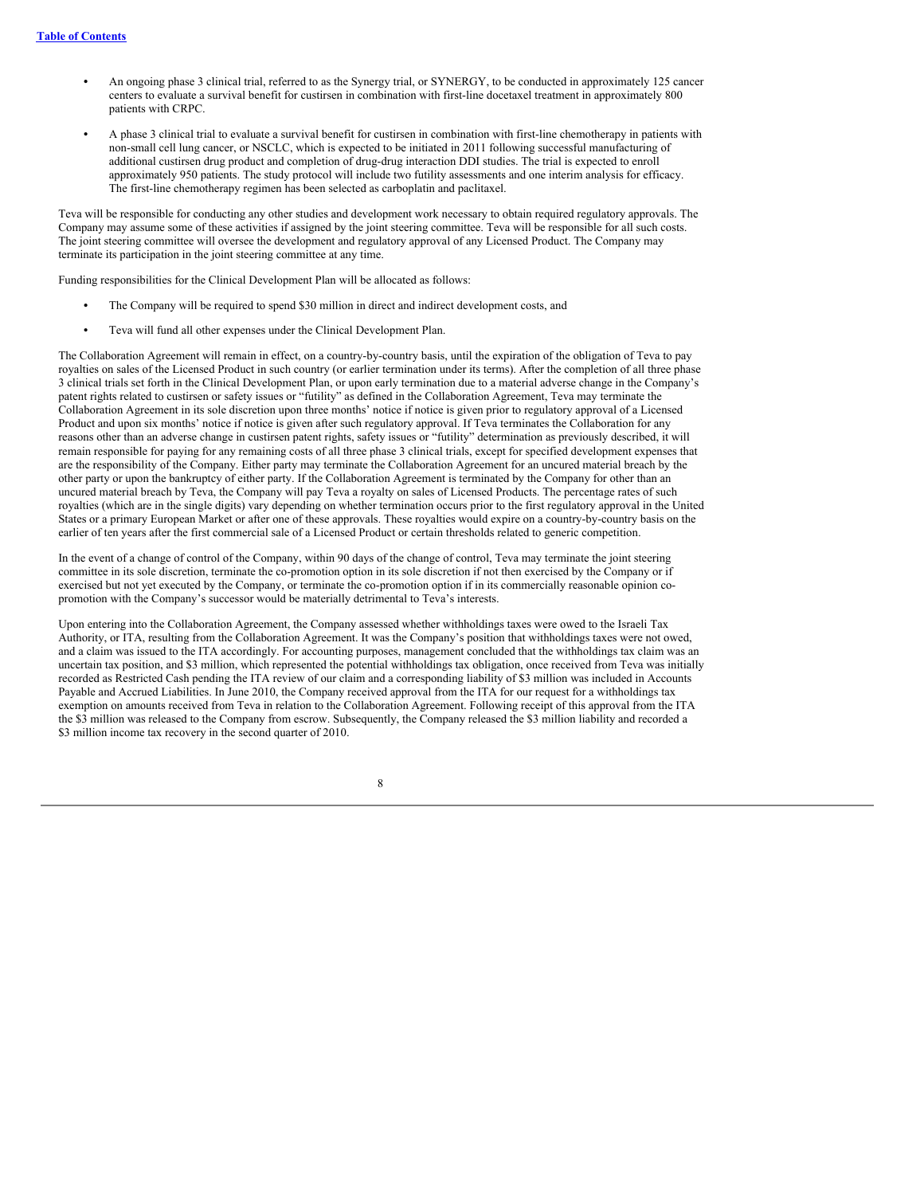- **•** An ongoing phase 3 clinical trial, referred to as the Synergy trial, or SYNERGY, to be conducted in approximately 125 cancer centers to evaluate a survival benefit for custirsen in combination with first-line docetaxel treatment in approximately 800 patients with CRPC.
- **•** A phase 3 clinical trial to evaluate a survival benefit for custirsen in combination with first-line chemotherapy in patients with non-small cell lung cancer, or NSCLC, which is expected to be initiated in 2011 following successful manufacturing of additional custirsen drug product and completion of drug-drug interaction DDI studies. The trial is expected to enroll approximately 950 patients. The study protocol will include two futility assessments and one interim analysis for efficacy. The first-line chemotherapy regimen has been selected as carboplatin and paclitaxel.

Teva will be responsible for conducting any other studies and development work necessary to obtain required regulatory approvals. The Company may assume some of these activities if assigned by the joint steering committee. Teva will be responsible for all such costs. The joint steering committee will oversee the development and regulatory approval of any Licensed Product. The Company may terminate its participation in the joint steering committee at any time.

Funding responsibilities for the Clinical Development Plan will be allocated as follows:

- **•** The Company will be required to spend \$30 million in direct and indirect development costs, and
- **•** Teva will fund all other expenses under the Clinical Development Plan.

The Collaboration Agreement will remain in effect, on a country-by-country basis, until the expiration of the obligation of Teva to pay royalties on sales of the Licensed Product in such country (or earlier termination under its terms). After the completion of all three phase 3 clinical trials set forth in the Clinical Development Plan, or upon early termination due to a material adverse change in the Company's patent rights related to custirsen or safety issues or "futility" as defined in the Collaboration Agreement, Teva may terminate the Collaboration Agreement in its sole discretion upon three months' notice if notice is given prior to regulatory approval of a Licensed Product and upon six months' notice if notice is given after such regulatory approval. If Teva terminates the Collaboration for any reasons other than an adverse change in custirsen patent rights, safety issues or "futility" determination as previously described, it will remain responsible for paying for any remaining costs of all three phase 3 clinical trials, except for specified development expenses that are the responsibility of the Company. Either party may terminate the Collaboration Agreement for an uncured material breach by the other party or upon the bankruptcy of either party. If the Collaboration Agreement is terminated by the Company for other than an uncured material breach by Teva, the Company will pay Teva a royalty on sales of Licensed Products. The percentage rates of such royalties (which are in the single digits) vary depending on whether termination occurs prior to the first regulatory approval in the United States or a primary European Market or after one of these approvals. These royalties would expire on a country-by-country basis on the earlier of ten years after the first commercial sale of a Licensed Product or certain thresholds related to generic competition.

In the event of a change of control of the Company, within 90 days of the change of control, Teva may terminate the joint steering committee in its sole discretion, terminate the co-promotion option in its sole discretion if not then exercised by the Company or if exercised but not yet executed by the Company, or terminate the co-promotion option if in its commercially reasonable opinion copromotion with the Company's successor would be materially detrimental to Teva's interests.

Upon entering into the Collaboration Agreement, the Company assessed whether withholdings taxes were owed to the Israeli Tax Authority, or ITA, resulting from the Collaboration Agreement. It was the Company's position that withholdings taxes were not owed, and a claim was issued to the ITA accordingly. For accounting purposes, management concluded that the withholdings tax claim was an uncertain tax position, and \$3 million, which represented the potential withholdings tax obligation, once received from Teva was initially recorded as Restricted Cash pending the ITA review of our claim and a corresponding liability of \$3 million was included in Accounts Payable and Accrued Liabilities. In June 2010, the Company received approval from the ITA for our request for a withholdings tax exemption on amounts received from Teva in relation to the Collaboration Agreement. Following receipt of this approval from the ITA the \$3 million was released to the Company from escrow. Subsequently, the Company released the \$3 million liability and recorded a \$3 million income tax recovery in the second quarter of 2010.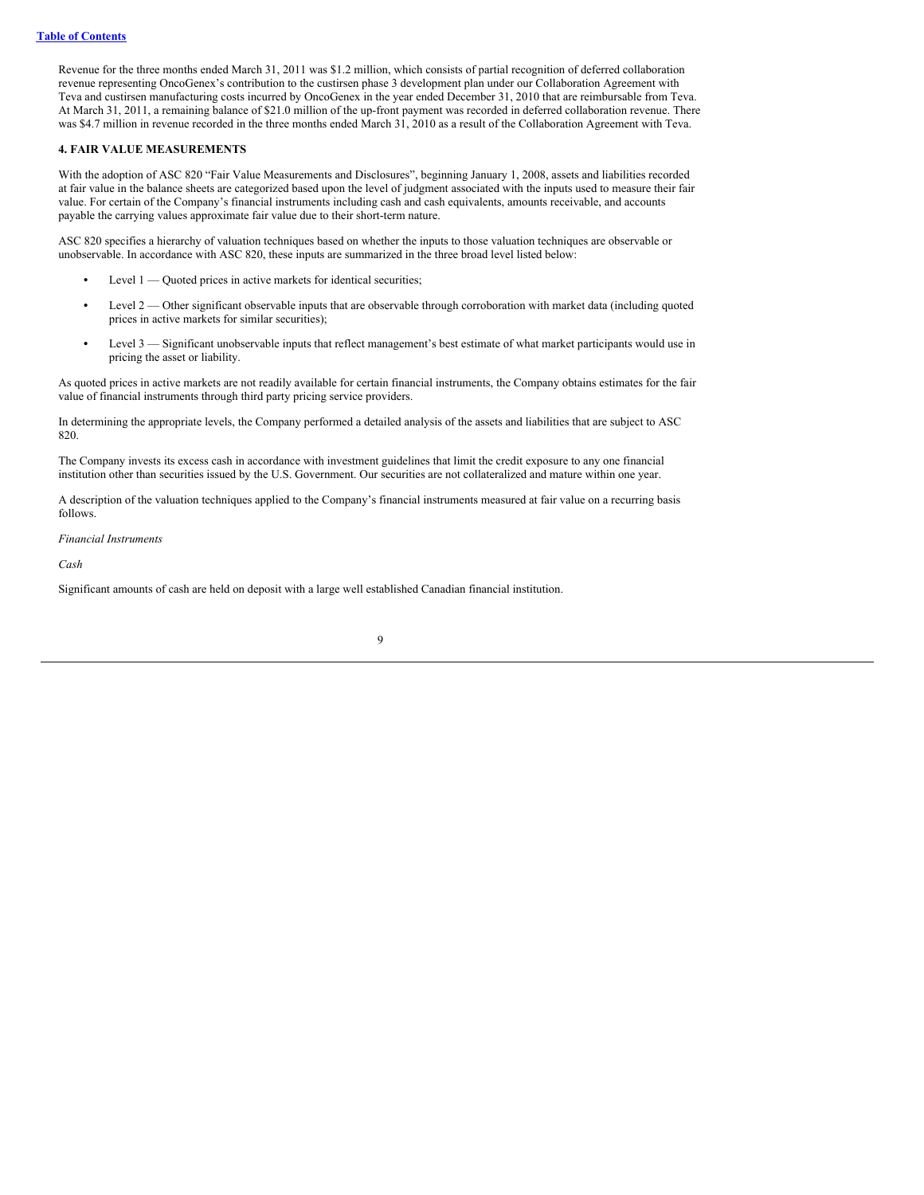Revenue for the three months ended March 31, 2011 was \$1.2 million, which consists of partial recognition of deferred collaboration revenue representing OncoGenex's contribution to the custirsen phase 3 development plan under our Collaboration Agreement with Teva and custirsen manufacturing costs incurred by OncoGenex in the year ended December 31, 2010 that are reimbursable from Teva. At March 31, 2011, a remaining balance of \$21.0 million of the up-front payment was recorded in deferred collaboration revenue. There was \$4.7 million in revenue recorded in the three months ended March 31, 2010 as a result of the Collaboration Agreement with Teva.

## **4. FAIR VALUE MEASUREMENTS**

With the adoption of ASC 820 "Fair Value Measurements and Disclosures", beginning January 1, 2008, assets and liabilities recorded at fair value in the balance sheets are categorized based upon the level of judgment associated with the inputs used to measure their fair value. For certain of the Company's financial instruments including cash and cash equivalents, amounts receivable, and accounts payable the carrying values approximate fair value due to their short-term nature.

ASC 820 specifies a hierarchy of valuation techniques based on whether the inputs to those valuation techniques are observable or unobservable. In accordance with ASC 820, these inputs are summarized in the three broad level listed below:

- Level 1 Quoted prices in active markets for identical securities;
- Level 2 Other significant observable inputs that are observable through corroboration with market data (including quoted prices in active markets for similar securities);
- **•** Level 3 Significant unobservable inputs that reflect management's best estimate of what market participants would use in pricing the asset or liability.

As quoted prices in active markets are not readily available for certain financial instruments, the Company obtains estimates for the fair value of financial instruments through third party pricing service providers.

In determining the appropriate levels, the Company performed a detailed analysis of the assets and liabilities that are subject to ASC 820.

The Company invests its excess cash in accordance with investment guidelines that limit the credit exposure to any one financial institution other than securities issued by the U.S. Government. Our securities are not collateralized and mature within one year.

A description of the valuation techniques applied to the Company's financial instruments measured at fair value on a recurring basis follows.

*Financial Instruments*

*Cash*

Significant amounts of cash are held on deposit with a large well established Canadian financial institution.

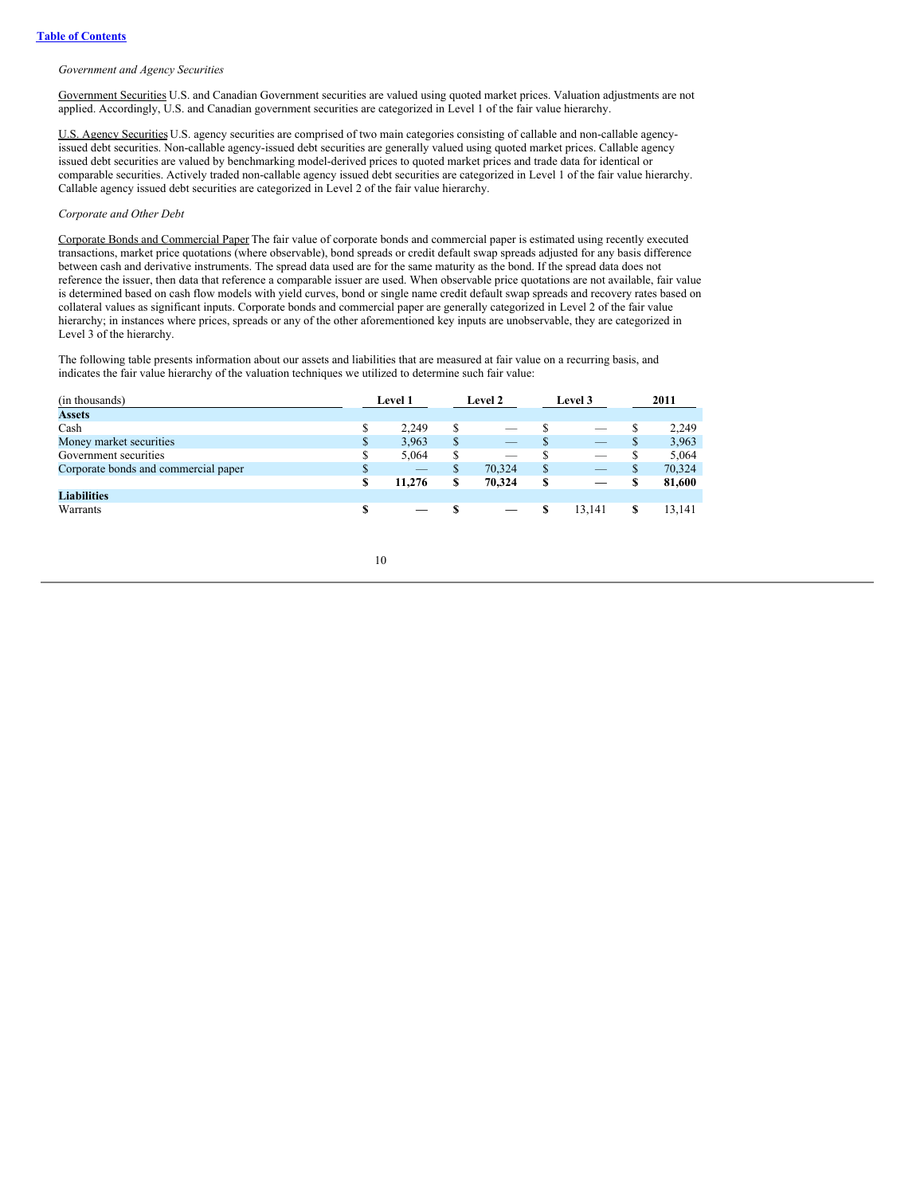#### *Government and Agency Securities*

Government Securities U.S. and Canadian Government securities are valued using quoted market prices. Valuation adjustments are not applied. Accordingly, U.S. and Canadian government securities are categorized in Level 1 of the fair value hierarchy.

U.S. Agency Securities U.S. agency securities are comprised of two main categories consisting of callable and non-callable agencyissued debt securities. Non-callable agency-issued debt securities are generally valued using quoted market prices. Callable agency issued debt securities are valued by benchmarking model-derived prices to quoted market prices and trade data for identical or comparable securities. Actively traded non-callable agency issued debt securities are categorized in Level 1 of the fair value hierarchy. Callable agency issued debt securities are categorized in Level 2 of the fair value hierarchy.

## *Corporate and Other Debt*

Corporate Bonds and Commercial Paper The fair value of corporate bonds and commercial paper is estimated using recently executed transactions, market price quotations (where observable), bond spreads or credit default swap spreads adjusted for any basis difference between cash and derivative instruments. The spread data used are for the same maturity as the bond. If the spread data does not reference the issuer, then data that reference a comparable issuer are used. When observable price quotations are not available, fair value is determined based on cash flow models with yield curves, bond or single name credit default swap spreads and recovery rates based on collateral values as significant inputs. Corporate bonds and commercial paper are generally categorized in Level 2 of the fair value hierarchy; in instances where prices, spreads or any of the other aforementioned key inputs are unobservable, they are categorized in Level 3 of the hierarchy.

The following table presents information about our assets and liabilities that are measured at fair value on a recurring basis, and indicates the fair value hierarchy of the valuation techniques we utilized to determine such fair value:

| (in thousands)                       |              | <b>Level 1</b><br><b>Level 2</b> |    | Level 3 |    | 2011                     |    |        |
|--------------------------------------|--------------|----------------------------------|----|---------|----|--------------------------|----|--------|
| <b>Assets</b>                        |              |                                  |    |         |    |                          |    |        |
| Cash                                 |              | 2,249                            | \$ |         |    |                          |    | 2,249  |
| Money market securities              | $\mathbb{S}$ | 3,963                            | \$ |         |    | $\overline{\phantom{a}}$ | Φ  | 3,963  |
| Government securities                | S            | 5,064                            | S  |         | S  | $\hspace{0.05cm}$        |    | 5,064  |
| Corporate bonds and commercial paper | ъ            |                                  | \$ | 70,324  | \$ | $\overline{\phantom{m}}$ | J  | 70,324 |
|                                      | S            | 11,276                           | \$ | 70,324  | \$ |                          |    | 81,600 |
| <b>Liabilities</b>                   |              |                                  |    |         |    |                          |    |        |
| Warrants                             | S            |                                  | S  |         | S  | 13.141                   | \$ | 13,141 |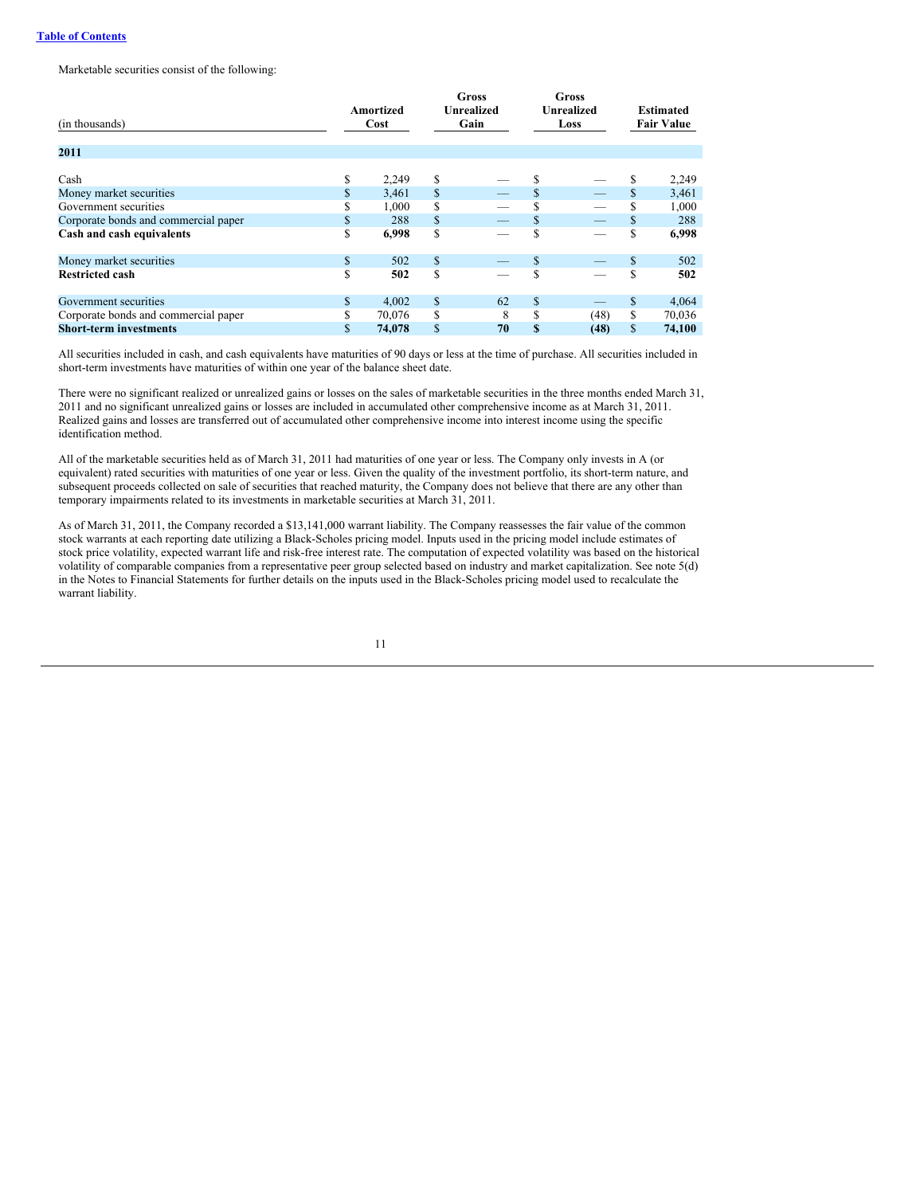Marketable securities consist of the following:

| (in thousands)                       |    | Amortized<br>Cost |              | Gross<br><b>Unrealized</b><br>Gain |     | Gross<br><b>Unrealized</b><br>Loss |               | <b>Estimated</b><br><b>Fair Value</b> |  |
|--------------------------------------|----|-------------------|--------------|------------------------------------|-----|------------------------------------|---------------|---------------------------------------|--|
| 2011                                 |    |                   |              |                                    |     |                                    |               |                                       |  |
| Cash                                 |    | 2,249             | \$           |                                    | S   |                                    |               | 2,249                                 |  |
| Money market securities              |    | 3,461             | \$           |                                    | S   |                                    | \$            | 3,461                                 |  |
| Government securities                |    | 1,000             | \$           |                                    |     |                                    |               | 1,000                                 |  |
| Corporate bonds and commercial paper |    | 288               | \$           |                                    | S   |                                    | <sup>\$</sup> | 288                                   |  |
| Cash and cash equivalents            | \$ | 6,998             | S            |                                    | S   |                                    | \$            | 6,998                                 |  |
| Money market securities              | \$ | 502               | \$           |                                    | \$  |                                    | \$            | 502                                   |  |
| <b>Restricted cash</b>               | \$ | 502               | \$           |                                    | S   |                                    | S             | 502                                   |  |
| Government securities                | \$ | 4,002             | \$           | 62                                 | S   |                                    | \$            | 4,064                                 |  |
| Corporate bonds and commercial paper |    | 70,076            | S            | 8                                  | \$. | (48)                               | \$            | 70,036                                |  |
| <b>Short-term investments</b>        | S  | 74,078            | $\mathbb{S}$ | 70                                 | S   | (48)                               | \$            | 74,100                                |  |

All securities included in cash, and cash equivalents have maturities of 90 days or less at the time of purchase. All securities included in short-term investments have maturities of within one year of the balance sheet date.

There were no significant realized or unrealized gains or losses on the sales of marketable securities in the three months ended March 31, 2011 and no significant unrealized gains or losses are included in accumulated other comprehensive income as at March 31, 2011. Realized gains and losses are transferred out of accumulated other comprehensive income into interest income using the specific identification method.

All of the marketable securities held as of March 31, 2011 had maturities of one year or less. The Company only invests in A (or equivalent) rated securities with maturities of one year or less. Given the quality of the investment portfolio, its short-term nature, and subsequent proceeds collected on sale of securities that reached maturity, the Company does not believe that there are any other than temporary impairments related to its investments in marketable securities at March 31, 2011.

As of March 31, 2011, the Company recorded a \$13,141,000 warrant liability. The Company reassesses the fair value of the common stock warrants at each reporting date utilizing a Black-Scholes pricing model. Inputs used in the pricing model include estimates of stock price volatility, expected warrant life and risk-free interest rate. The computation of expected volatility was based on the historical volatility of comparable companies from a representative peer group selected based on industry and market capitalization. See note 5(d) in the Notes to Financial Statements for further details on the inputs used in the Black-Scholes pricing model used to recalculate the warrant liability.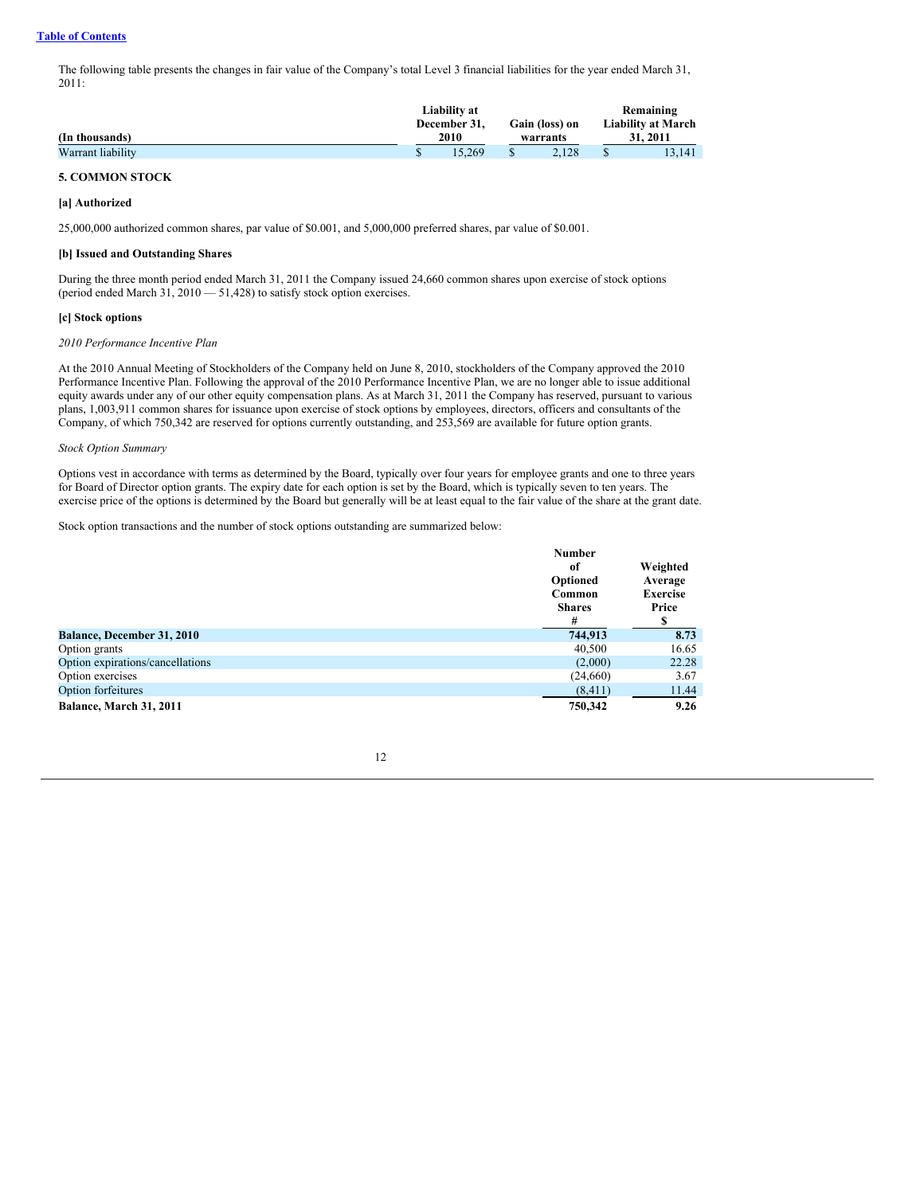## **Table of [Contents](#page-1-0)**

The following table presents the changes in fair value of the Company's total Level 3 financial liabilities for the year ended March 31, 2011:

|                   | Liability at<br>December 31. |        |  |                | Remaining |          |                    |  |
|-------------------|------------------------------|--------|--|----------------|-----------|----------|--------------------|--|
|                   |                              |        |  | Gain (loss) on |           |          | Liability at March |  |
| (In thousands)    | 2010                         |        |  | warrants       |           | 31, 2011 |                    |  |
| Warrant liability |                              | 15.269 |  | 2.128          |           | 13.141   |                    |  |

## **5. COMMON STOCK**

## **[a] Authorized**

25,000,000 authorized common shares, par value of \$0.001, and 5,000,000 preferred shares, par value of \$0.001.

## **[b] Issued and Outstanding Shares**

During the three month period ended March 31, 2011 the Company issued 24,660 common shares upon exercise of stock options (period ended March 31,  $2010 - 51,428$ ) to satisfy stock option exercises.

#### **[c] Stock options**

## *2010 Performance Incentive Plan*

At the 2010 Annual Meeting of Stockholders of the Company held on June 8, 2010, stockholders of the Company approved the 2010 Performance Incentive Plan. Following the approval of the 2010 Performance Incentive Plan, we are no longer able to issue additional equity awards under any of our other equity compensation plans. As at March 31, 2011 the Company has reserved, pursuant to various plans, 1,003,911 common shares for issuance upon exercise of stock options by employees, directors, officers and consultants of the Company, of which 750,342 are reserved for options currently outstanding, and 253,569 are available for future option grants.

## *Stock Option Summary*

Options vest in accordance with terms as determined by the Board, typically over four years for employee grants and one to three years for Board of Director option grants. The expiry date for each option is set by the Board, which is typically seven to ten years. The exercise price of the options is determined by the Board but generally will be at least equal to the fair value of the share at the grant date.

Stock option transactions and the number of stock options outstanding are summarized below:

|                                   | <b>Number</b><br>of<br>Optioned<br>Common<br><b>Shares</b><br># | Weighted<br>Average<br><b>Exercise</b><br>Price<br>S |
|-----------------------------------|-----------------------------------------------------------------|------------------------------------------------------|
| <b>Balance, December 31, 2010</b> | 744,913                                                         | 8.73                                                 |
| Option grants                     | 40,500                                                          | 16.65                                                |
| Option expirations/cancellations  | (2,000)                                                         | 22.28                                                |
| Option exercises                  | (24,660)                                                        | 3.67                                                 |
| <b>Option forfeitures</b>         | (8, 411)                                                        | 11.44                                                |
| Balance, March 31, 2011           | 750,342                                                         | 9.26                                                 |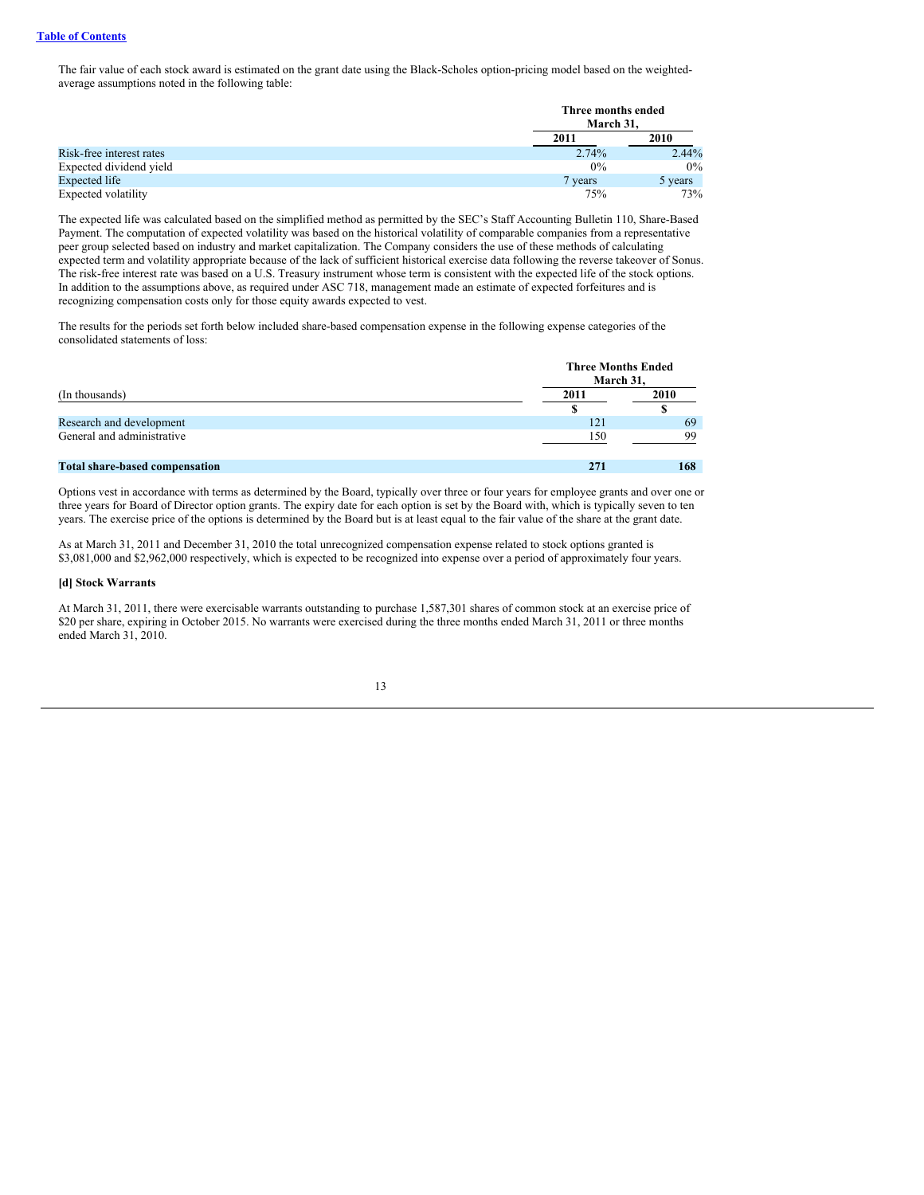The fair value of each stock award is estimated on the grant date using the Black-Scholes option-pricing model based on the weightedaverage assumptions noted in the following table:

|                          | Three months ended<br>March 31, |         |
|--------------------------|---------------------------------|---------|
|                          | 2011                            | 2010    |
| Risk-free interest rates | $2.74\%$                        | 2.44%   |
| Expected dividend yield  | $0\%$                           | $0\%$   |
| Expected life            | 7 years                         | 5 years |
| Expected volatility      | 75%                             | 73%     |

The expected life was calculated based on the simplified method as permitted by the SEC's Staff Accounting Bulletin 110, Share-Based Payment. The computation of expected volatility was based on the historical volatility of comparable companies from a representative peer group selected based on industry and market capitalization. The Company considers the use of these methods of calculating expected term and volatility appropriate because of the lack of sufficient historical exercise data following the reverse takeover of Sonus. The risk-free interest rate was based on a U.S. Treasury instrument whose term is consistent with the expected life of the stock options. In addition to the assumptions above, as required under ASC 718, management made an estimate of expected forfeitures and is recognizing compensation costs only for those equity awards expected to vest.

The results for the periods set forth below included share-based compensation expense in the following expense categories of the consolidated statements of loss:

|                                       |      | <b>Three Months Ended</b><br>March 31, |  |  |  |  |
|---------------------------------------|------|----------------------------------------|--|--|--|--|
| (In thousands)                        | 2011 | 2010                                   |  |  |  |  |
|                                       |      |                                        |  |  |  |  |
| Research and development              | 121  | 69                                     |  |  |  |  |
| General and administrative            | 150  | 99                                     |  |  |  |  |
| <b>Total share-based compensation</b> | 271  | 168                                    |  |  |  |  |

Options vest in accordance with terms as determined by the Board, typically over three or four years for employee grants and over one or three years for Board of Director option grants. The expiry date for each option is set by the Board with, which is typically seven to ten years. The exercise price of the options is determined by the Board but is at least equal to the fair value of the share at the grant date.

As at March 31, 2011 and December 31, 2010 the total unrecognized compensation expense related to stock options granted is \$3,081,000 and \$2,962,000 respectively, which is expected to be recognized into expense over a period of approximately four years.

#### **[d] Stock Warrants**

At March 31, 2011, there were exercisable warrants outstanding to purchase 1,587,301 shares of common stock at an exercise price of \$20 per share, expiring in October 2015. No warrants were exercised during the three months ended March 31, 2011 or three months ended March 31, 2010.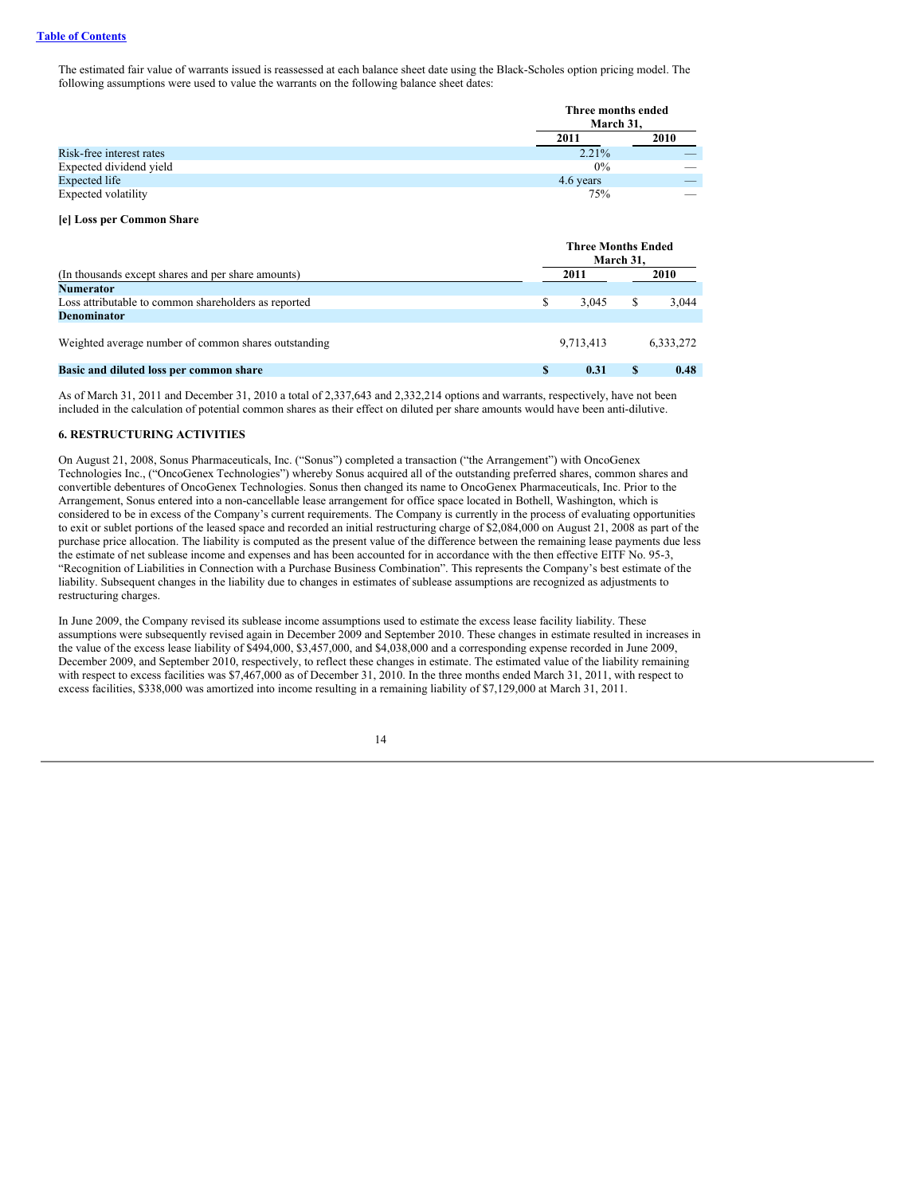The estimated fair value of warrants issued is reassessed at each balance sheet date using the Black-Scholes option pricing model. The following assumptions were used to value the warrants on the following balance sheet dates:

|                          | Three months ended<br>March 31, |      |
|--------------------------|---------------------------------|------|
|                          | 2011                            | 2010 |
| Risk-free interest rates | $2.21\%$                        |      |
| Expected dividend yield  | $0\%$                           |      |
| <b>Expected life</b>     | 4.6 years                       |      |
| Expected volatility      | 75%                             |      |

#### **[e] Loss per Common Share**

|                                                      | <b>Three Months Ended</b><br>March 31. |           |  |           |  |
|------------------------------------------------------|----------------------------------------|-----------|--|-----------|--|
| (In thousands except shares and per share amounts)   |                                        | 2011      |  | 2010      |  |
| <b>Numerator</b>                                     |                                        |           |  |           |  |
| Loss attributable to common shareholders as reported | S                                      | 3.045     |  | 3,044     |  |
| <b>Denominator</b>                                   |                                        |           |  |           |  |
| Weighted average number of common shares outstanding |                                        | 9,713,413 |  | 6,333,272 |  |
| Basic and diluted loss per common share              |                                        | 0.31      |  | 0.48      |  |

As of March 31, 2011 and December 31, 2010 a total of 2,337,643 and 2,332,214 options and warrants, respectively, have not been included in the calculation of potential common shares as their effect on diluted per share amounts would have been anti-dilutive.

## **6. RESTRUCTURING ACTIVITIES**

On August 21, 2008, Sonus Pharmaceuticals, Inc. ("Sonus") completed a transaction ("the Arrangement") with OncoGenex Technologies Inc., ("OncoGenex Technologies") whereby Sonus acquired all of the outstanding preferred shares, common shares and convertible debentures of OncoGenex Technologies. Sonus then changed its name to OncoGenex Pharmaceuticals, Inc. Prior to the Arrangement, Sonus entered into a non-cancellable lease arrangement for office space located in Bothell, Washington, which is considered to be in excess of the Company's current requirements. The Company is currently in the process of evaluating opportunities to exit or sublet portions of the leased space and recorded an initial restructuring charge of \$2,084,000 on August 21, 2008 as part of the purchase price allocation. The liability is computed as the present value of the difference between the remaining lease payments due less the estimate of net sublease income and expenses and has been accounted for in accordance with the then effective EITF No. 95-3, "Recognition of Liabilities in Connection with a Purchase Business Combination". This represents the Company's best estimate of the liability. Subsequent changes in the liability due to changes in estimates of sublease assumptions are recognized as adjustments to restructuring charges.

In June 2009, the Company revised its sublease income assumptions used to estimate the excess lease facility liability. These assumptions were subsequently revised again in December 2009 and September 2010. These changes in estimate resulted in increases in the value of the excess lease liability of \$494,000, \$3,457,000, and \$4,038,000 and a corresponding expense recorded in June 2009, December 2009, and September 2010, respectively, to reflect these changes in estimate. The estimated value of the liability remaining with respect to excess facilities was \$7,467,000 as of December 31, 2010. In the three months ended March 31, 2011, with respect to excess facilities, \$338,000 was amortized into income resulting in a remaining liability of \$7,129,000 at March 31, 2011.

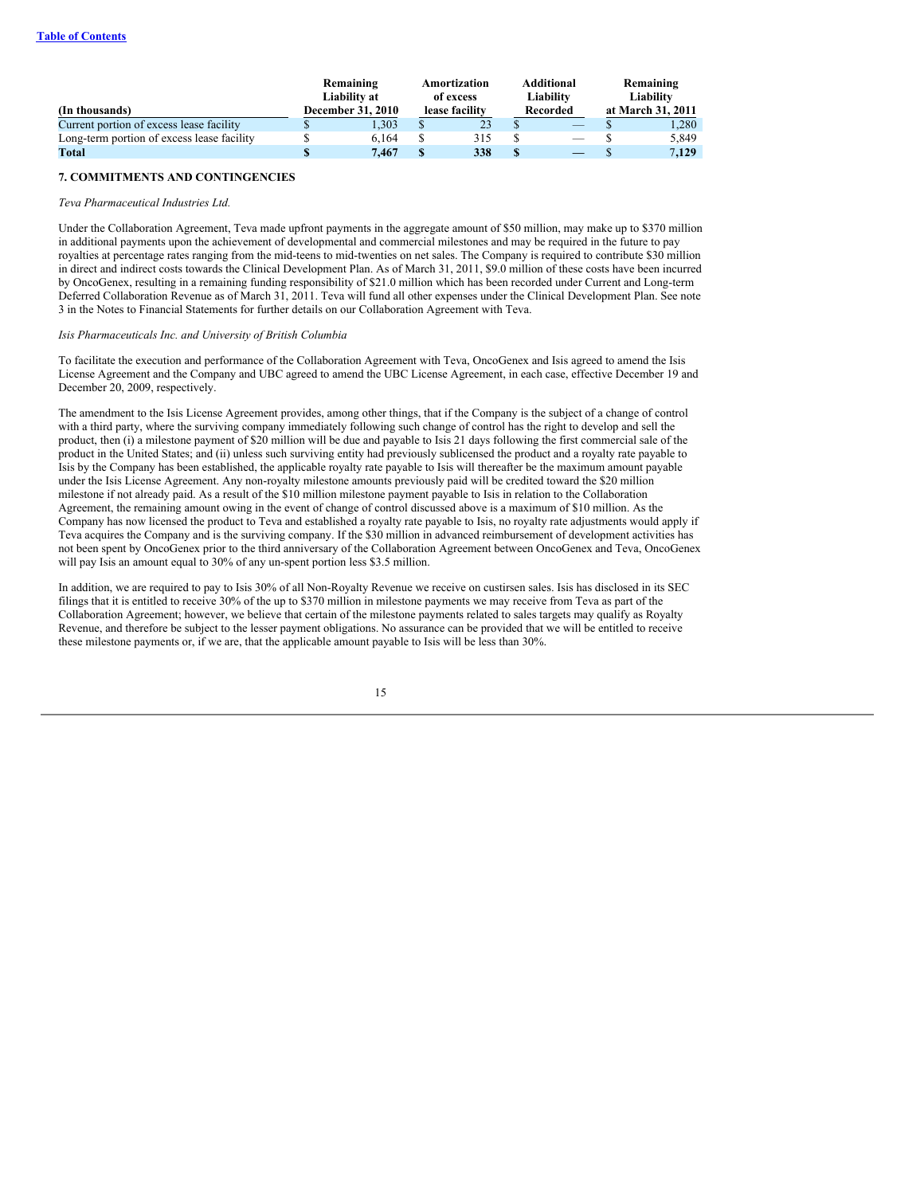| (In thousands)                             | Remaining<br>Liability at<br><b>December 31, 2010</b> | Amortization<br>of excess<br>lease facility | <b>Additional</b><br>Liability<br>Recorded | Remaining<br>Liability<br>at March 31, 2011 |
|--------------------------------------------|-------------------------------------------------------|---------------------------------------------|--------------------------------------------|---------------------------------------------|
| Current portion of excess lease facility   | 1.303                                                 | 23                                          | _                                          | 1.280                                       |
| Long-term portion of excess lease facility | 6.164                                                 | 315                                         | $\overline{\phantom{0}}$                   | 5,849                                       |
| Total                                      | 7.467                                                 | 338                                         |                                            | 7.129                                       |

## **7. COMMITMENTS AND CONTINGENCIES**

## *Teva Pharmaceutical Industries Ltd.*

Under the Collaboration Agreement, Teva made upfront payments in the aggregate amount of \$50 million, may make up to \$370 million in additional payments upon the achievement of developmental and commercial milestones and may be required in the future to pay royalties at percentage rates ranging from the mid-teens to mid-twenties on net sales. The Company is required to contribute \$30 million in direct and indirect costs towards the Clinical Development Plan. As of March 31, 2011, \$9.0 million of these costs have been incurred by OncoGenex, resulting in a remaining funding responsibility of \$21.0 million which has been recorded under Current and Long-term Deferred Collaboration Revenue as of March 31, 2011. Teva will fund all other expenses under the Clinical Development Plan. See note 3 in the Notes to Financial Statements for further details on our Collaboration Agreement with Teva.

## *Isis Pharmaceuticals Inc. and University of British Columbia*

To facilitate the execution and performance of the Collaboration Agreement with Teva, OncoGenex and Isis agreed to amend the Isis License Agreement and the Company and UBC agreed to amend the UBC License Agreement, in each case, effective December 19 and December 20, 2009, respectively.

The amendment to the Isis License Agreement provides, among other things, that if the Company is the subject of a change of control with a third party, where the surviving company immediately following such change of control has the right to develop and sell the product, then (i) a milestone payment of \$20 million will be due and payable to Isis 21 days following the first commercial sale of the product in the United States; and (ii) unless such surviving entity had previously sublicensed the product and a royalty rate payable to Isis by the Company has been established, the applicable royalty rate payable to Isis will thereafter be the maximum amount payable under the Isis License Agreement. Any non-royalty milestone amounts previously paid will be credited toward the \$20 million milestone if not already paid. As a result of the \$10 million milestone payment payable to Isis in relation to the Collaboration Agreement, the remaining amount owing in the event of change of control discussed above is a maximum of \$10 million. As the Company has now licensed the product to Teva and established a royalty rate payable to Isis, no royalty rate adjustments would apply if Teva acquires the Company and is the surviving company. If the \$30 million in advanced reimbursement of development activities has not been spent by OncoGenex prior to the third anniversary of the Collaboration Agreement between OncoGenex and Teva, OncoGenex will pay Isis an amount equal to 30% of any un-spent portion less \$3.5 million.

In addition, we are required to pay to Isis 30% of all Non-Royalty Revenue we receive on custirsen sales. Isis has disclosed in its SEC filings that it is entitled to receive 30% of the up to \$370 million in milestone payments we may receive from Teva as part of the Collaboration Agreement; however, we believe that certain of the milestone payments related to sales targets may qualify as Royalty Revenue, and therefore be subject to the lesser payment obligations. No assurance can be provided that we will be entitled to receive these milestone payments or, if we are, that the applicable amount payable to Isis will be less than 30%.

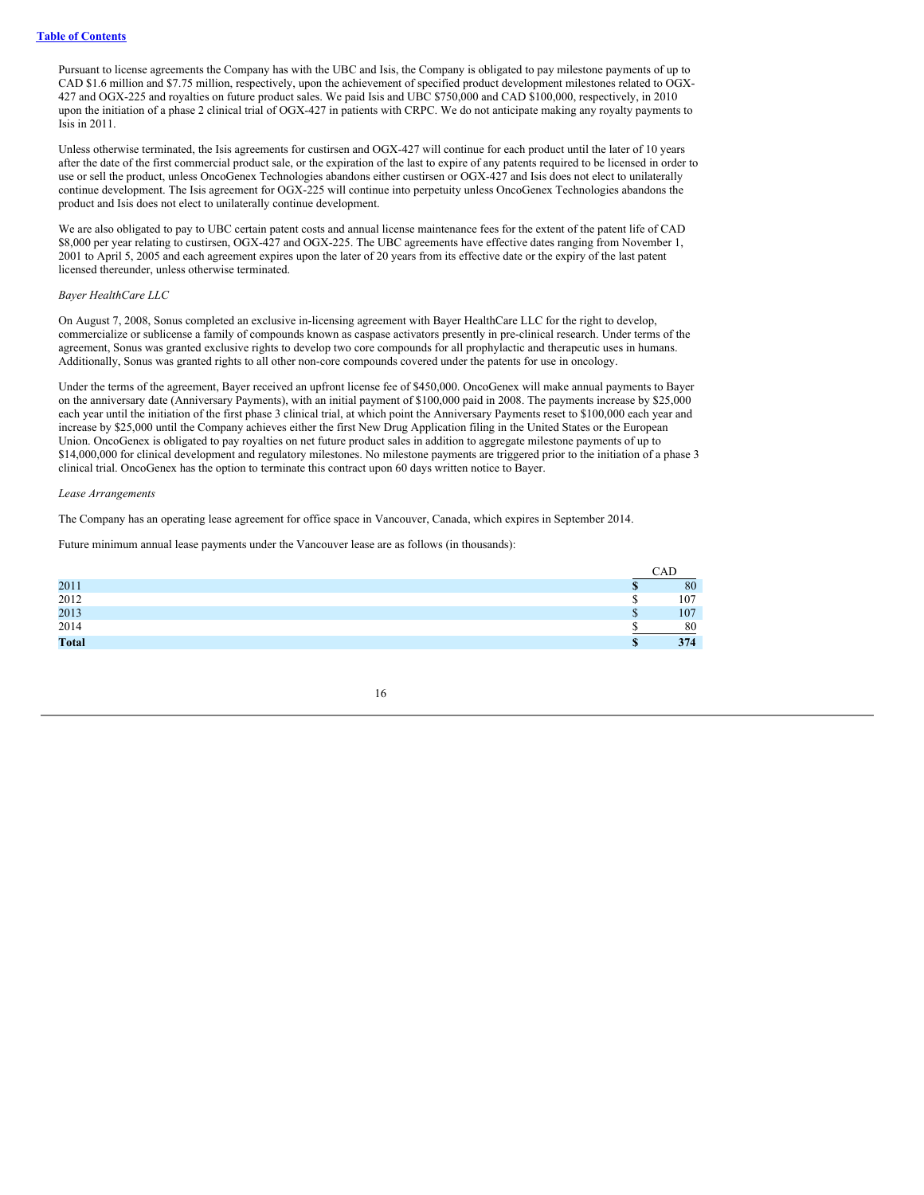Pursuant to license agreements the Company has with the UBC and Isis, the Company is obligated to pay milestone payments of up to CAD \$1.6 million and \$7.75 million, respectively, upon the achievement of specified product development milestones related to OGX-427 and OGX-225 and royalties on future product sales. We paid Isis and UBC \$750,000 and CAD \$100,000, respectively, in 2010 upon the initiation of a phase 2 clinical trial of OGX-427 in patients with CRPC. We do not anticipate making any royalty payments to Isis in 2011.

Unless otherwise terminated, the Isis agreements for custirsen and OGX-427 will continue for each product until the later of 10 years after the date of the first commercial product sale, or the expiration of the last to expire of any patents required to be licensed in order to use or sell the product, unless OncoGenex Technologies abandons either custirsen or OGX-427 and Isis does not elect to unilaterally continue development. The Isis agreement for OGX-225 will continue into perpetuity unless OncoGenex Technologies abandons the product and Isis does not elect to unilaterally continue development.

We are also obligated to pay to UBC certain patent costs and annual license maintenance fees for the extent of the patent life of CAD \$8,000 per year relating to custirsen, OGX-427 and OGX-225. The UBC agreements have effective dates ranging from November 1, 2001 to April 5, 2005 and each agreement expires upon the later of 20 years from its effective date or the expiry of the last patent licensed thereunder, unless otherwise terminated.

## *Bayer HealthCare LLC*

On August 7, 2008, Sonus completed an exclusive in-licensing agreement with Bayer HealthCare LLC for the right to develop, commercialize or sublicense a family of compounds known as caspase activators presently in pre-clinical research. Under terms of the agreement, Sonus was granted exclusive rights to develop two core compounds for all prophylactic and therapeutic uses in humans. Additionally, Sonus was granted rights to all other non-core compounds covered under the patents for use in oncology.

Under the terms of the agreement, Bayer received an upfront license fee of \$450,000. OncoGenex will make annual payments to Bayer on the anniversary date (Anniversary Payments), with an initial payment of \$100,000 paid in 2008. The payments increase by \$25,000 each year until the initiation of the first phase 3 clinical trial, at which point the Anniversary Payments reset to \$100,000 each year and increase by \$25,000 until the Company achieves either the first New Drug Application filing in the United States or the European Union. OncoGenex is obligated to pay royalties on net future product sales in addition to aggregate milestone payments of up to \$14,000,000 for clinical development and regulatory milestones. No milestone payments are triggered prior to the initiation of a phase 3 clinical trial. OncoGenex has the option to terminate this contract upon 60 days written notice to Bayer.

#### *Lease Arrangements*

The Company has an operating lease agreement for office space in Vancouver, Canada, which expires in September 2014.

Future minimum annual lease payments under the Vancouver lease are as follows (in thousands):

| 2011         | æ   | 80  |
|--------------|-----|-----|
| 2012         | \$  | 107 |
| 2013         | \$. | 107 |
| 2014         |     | 80  |
| <b>Total</b> | ¢   | 374 |

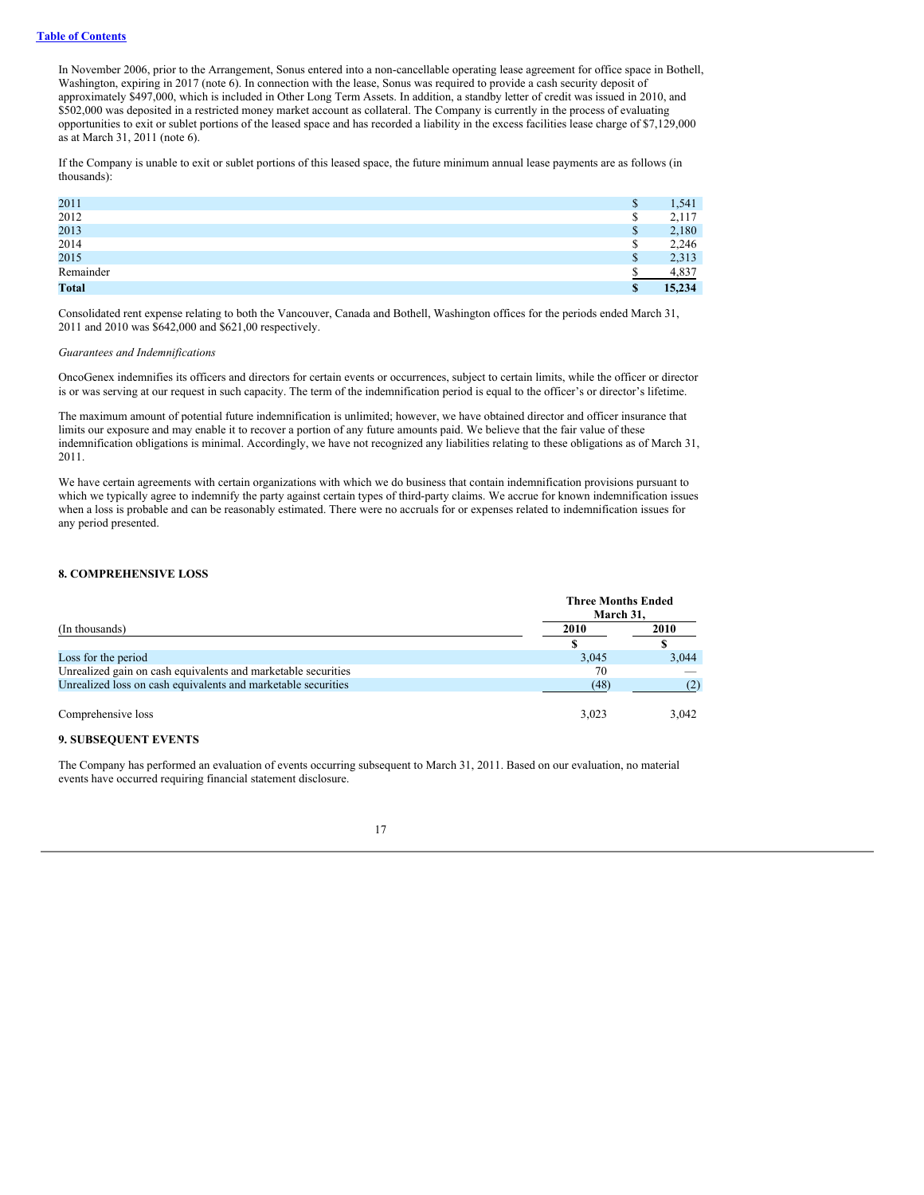In November 2006, prior to the Arrangement, Sonus entered into a non-cancellable operating lease agreement for office space in Bothell, Washington, expiring in 2017 (note 6). In connection with the lease, Sonus was required to provide a cash security deposit of approximately \$497,000, which is included in Other Long Term Assets. In addition, a standby letter of credit was issued in 2010, and \$502,000 was deposited in a restricted money market account as collateral. The Company is currently in the process of evaluating opportunities to exit or sublet portions of the leased space and has recorded a liability in the excess facilities lease charge of \$7,129,000 as at March 31, 2011 (note 6).

If the Company is unable to exit or sublet portions of this leased space, the future minimum annual lease payments are as follows (in thousands):

| 2011         | D  | 1,541  |
|--------------|----|--------|
| 2012         | S  | 2,117  |
| 2013         | \$ | 2,180  |
| 2014         |    | 2,246  |
| 2015         | \$ | 2,313  |
| Remainder    |    | 4,837  |
| <b>Total</b> | \$ | 15,234 |
|              |    |        |

Consolidated rent expense relating to both the Vancouver, Canada and Bothell, Washington offices for the periods ended March 31, 2011 and 2010 was \$642,000 and \$621,00 respectively.

#### *Guarantees and Indemnifications*

OncoGenex indemnifies its officers and directors for certain events or occurrences, subject to certain limits, while the officer or director is or was serving at our request in such capacity. The term of the indemnification period is equal to the officer's or director's lifetime.

The maximum amount of potential future indemnification is unlimited; however, we have obtained director and officer insurance that limits our exposure and may enable it to recover a portion of any future amounts paid. We believe that the fair value of these indemnification obligations is minimal. Accordingly, we have not recognized any liabilities relating to these obligations as of March 31, 2011.

We have certain agreements with certain organizations with which we do business that contain indemnification provisions pursuant to which we typically agree to indemnify the party against certain types of third-party claims. We accrue for known indemnification issues when a loss is probable and can be reasonably estimated. There were no accruals for or expenses related to indemnification issues for any period presented.

## **8. COMPREHENSIVE LOSS**

|                                                               | <b>Three Months Ended</b><br>March 31. |       |  |
|---------------------------------------------------------------|----------------------------------------|-------|--|
| (In thousands)                                                | 2010                                   | 2010  |  |
|                                                               |                                        |       |  |
| Loss for the period                                           | 3,045                                  | 3,044 |  |
| Unrealized gain on cash equivalents and marketable securities | 70                                     |       |  |
| Unrealized loss on cash equivalents and marketable securities | (48)                                   |       |  |
| Comprehensive loss                                            | 3.023                                  | 3.042 |  |

## **9. SUBSEQUENT EVENTS**

The Company has performed an evaluation of events occurring subsequent to March 31, 2011. Based on our evaluation, no material events have occurred requiring financial statement disclosure.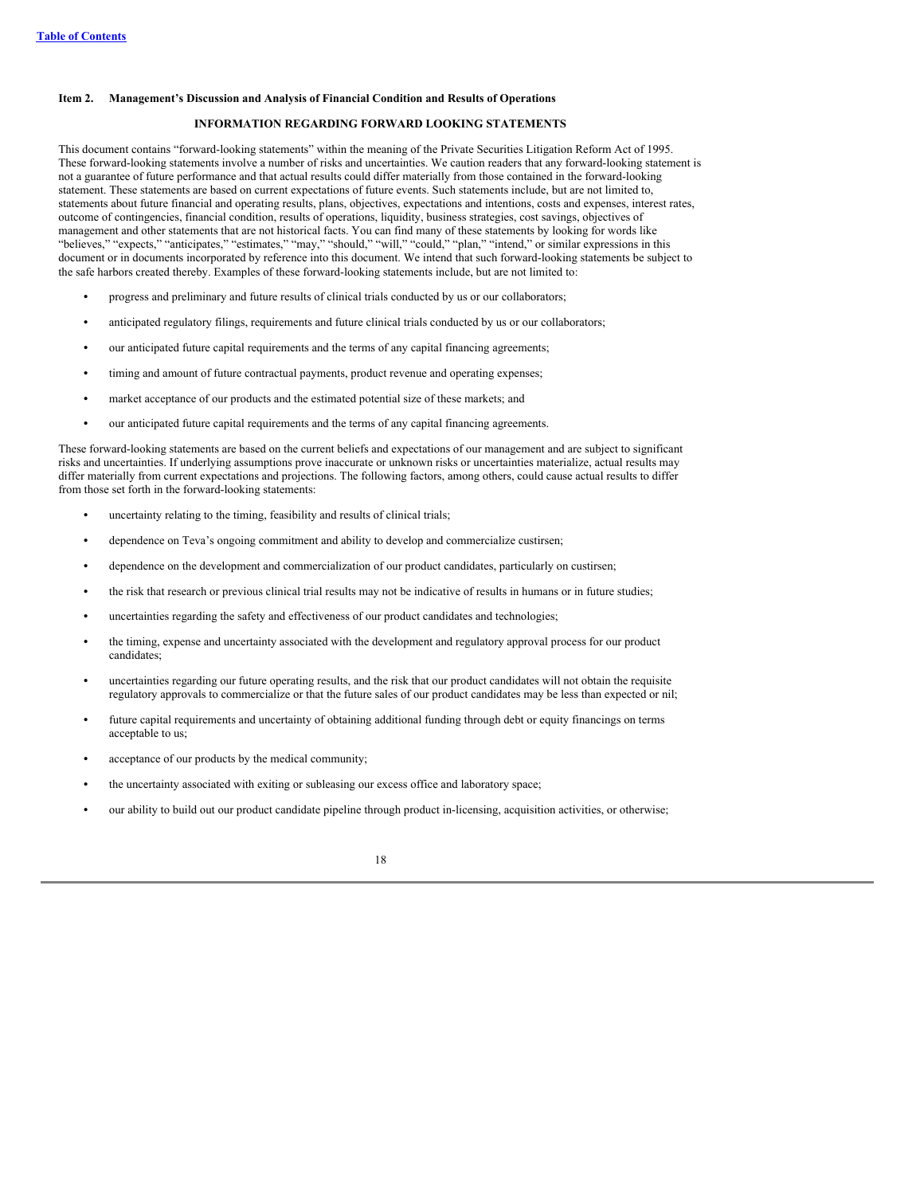## <span id="page-17-0"></span>**Item 2. Management's Discussion and Analysis of Financial Condition and Results of Operations**

## **INFORMATION REGARDING FORWARD LOOKING STATEMENTS**

This document contains "forward-looking statements" within the meaning of the Private Securities Litigation Reform Act of 1995. These forward-looking statements involve a number of risks and uncertainties. We caution readers that any forward-looking statement is not a guarantee of future performance and that actual results could differ materially from those contained in the forward-looking statement. These statements are based on current expectations of future events. Such statements include, but are not limited to, statements about future financial and operating results, plans, objectives, expectations and intentions, costs and expenses, interest rates, outcome of contingencies, financial condition, results of operations, liquidity, business strategies, cost savings, objectives of management and other statements that are not historical facts. You can find many of these statements by looking for words like "believes," "expects," "anticipates," "estimates," "may," "should," "will," "could," "plan," "intend," or similar expressions in this document or in documents incorporated by reference into this document. We intend that such forward-looking statements be subject to the safe harbors created thereby. Examples of these forward-looking statements include, but are not limited to:

- progress and preliminary and future results of clinical trials conducted by us or our collaborators;
- **•** anticipated regulatory filings, requirements and future clinical trials conducted by us or our collaborators;
- **•** our anticipated future capital requirements and the terms of any capital financing agreements;
- timing and amount of future contractual payments, product revenue and operating expenses;
- **•** market acceptance of our products and the estimated potential size of these markets; and
- **•** our anticipated future capital requirements and the terms of any capital financing agreements.

These forward-looking statements are based on the current beliefs and expectations of our management and are subject to significant risks and uncertainties. If underlying assumptions prove inaccurate or unknown risks or uncertainties materialize, actual results may differ materially from current expectations and projections. The following factors, among others, could cause actual results to differ from those set forth in the forward-looking statements:

- **•** uncertainty relating to the timing, feasibility and results of clinical trials;
- **•** dependence on Teva's ongoing commitment and ability to develop and commercialize custirsen;
- **•** dependence on the development and commercialization of our product candidates, particularly on custirsen;
- **•** the risk that research or previous clinical trial results may not be indicative of results in humans or in future studies;
- **•** uncertainties regarding the safety and effectiveness of our product candidates and technologies;
- **•** the timing, expense and uncertainty associated with the development and regulatory approval process for our product candidates;
- **•** uncertainties regarding our future operating results, and the risk that our product candidates will not obtain the requisite regulatory approvals to commercialize or that the future sales of our product candidates may be less than expected or nil;
- **•** future capital requirements and uncertainty of obtaining additional funding through debt or equity financings on terms acceptable to us;
- **•** acceptance of our products by the medical community;
- **•** the uncertainty associated with exiting or subleasing our excess office and laboratory space;
- **•** our ability to build out our product candidate pipeline through product in-licensing, acquisition activities, or otherwise;

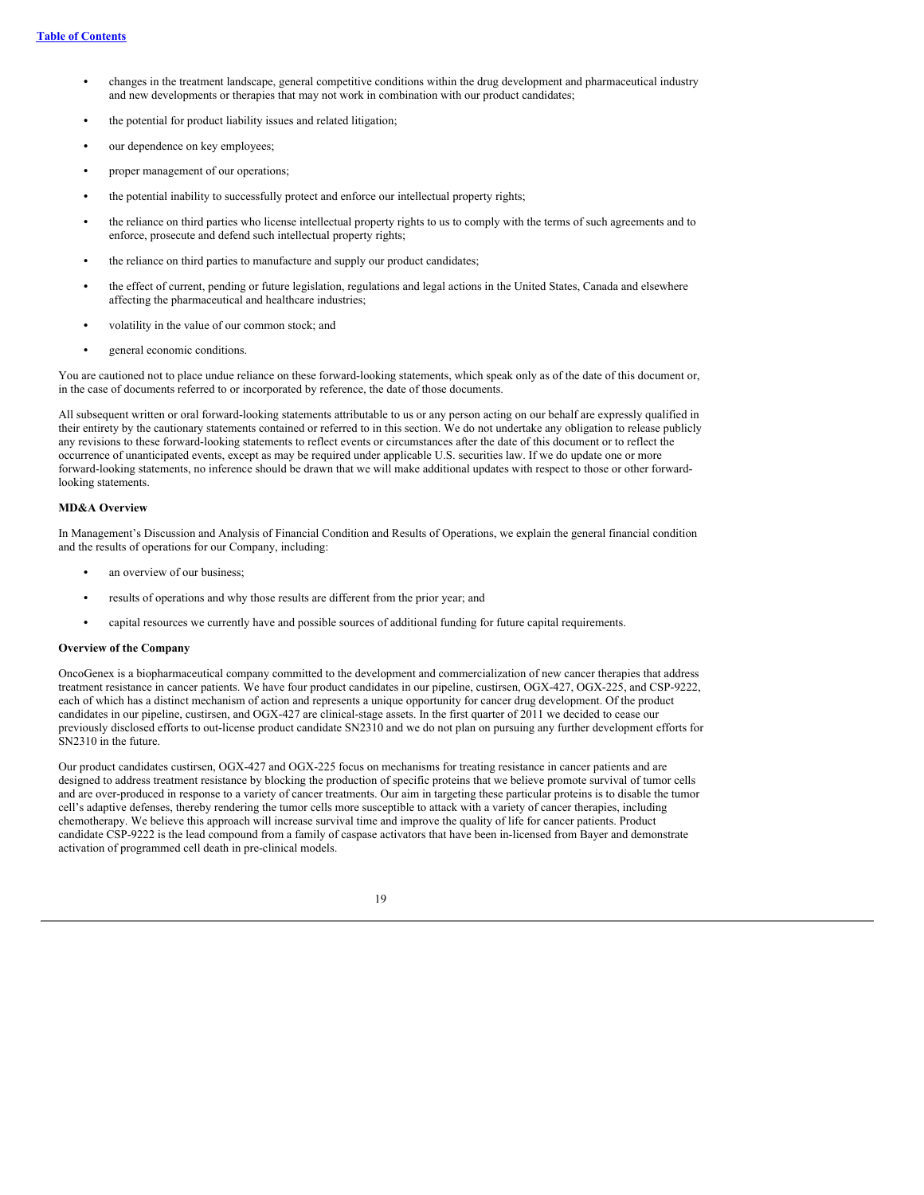- **•** changes in the treatment landscape, general competitive conditions within the drug development and pharmaceutical industry and new developments or therapies that may not work in combination with our product candidates;
- **•** the potential for product liability issues and related litigation;
- our dependence on key employees;
- **•** proper management of our operations;
- **•** the potential inability to successfully protect and enforce our intellectual property rights;
- **•** the reliance on third parties who license intellectual property rights to us to comply with the terms of such agreements and to enforce, prosecute and defend such intellectual property rights;
- **•** the reliance on third parties to manufacture and supply our product candidates;
- **•** the effect of current, pending or future legislation, regulations and legal actions in the United States, Canada and elsewhere affecting the pharmaceutical and healthcare industries;
- **•** volatility in the value of our common stock; and
- **•** general economic conditions.

You are cautioned not to place undue reliance on these forward-looking statements, which speak only as of the date of this document or, in the case of documents referred to or incorporated by reference, the date of those documents.

All subsequent written or oral forward-looking statements attributable to us or any person acting on our behalf are expressly qualified in their entirety by the cautionary statements contained or referred to in this section. We do not undertake any obligation to release publicly any revisions to these forward-looking statements to reflect events or circumstances after the date of this document or to reflect the occurrence of unanticipated events, except as may be required under applicable U.S. securities law. If we do update one or more forward-looking statements, no inference should be drawn that we will make additional updates with respect to those or other forwardlooking statements.

#### **MD&A Overview**

In Management's Discussion and Analysis of Financial Condition and Results of Operations, we explain the general financial condition and the results of operations for our Company, including:

- **•** an overview of our business;
- **•** results of operations and why those results are different from the prior year; and
- **•** capital resources we currently have and possible sources of additional funding for future capital requirements.

## **Overview of the Company**

OncoGenex is a biopharmaceutical company committed to the development and commercialization of new cancer therapies that address treatment resistance in cancer patients. We have four product candidates in our pipeline, custirsen, OGX-427, OGX-225, and CSP-9222, each of which has a distinct mechanism of action and represents a unique opportunity for cancer drug development. Of the product candidates in our pipeline, custirsen, and OGX-427 are clinical-stage assets. In the first quarter of 2011 we decided to cease our previously disclosed efforts to out-license product candidate SN2310 and we do not plan on pursuing any further development efforts for SN2310 in the future.

Our product candidates custirsen, OGX-427 and OGX-225 focus on mechanisms for treating resistance in cancer patients and are designed to address treatment resistance by blocking the production of specific proteins that we believe promote survival of tumor cells and are over-produced in response to a variety of cancer treatments. Our aim in targeting these particular proteins is to disable the tumor cell's adaptive defenses, thereby rendering the tumor cells more susceptible to attack with a variety of cancer therapies, including chemotherapy. We believe this approach will increase survival time and improve the quality of life for cancer patients. Product candidate CSP-9222 is the lead compound from a family of caspase activators that have been in-licensed from Bayer and demonstrate activation of programmed cell death in pre-clinical models.

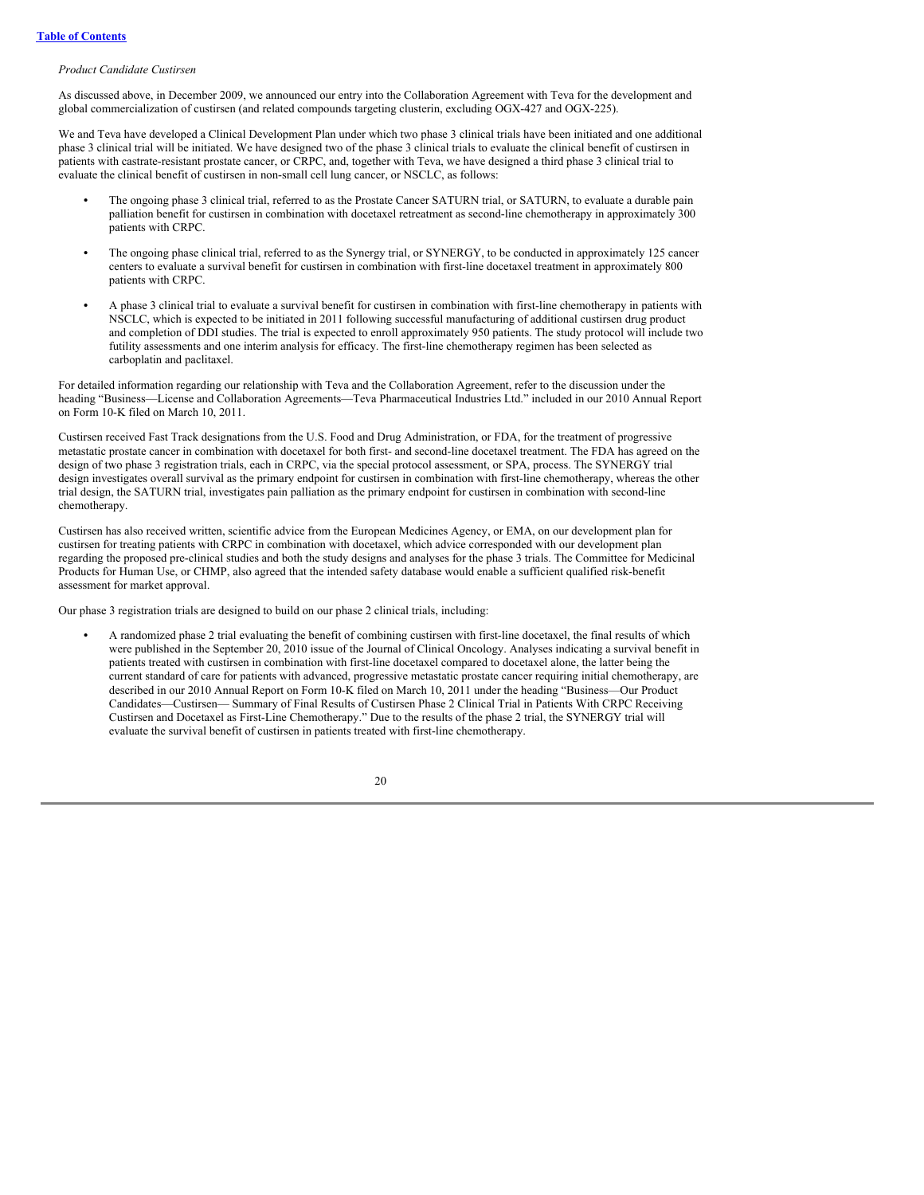#### *Product Candidate Custirsen*

As discussed above, in December 2009, we announced our entry into the Collaboration Agreement with Teva for the development and global commercialization of custirsen (and related compounds targeting clusterin, excluding OGX-427 and OGX-225).

We and Teva have developed a Clinical Development Plan under which two phase 3 clinical trials have been initiated and one additional phase 3 clinical trial will be initiated. We have designed two of the phase 3 clinical trials to evaluate the clinical benefit of custirsen in patients with castrate-resistant prostate cancer, or CRPC, and, together with Teva, we have designed a third phase 3 clinical trial to evaluate the clinical benefit of custirsen in non-small cell lung cancer, or NSCLC, as follows:

- **•** The ongoing phase 3 clinical trial, referred to as the Prostate Cancer SATURN trial, or SATURN, to evaluate a durable pain palliation benefit for custirsen in combination with docetaxel retreatment as second-line chemotherapy in approximately 300 patients with CRPC.
- **•** The ongoing phase clinical trial, referred to as the Synergy trial, or SYNERGY, to be conducted in approximately 125 cancer centers to evaluate a survival benefit for custirsen in combination with first-line docetaxel treatment in approximately 800 patients with CRPC.
- **•** A phase 3 clinical trial to evaluate a survival benefit for custirsen in combination with first-line chemotherapy in patients with NSCLC, which is expected to be initiated in 2011 following successful manufacturing of additional custirsen drug product and completion of DDI studies. The trial is expected to enroll approximately 950 patients. The study protocol will include two futility assessments and one interim analysis for efficacy. The first-line chemotherapy regimen has been selected as carboplatin and paclitaxel.

For detailed information regarding our relationship with Teva and the Collaboration Agreement, refer to the discussion under the heading "Business—License and Collaboration Agreements—Teva Pharmaceutical Industries Ltd." included in our 2010 Annual Report on Form 10-K filed on March 10, 2011.

Custirsen received Fast Track designations from the U.S. Food and Drug Administration, or FDA, for the treatment of progressive metastatic prostate cancer in combination with docetaxel for both first- and second-line docetaxel treatment. The FDA has agreed on the design of two phase 3 registration trials, each in CRPC, via the special protocol assessment, or SPA, process. The SYNERGY trial design investigates overall survival as the primary endpoint for custirsen in combination with first-line chemotherapy, whereas the other trial design, the SATURN trial, investigates pain palliation as the primary endpoint for custirsen in combination with second-line chemotherapy.

Custirsen has also received written, scientific advice from the European Medicines Agency, or EMA, on our development plan for custirsen for treating patients with CRPC in combination with docetaxel, which advice corresponded with our development plan regarding the proposed pre-clinical studies and both the study designs and analyses for the phase 3 trials. The Committee for Medicinal Products for Human Use, or CHMP, also agreed that the intended safety database would enable a sufficient qualified risk-benefit assessment for market approval.

Our phase 3 registration trials are designed to build on our phase 2 clinical trials, including:

**•** A randomized phase 2 trial evaluating the benefit of combining custirsen with first-line docetaxel, the final results of which were published in the September 20, 2010 issue of the Journal of Clinical Oncology. Analyses indicating a survival benefit in patients treated with custirsen in combination with first-line docetaxel compared to docetaxel alone, the latter being the current standard of care for patients with advanced, progressive metastatic prostate cancer requiring initial chemotherapy, are described in our 2010 Annual Report on Form 10-K filed on March 10, 2011 under the heading "Business—Our Product Candidates—Custirsen— Summary of Final Results of Custirsen Phase 2 Clinical Trial in Patients With CRPC Receiving Custirsen and Docetaxel as First-Line Chemotherapy." Due to the results of the phase 2 trial, the SYNERGY trial will evaluate the survival benefit of custirsen in patients treated with first-line chemotherapy.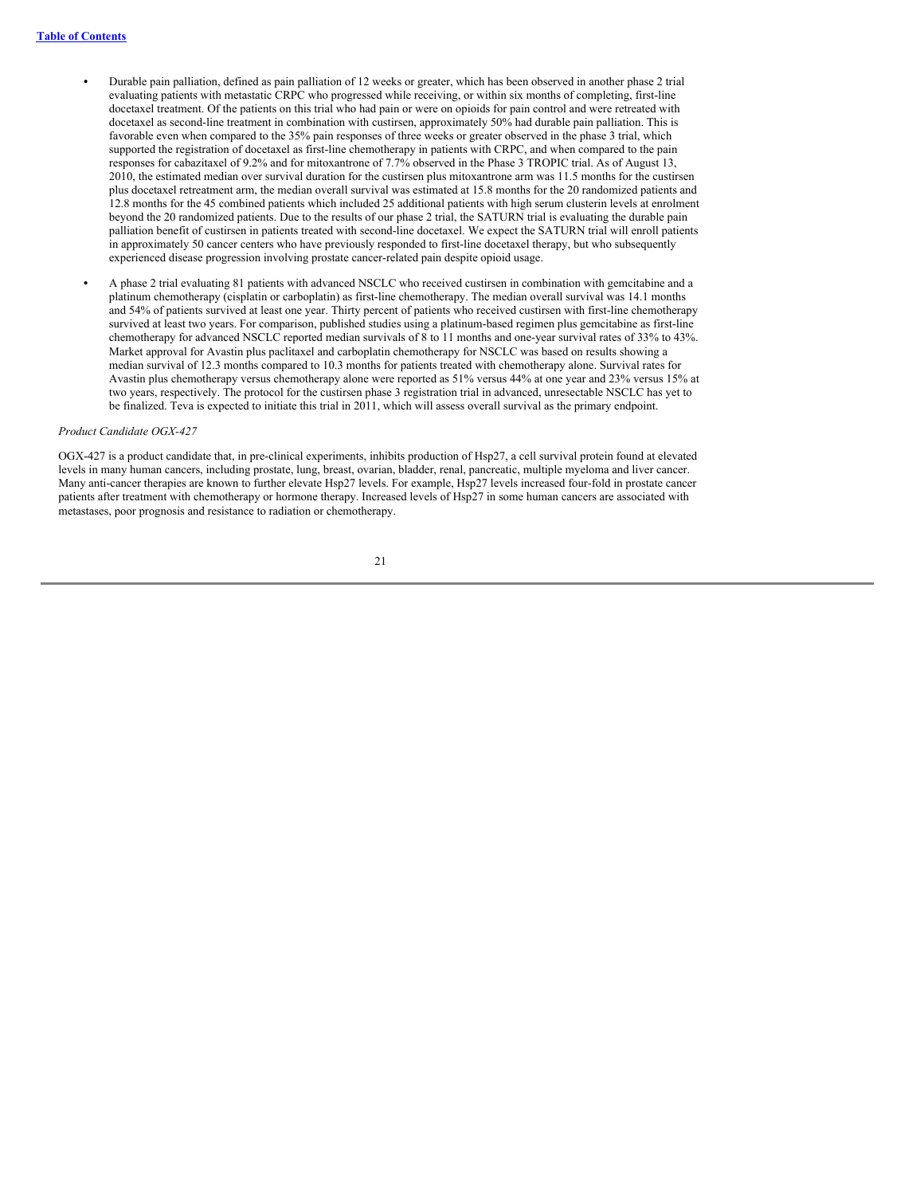- **•** Durable pain palliation, defined as pain palliation of 12 weeks or greater, which has been observed in another phase 2 trial evaluating patients with metastatic CRPC who progressed while receiving, or within six months of completing, first-line docetaxel treatment. Of the patients on this trial who had pain or were on opioids for pain control and were retreated with docetaxel as second-line treatment in combination with custirsen, approximately 50% had durable pain palliation. This is favorable even when compared to the 35% pain responses of three weeks or greater observed in the phase 3 trial, which supported the registration of docetaxel as first-line chemotherapy in patients with CRPC, and when compared to the pain responses for cabazitaxel of 9.2% and for mitoxantrone of 7.7% observed in the Phase 3 TROPIC trial. As of August 13, 2010, the estimated median over survival duration for the custirsen plus mitoxantrone arm was 11.5 months for the custirsen plus docetaxel retreatment arm, the median overall survival was estimated at 15.8 months for the 20 randomized patients and 12.8 months for the 45 combined patients which included 25 additional patients with high serum clusterin levels at enrolment beyond the 20 randomized patients. Due to the results of our phase 2 trial, the SATURN trial is evaluating the durable pain palliation benefit of custirsen in patients treated with second-line docetaxel. We expect the SATURN trial will enroll patients in approximately 50 cancer centers who have previously responded to first-line docetaxel therapy, but who subsequently experienced disease progression involving prostate cancer-related pain despite opioid usage.
- **•** A phase 2 trial evaluating 81 patients with advanced NSCLC who received custirsen in combination with gemcitabine and a platinum chemotherapy (cisplatin or carboplatin) as first-line chemotherapy. The median overall survival was 14.1 months and 54% of patients survived at least one year. Thirty percent of patients who received custirsen with first-line chemotherapy survived at least two years. For comparison, published studies using a platinum-based regimen plus gemcitabine as first-line chemotherapy for advanced NSCLC reported median survivals of 8 to 11 months and one-year survival rates of 33% to 43%. Market approval for Avastin plus paclitaxel and carboplatin chemotherapy for NSCLC was based on results showing a median survival of 12.3 months compared to 10.3 months for patients treated with chemotherapy alone. Survival rates for Avastin plus chemotherapy versus chemotherapy alone were reported as 51% versus 44% at one year and 23% versus 15% at two years, respectively. The protocol for the custirsen phase 3 registration trial in advanced, unresectable NSCLC has yet to be finalized. Teva is expected to initiate this trial in 2011, which will assess overall survival as the primary endpoint.

#### *Product Candidate OGX-427*

OGX-427 is a product candidate that, in pre-clinical experiments, inhibits production of Hsp27, a cell survival protein found at elevated levels in many human cancers, including prostate, lung, breast, ovarian, bladder, renal, pancreatic, multiple myeloma and liver cancer. Many anti-cancer therapies are known to further elevate Hsp27 levels. For example, Hsp27 levels increased four-fold in prostate cancer patients after treatment with chemotherapy or hormone therapy. Increased levels of Hsp27 in some human cancers are associated with metastases, poor prognosis and resistance to radiation or chemotherapy.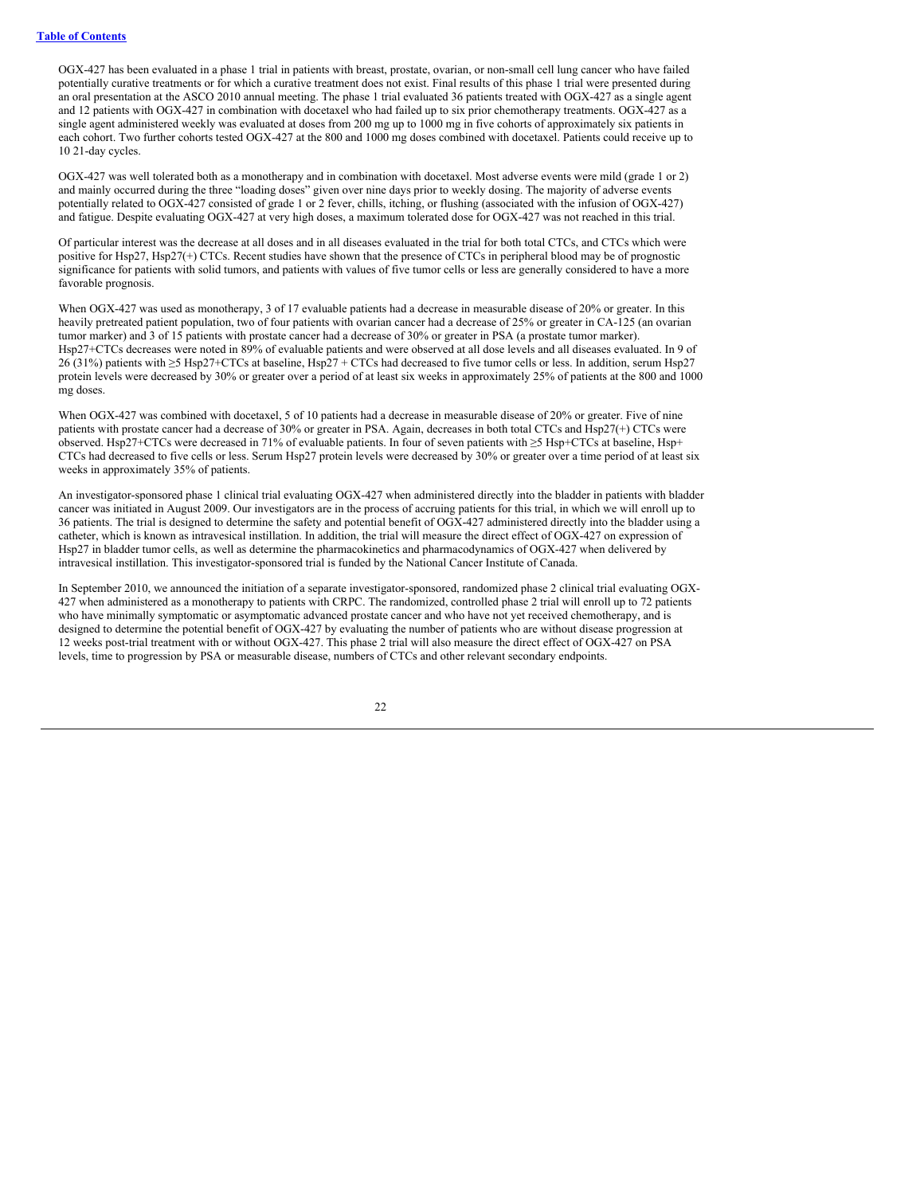OGX-427 has been evaluated in a phase 1 trial in patients with breast, prostate, ovarian, or non-small cell lung cancer who have failed potentially curative treatments or for which a curative treatment does not exist. Final results of this phase 1 trial were presented during an oral presentation at the ASCO 2010 annual meeting. The phase 1 trial evaluated 36 patients treated with OGX-427 as a single agent and 12 patients with OGX-427 in combination with docetaxel who had failed up to six prior chemotherapy treatments. OGX-427 as a single agent administered weekly was evaluated at doses from 200 mg up to 1000 mg in five cohorts of approximately six patients in each cohort. Two further cohorts tested OGX-427 at the 800 and 1000 mg doses combined with docetaxel. Patients could receive up to 10 21-day cycles.

OGX-427 was well tolerated both as a monotherapy and in combination with docetaxel. Most adverse events were mild (grade 1 or 2) and mainly occurred during the three "loading doses" given over nine days prior to weekly dosing. The majority of adverse events potentially related to OGX-427 consisted of grade 1 or 2 fever, chills, itching, or flushing (associated with the infusion of OGX-427) and fatigue. Despite evaluating OGX-427 at very high doses, a maximum tolerated dose for OGX-427 was not reached in this trial.

Of particular interest was the decrease at all doses and in all diseases evaluated in the trial for both total CTCs, and CTCs which were positive for Hsp27, Hsp27(+) CTCs. Recent studies have shown that the presence of CTCs in peripheral blood may be of prognostic significance for patients with solid tumors, and patients with values of five tumor cells or less are generally considered to have a more favorable prognosis.

When OGX-427 was used as monotherapy, 3 of 17 evaluable patients had a decrease in measurable disease of 20% or greater. In this heavily pretreated patient population, two of four patients with ovarian cancer had a decrease of 25% or greater in CA-125 (an ovarian tumor marker) and 3 of 15 patients with prostate cancer had a decrease of 30% or greater in PSA (a prostate tumor marker). Hsp27+CTCs decreases were noted in 89% of evaluable patients and were observed at all dose levels and all diseases evaluated. In 9 of 26 (31%) patients with ≥5 Hsp27+CTCs at baseline, Hsp27 + CTCs had decreased to five tumor cells or less. In addition, serum Hsp27 protein levels were decreased by 30% or greater over a period of at least six weeks in approximately 25% of patients at the 800 and 1000 mg doses.

When OGX-427 was combined with docetaxel, 5 of 10 patients had a decrease in measurable disease of 20% or greater. Five of nine patients with prostate cancer had a decrease of 30% or greater in PSA. Again, decreases in both total CTCs and Hsp27(+) CTCs were observed. Hsp27+CTCs were decreased in 71% of evaluable patients. In four of seven patients with ≥5 Hsp+CTCs at baseline, Hsp+ CTCs had decreased to five cells or less. Serum Hsp27 protein levels were decreased by 30% or greater over a time period of at least six weeks in approximately 35% of patients.

An investigator-sponsored phase 1 clinical trial evaluating OGX-427 when administered directly into the bladder in patients with bladder cancer was initiated in August 2009. Our investigators are in the process of accruing patients for this trial, in which we will enroll up to 36 patients. The trial is designed to determine the safety and potential benefit of  $\overrightarrow{OX}$  administered directly into the bladder using a catheter, which is known as intravesical instillation. In addition, the trial will measure the direct effect of OGX-427 on expression of Hsp27 in bladder tumor cells, as well as determine the pharmacokinetics and pharmacodynamics of OGX-427 when delivered by intravesical instillation. This investigator-sponsored trial is funded by the National Cancer Institute of Canada.

In September 2010, we announced the initiation of a separate investigator-sponsored, randomized phase 2 clinical trial evaluating OGX-427 when administered as a monotherapy to patients with CRPC. The randomized, controlled phase 2 trial will enroll up to 72 patients who have minimally symptomatic or asymptomatic advanced prostate cancer and who have not yet received chemotherapy, and is designed to determine the potential benefit of OGX-427 by evaluating the number of patients who are without disease progression at 12 weeks post-trial treatment with or without OGX-427. This phase 2 trial will also measure the direct effect of OGX-427 on PSA levels, time to progression by PSA or measurable disease, numbers of CTCs and other relevant secondary endpoints.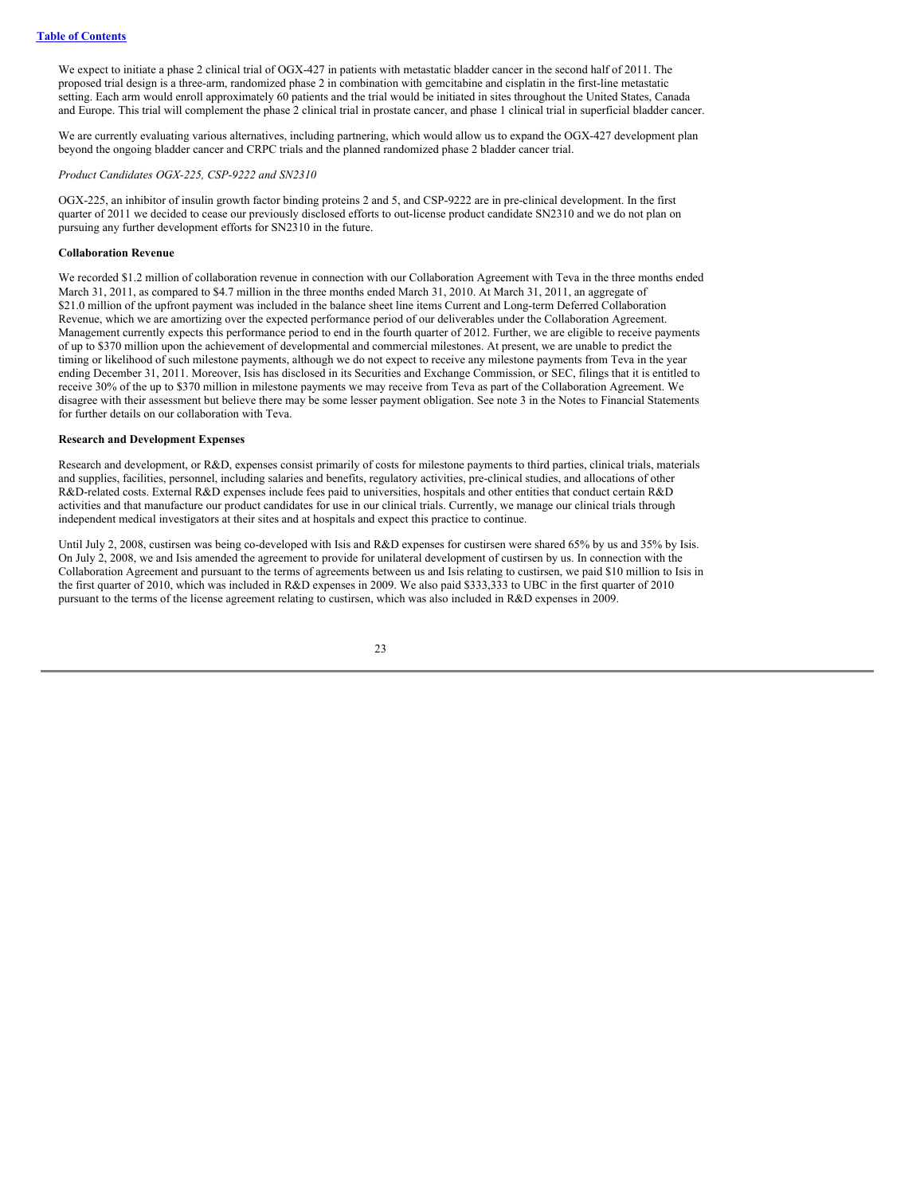We expect to initiate a phase 2 clinical trial of OGX-427 in patients with metastatic bladder cancer in the second half of 2011. The proposed trial design is a three-arm, randomized phase 2 in combination with gemcitabine and cisplatin in the first-line metastatic setting. Each arm would enroll approximately 60 patients and the trial would be initiated in sites throughout the United States, Canada and Europe. This trial will complement the phase 2 clinical trial in prostate cancer, and phase 1 clinical trial in superficial bladder cancer.

We are currently evaluating various alternatives, including partnering, which would allow us to expand the OGX-427 development plan beyond the ongoing bladder cancer and CRPC trials and the planned randomized phase 2 bladder cancer trial.

*Product Candidates OGX-225, CSP-9222 and SN2310*

OGX-225, an inhibitor of insulin growth factor binding proteins 2 and 5, and CSP-9222 are in pre-clinical development. In the first quarter of 2011 we decided to cease our previously disclosed efforts to out-license product candidate SN2310 and we do not plan on pursuing any further development efforts for SN2310 in the future.

#### **Collaboration Revenue**

We recorded \$1.2 million of collaboration revenue in connection with our Collaboration Agreement with Teva in the three months ended March 31, 2011, as compared to \$4.7 million in the three months ended March 31, 2010. At March 31, 2011, an aggregate of \$21.0 million of the upfront payment was included in the balance sheet line items Current and Long-term Deferred Collaboration Revenue, which we are amortizing over the expected performance period of our deliverables under the Collaboration Agreement. Management currently expects this performance period to end in the fourth quarter of 2012. Further, we are eligible to receive payments of up to \$370 million upon the achievement of developmental and commercial milestones. At present, we are unable to predict the timing or likelihood of such milestone payments, although we do not expect to receive any milestone payments from Teva in the year ending December 31, 2011. Moreover, Isis has disclosed in its Securities and Exchange Commission, or SEC, filings that it is entitled to receive 30% of the up to \$370 million in milestone payments we may receive from Teva as part of the Collaboration Agreement. We disagree with their assessment but believe there may be some lesser payment obligation. See note 3 in the Notes to Financial Statements for further details on our collaboration with Teva.

## **Research and Development Expenses**

Research and development, or R&D, expenses consist primarily of costs for milestone payments to third parties, clinical trials, materials and supplies, facilities, personnel, including salaries and benefits, regulatory activities, pre-clinical studies, and allocations of other R&D-related costs. External R&D expenses include fees paid to universities, hospitals and other entities that conduct certain R&D activities and that manufacture our product candidates for use in our clinical trials. Currently, we manage our clinical trials through independent medical investigators at their sites and at hospitals and expect this practice to continue.

Until July 2, 2008, custirsen was being co-developed with Isis and R&D expenses for custirsen were shared 65% by us and 35% by Isis. On July 2, 2008, we and Isis amended the agreement to provide for unilateral development of custirsen by us. In connection with the Collaboration Agreement and pursuant to the terms of agreements between us and Isis relating to custirsen, we paid \$10 million to Isis in the first quarter of 2010, which was included in R&D expenses in 2009. We also paid \$333,333 to UBC in the first quarter of 2010 pursuant to the terms of the license agreement relating to custirsen, which was also included in R&D expenses in 2009.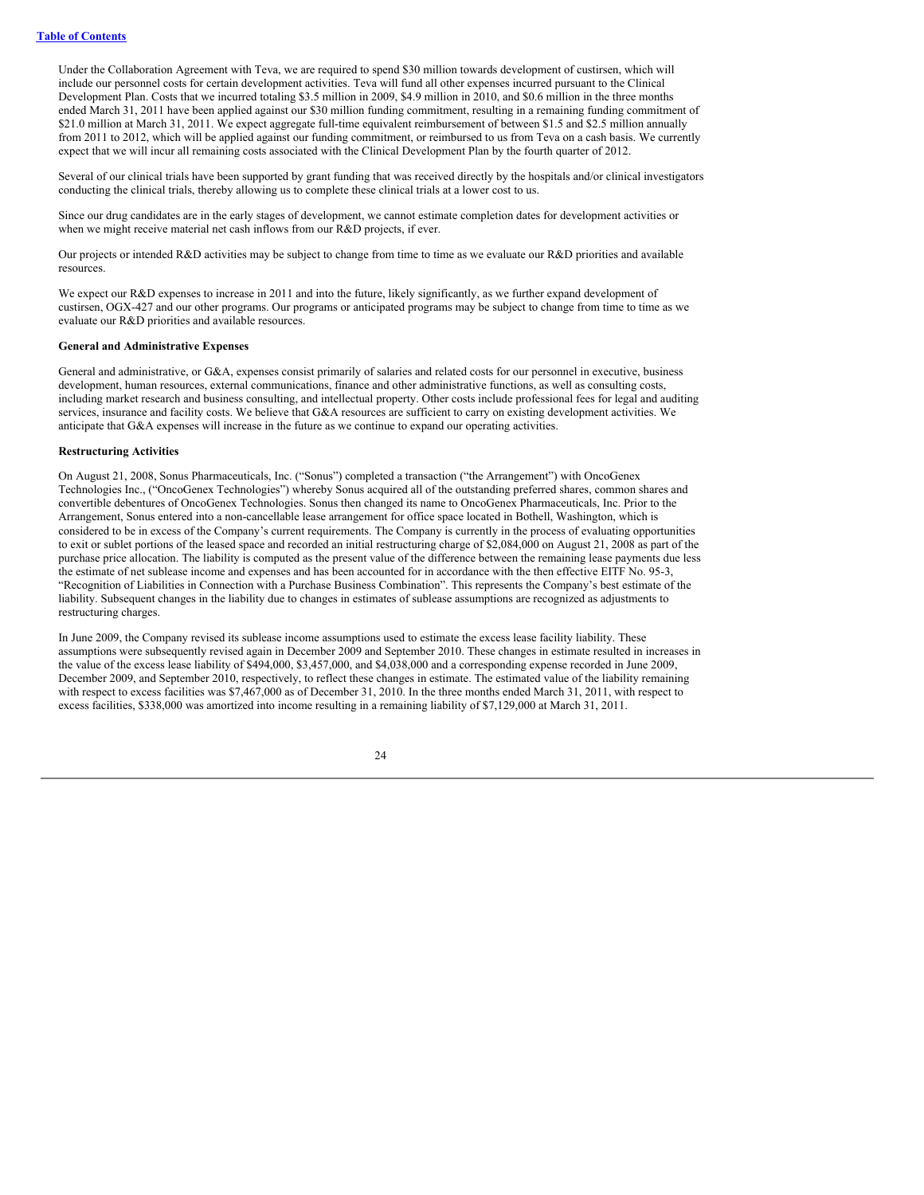Under the Collaboration Agreement with Teva, we are required to spend \$30 million towards development of custirsen, which will include our personnel costs for certain development activities. Teva will fund all other expenses incurred pursuant to the Clinical Development Plan. Costs that we incurred totaling \$3.5 million in 2009, \$4.9 million in 2010, and \$0.6 million in the three months ended March 31, 2011 have been applied against our \$30 million funding commitment, resulting in a remaining funding commitment of \$21.0 million at March 31, 2011. We expect aggregate full-time equivalent reimbursement of between \$1.5 and \$2.5 million annually from 2011 to 2012, which will be applied against our funding commitment, or reimbursed to us from Teva on a cash basis. We currently expect that we will incur all remaining costs associated with the Clinical Development Plan by the fourth quarter of 2012.

Several of our clinical trials have been supported by grant funding that was received directly by the hospitals and/or clinical investigators conducting the clinical trials, thereby allowing us to complete these clinical trials at a lower cost to us.

Since our drug candidates are in the early stages of development, we cannot estimate completion dates for development activities or when we might receive material net cash inflows from our R&D projects, if ever.

Our projects or intended R&D activities may be subject to change from time to time as we evaluate our R&D priorities and available resources.

We expect our R&D expenses to increase in 2011 and into the future, likely significantly, as we further expand development of custirsen, OGX-427 and our other programs. Our programs or anticipated programs may be subject to change from time to time as we evaluate our R&D priorities and available resources.

## **General and Administrative Expenses**

General and administrative, or G&A, expenses consist primarily of salaries and related costs for our personnel in executive, business development, human resources, external communications, finance and other administrative functions, as well as consulting costs, including market research and business consulting, and intellectual property. Other costs include professional fees for legal and auditing services, insurance and facility costs. We believe that G&A resources are sufficient to carry on existing development activities. We anticipate that G&A expenses will increase in the future as we continue to expand our operating activities.

## **Restructuring Activities**

On August 21, 2008, Sonus Pharmaceuticals, Inc. ("Sonus") completed a transaction ("the Arrangement") with OncoGenex Technologies Inc., ("OncoGenex Technologies") whereby Sonus acquired all of the outstanding preferred shares, common shares and convertible debentures of OncoGenex Technologies. Sonus then changed its name to OncoGenex Pharmaceuticals, Inc. Prior to the Arrangement, Sonus entered into a non-cancellable lease arrangement for office space located in Bothell, Washington, which is considered to be in excess of the Company's current requirements. The Company is currently in the process of evaluating opportunities to exit or sublet portions of the leased space and recorded an initial restructuring charge of \$2,084,000 on August 21, 2008 as part of the purchase price allocation. The liability is computed as the present value of the difference between the remaining lease payments due less the estimate of net sublease income and expenses and has been accounted for in accordance with the then effective EITF No. 95-3, "Recognition of Liabilities in Connection with a Purchase Business Combination". This represents the Company's best estimate of the liability. Subsequent changes in the liability due to changes in estimates of sublease assumptions are recognized as adjustments to restructuring charges.

In June 2009, the Company revised its sublease income assumptions used to estimate the excess lease facility liability. These assumptions were subsequently revised again in December 2009 and September 2010. These changes in estimate resulted in increases in the value of the excess lease liability of \$494,000, \$3,457,000, and \$4,038,000 and a corresponding expense recorded in June 2009, December 2009, and September 2010, respectively, to reflect these changes in estimate. The estimated value of the liability remaining with respect to excess facilities was \$7,467,000 as of December 31, 2010. In the three months ended March 31, 2011, with respect to excess facilities, \$338,000 was amortized into income resulting in a remaining liability of \$7,129,000 at March 31, 2011.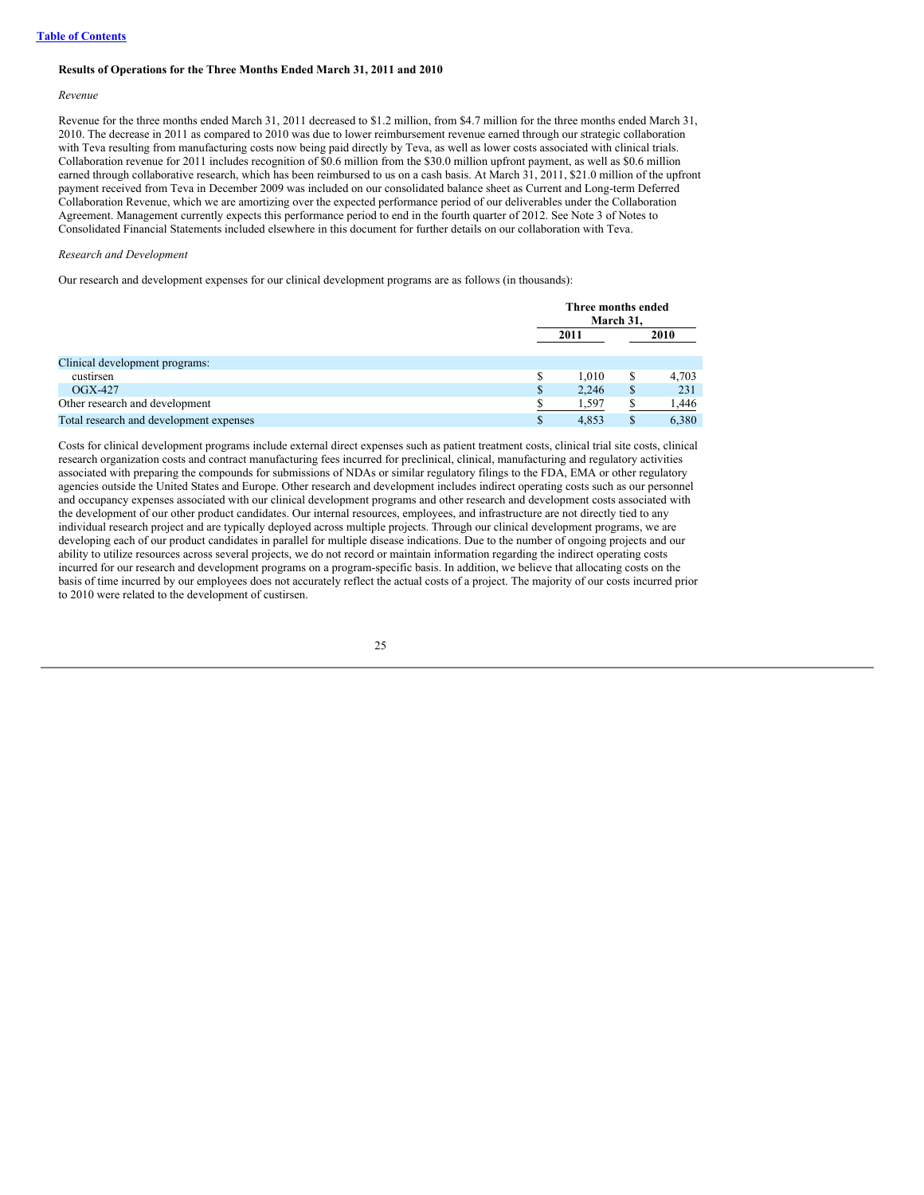## **Results of Operations for the Three Months Ended March 31, 2011 and 2010**

## *Revenue*

Revenue for the three months ended March 31, 2011 decreased to \$1.2 million, from \$4.7 million for the three months ended March 31, 2010. The decrease in 2011 as compared to 2010 was due to lower reimbursement revenue earned through our strategic collaboration with Teva resulting from manufacturing costs now being paid directly by Teva, as well as lower costs associated with clinical trials. Collaboration revenue for 2011 includes recognition of \$0.6 million from the \$30.0 million upfront payment, as well as \$0.6 million earned through collaborative research, which has been reimbursed to us on a cash basis. At March 31, 2011, \$21.0 million of the upfront payment received from Teva in December 2009 was included on our consolidated balance sheet as Current and Long-term Deferred Collaboration Revenue, which we are amortizing over the expected performance period of our deliverables under the Collaboration Agreement. Management currently expects this performance period to end in the fourth quarter of 2012. See Note 3 of Notes to Consolidated Financial Statements included elsewhere in this document for further details on our collaboration with Teva.

## *Research and Development*

Our research and development expenses for our clinical development programs are as follows (in thousands):

|                                         |   | Three months ended<br>March 31. |   |       |  |
|-----------------------------------------|---|---------------------------------|---|-------|--|
|                                         |   | 2011                            |   | 2010  |  |
| Clinical development programs:          |   |                                 |   |       |  |
| custirsen                               | S | 1.010                           |   | 4,703 |  |
| OGX-427                                 | S | 2,246                           | ъ | 231   |  |
| Other research and development          |   | 1,597                           |   | 1,446 |  |
| Total research and development expenses |   | 4.853                           |   | 6.380 |  |

Costs for clinical development programs include external direct expenses such as patient treatment costs, clinical trial site costs, clinical research organization costs and contract manufacturing fees incurred for preclinical, clinical, manufacturing and regulatory activities associated with preparing the compounds for submissions of NDAs or similar regulatory filings to the FDA, EMA or other regulatory agencies outside the United States and Europe. Other research and development includes indirect operating costs such as our personnel and occupancy expenses associated with our clinical development programs and other research and development costs associated with the development of our other product candidates. Our internal resources, employees, and infrastructure are not directly tied to any individual research project and are typically deployed across multiple projects. Through our clinical development programs, we are developing each of our product candidates in parallel for multiple disease indications. Due to the number of ongoing projects and our ability to utilize resources across several projects, we do not record or maintain information regarding the indirect operating costs incurred for our research and development programs on a program-specific basis. In addition, we believe that allocating costs on the basis of time incurred by our employees does not accurately reflect the actual costs of a project. The majority of our costs incurred prior to 2010 were related to the development of custirsen.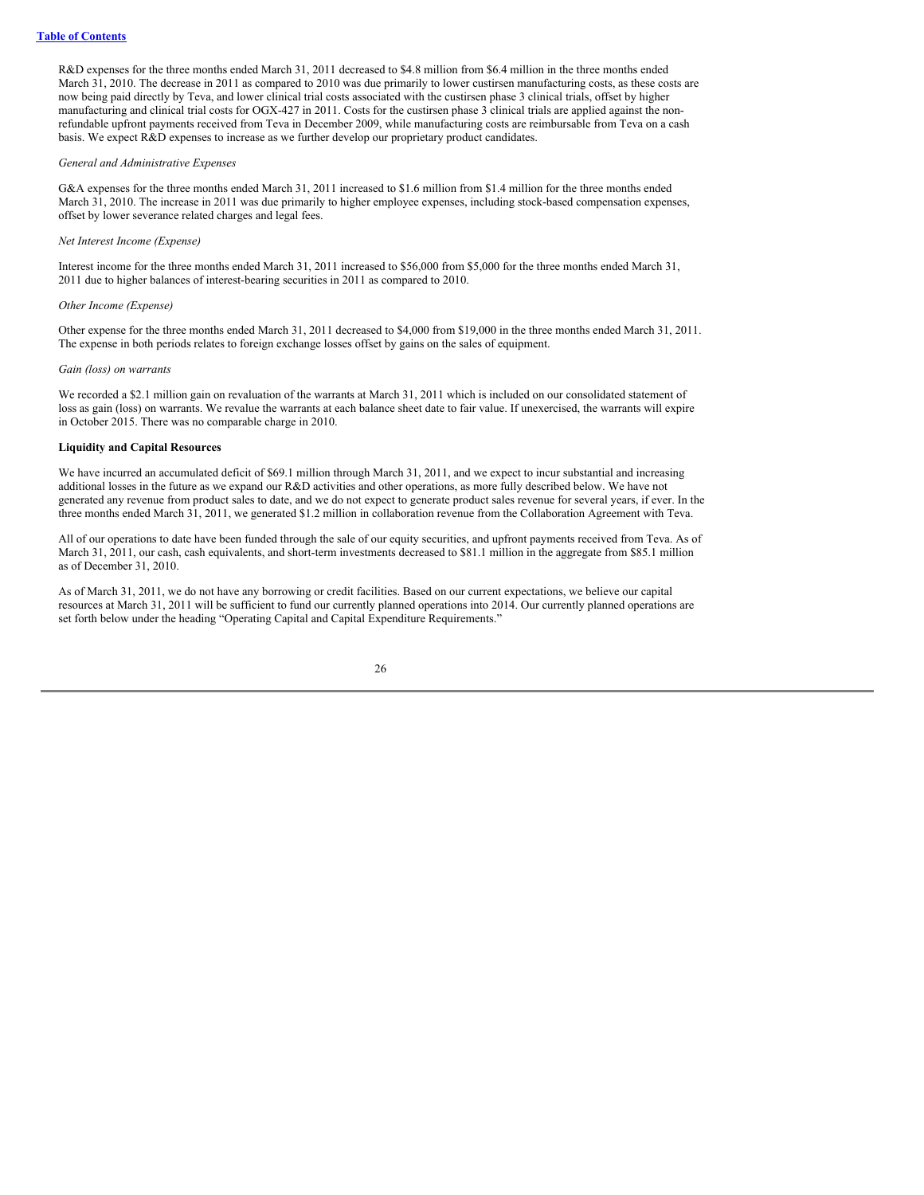R&D expenses for the three months ended March 31, 2011 decreased to \$4.8 million from \$6.4 million in the three months ended March 31, 2010. The decrease in 2011 as compared to 2010 was due primarily to lower custirsen manufacturing costs, as these costs are now being paid directly by Teva, and lower clinical trial costs associated with the custirsen phase 3 clinical trials, offset by higher manufacturing and clinical trial costs for OGX-427 in 2011. Costs for the custirsen phase 3 clinical trials are applied against the nonrefundable upfront payments received from Teva in December 2009, while manufacturing costs are reimbursable from Teva on a cash basis. We expect R&D expenses to increase as we further develop our proprietary product candidates.

## *General and Administrative Expenses*

G&A expenses for the three months ended March 31, 2011 increased to \$1.6 million from \$1.4 million for the three months ended March 31, 2010. The increase in 2011 was due primarily to higher employee expenses, including stock-based compensation expenses, offset by lower severance related charges and legal fees.

#### *Net Interest Income (Expense)*

Interest income for the three months ended March 31, 2011 increased to \$56,000 from \$5,000 for the three months ended March 31, 2011 due to higher balances of interest-bearing securities in 2011 as compared to 2010.

#### *Other Income (Expense)*

Other expense for the three months ended March 31, 2011 decreased to \$4,000 from \$19,000 in the three months ended March 31, 2011. The expense in both periods relates to foreign exchange losses offset by gains on the sales of equipment.

#### *Gain (loss) on warrants*

We recorded a \$2.1 million gain on revaluation of the warrants at March 31, 2011 which is included on our consolidated statement of loss as gain (loss) on warrants. We revalue the warrants at each balance sheet date to fair value. If unexercised, the warrants will expire in October 2015. There was no comparable charge in 2010.

## **Liquidity and Capital Resources**

We have incurred an accumulated deficit of \$69.1 million through March 31, 2011, and we expect to incur substantial and increasing additional losses in the future as we expand our R&D activities and other operations, as more fully described below. We have not generated any revenue from product sales to date, and we do not expect to generate product sales revenue for several years, if ever. In the three months ended March 31, 2011, we generated \$1.2 million in collaboration revenue from the Collaboration Agreement with Teva.

All of our operations to date have been funded through the sale of our equity securities, and upfront payments received from Teva. As of March 31, 2011, our cash, cash equivalents, and short-term investments decreased to \$81.1 million in the aggregate from \$85.1 million as of December 31, 2010.

As of March 31, 2011, we do not have any borrowing or credit facilities. Based on our current expectations, we believe our capital resources at March 31, 2011 will be sufficient to fund our currently planned operations into 2014. Our currently planned operations are set forth below under the heading "Operating Capital and Capital Expenditure Requirements."

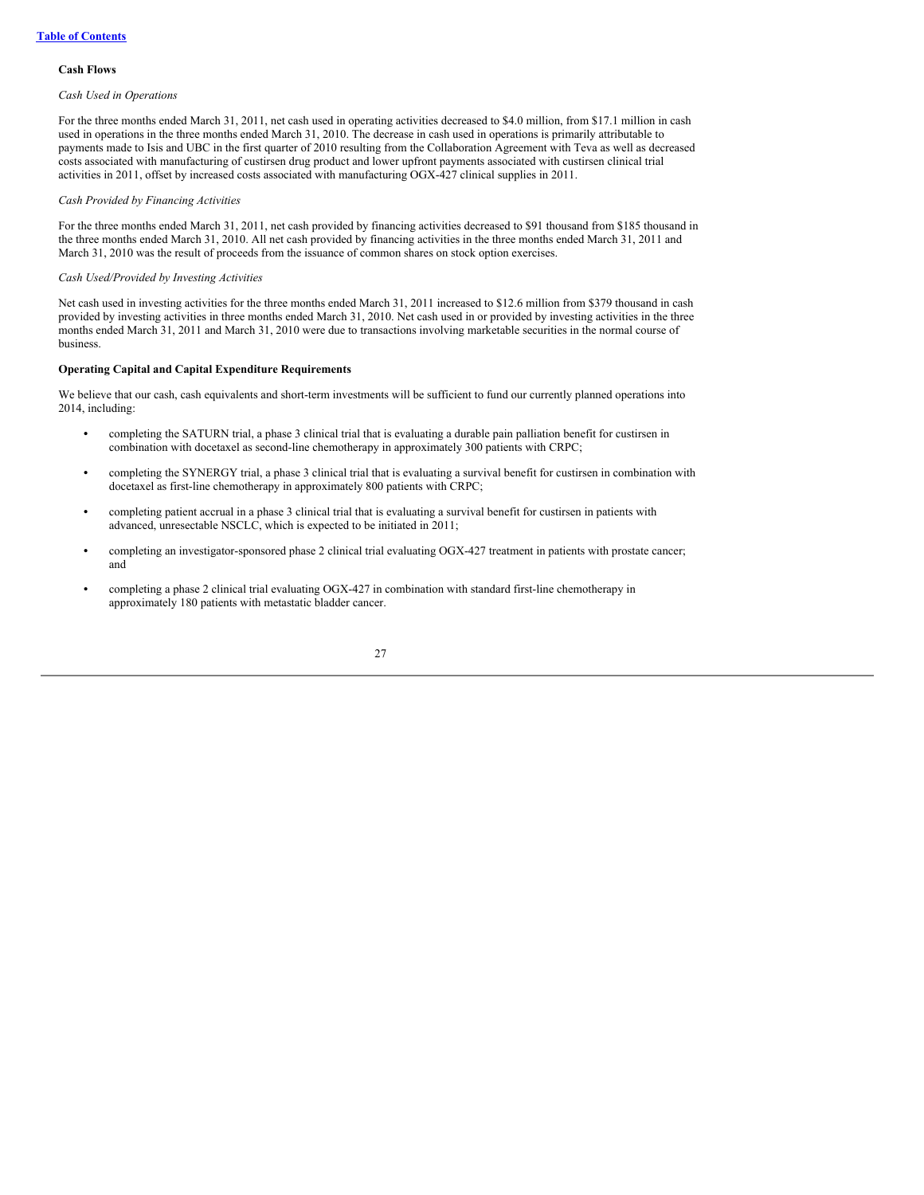## **Cash Flows**

*Cash Used in Operations*

For the three months ended March 31, 2011, net cash used in operating activities decreased to \$4.0 million, from \$17.1 million in cash used in operations in the three months ended March 31, 2010. The decrease in cash used in operations is primarily attributable to payments made to Isis and UBC in the first quarter of 2010 resulting from the Collaboration Agreement with Teva as well as decreased costs associated with manufacturing of custirsen drug product and lower upfront payments associated with custirsen clinical trial activities in 2011, offset by increased costs associated with manufacturing OGX-427 clinical supplies in 2011.

## *Cash Provided by Financing Activities*

For the three months ended March 31, 2011, net cash provided by financing activities decreased to \$91 thousand from \$185 thousand in the three months ended March 31, 2010. All net cash provided by financing activities in the three months ended March 31, 2011 and March 31, 2010 was the result of proceeds from the issuance of common shares on stock option exercises.

## *Cash Used/Provided by Investing Activities*

Net cash used in investing activities for the three months ended March 31, 2011 increased to \$12.6 million from \$379 thousand in cash provided by investing activities in three months ended March 31, 2010. Net cash used in or provided by investing activities in the three months ended March 31, 2011 and March 31, 2010 were due to transactions involving marketable securities in the normal course of business.

#### **Operating Capital and Capital Expenditure Requirements**

We believe that our cash, cash equivalents and short-term investments will be sufficient to fund our currently planned operations into 2014, including:

- **•** completing the SATURN trial, a phase 3 clinical trial that is evaluating a durable pain palliation benefit for custirsen in combination with docetaxel as second-line chemotherapy in approximately 300 patients with CRPC;
- **•** completing the SYNERGY trial, a phase 3 clinical trial that is evaluating a survival benefit for custirsen in combination with docetaxel as first-line chemotherapy in approximately 800 patients with CRPC;
- **•** completing patient accrual in a phase 3 clinical trial that is evaluating a survival benefit for custirsen in patients with advanced, unresectable NSCLC, which is expected to be initiated in 2011;
- **•** completing an investigator-sponsored phase 2 clinical trial evaluating OGX-427 treatment in patients with prostate cancer; and
- **•** completing a phase 2 clinical trial evaluating OGX-427 in combination with standard first-line chemotherapy in approximately 180 patients with metastatic bladder cancer.

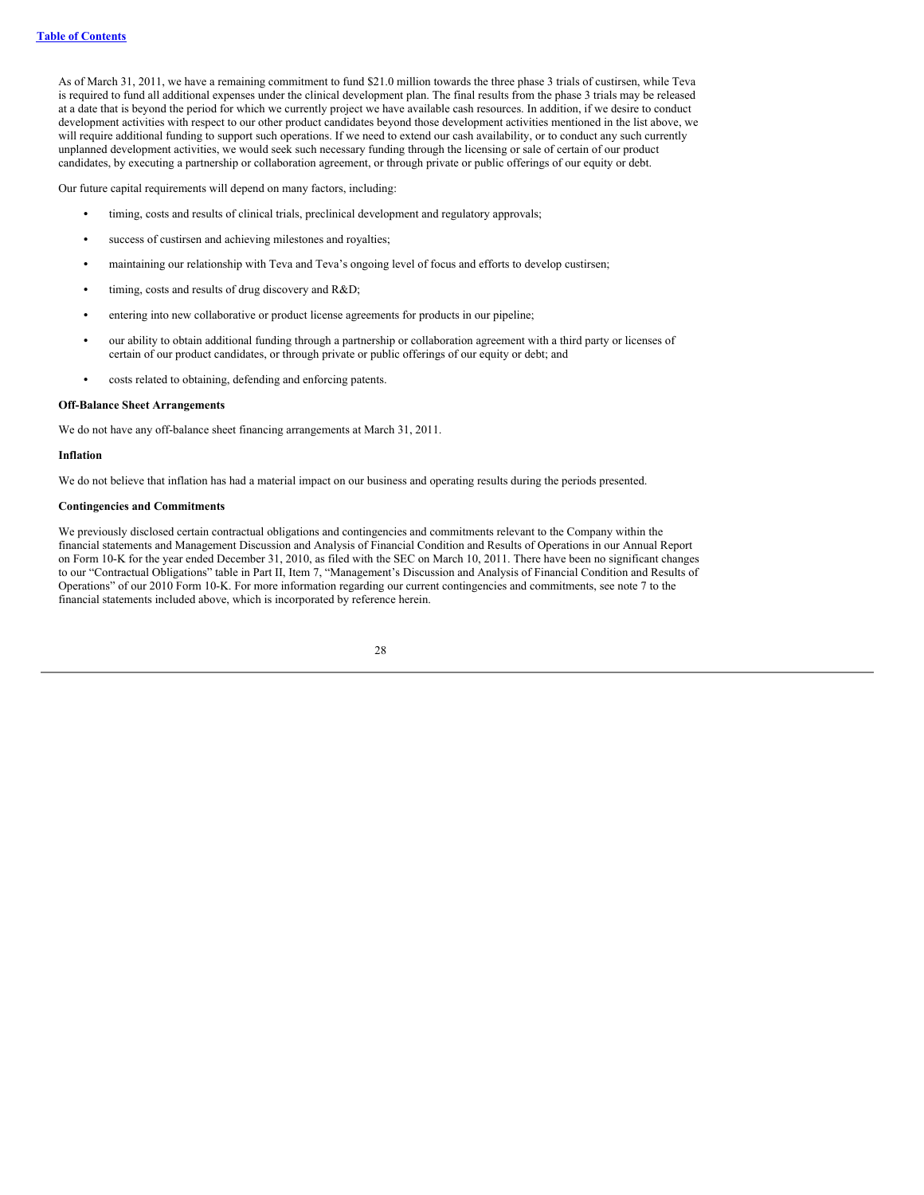As of March 31, 2011, we have a remaining commitment to fund \$21.0 million towards the three phase 3 trials of custirsen, while Teva is required to fund all additional expenses under the clinical development plan. The final results from the phase 3 trials may be released at a date that is beyond the period for which we currently project we have available cash resources. In addition, if we desire to conduct development activities with respect to our other product candidates beyond those development activities mentioned in the list above, we will require additional funding to support such operations. If we need to extend our cash availability, or to conduct any such currently unplanned development activities, we would seek such necessary funding through the licensing or sale of certain of our product candidates, by executing a partnership or collaboration agreement, or through private or public offerings of our equity or debt.

Our future capital requirements will depend on many factors, including:

- **•** timing, costs and results of clinical trials, preclinical development and regulatory approvals;
- **•** success of custirsen and achieving milestones and royalties;
- **•** maintaining our relationship with Teva and Teva's ongoing level of focus and efforts to develop custirsen;
- **•** timing, costs and results of drug discovery and R&D;
- **•** entering into new collaborative or product license agreements for products in our pipeline;
- **•** our ability to obtain additional funding through a partnership or collaboration agreement with a third party or licenses of certain of our product candidates, or through private or public offerings of our equity or debt; and
- **•** costs related to obtaining, defending and enforcing patents.

#### **Off-Balance Sheet Arrangements**

We do not have any off-balance sheet financing arrangements at March 31, 2011.

## **Inflation**

We do not believe that inflation has had a material impact on our business and operating results during the periods presented.

## **Contingencies and Commitments**

We previously disclosed certain contractual obligations and contingencies and commitments relevant to the Company within the financial statements and Management Discussion and Analysis of Financial Condition and Results of Operations in our Annual Report on Form 10-K for the year ended December 31, 2010, as filed with the SEC on March 10, 2011. There have been no significant changes to our "Contractual Obligations" table in Part II, Item 7, "Management's Discussion and Analysis of Financial Condition and Results of Operations" of our 2010 Form 10-K. For more information regarding our current contingencies and commitments, see note 7 to the financial statements included above, which is incorporated by reference herein.

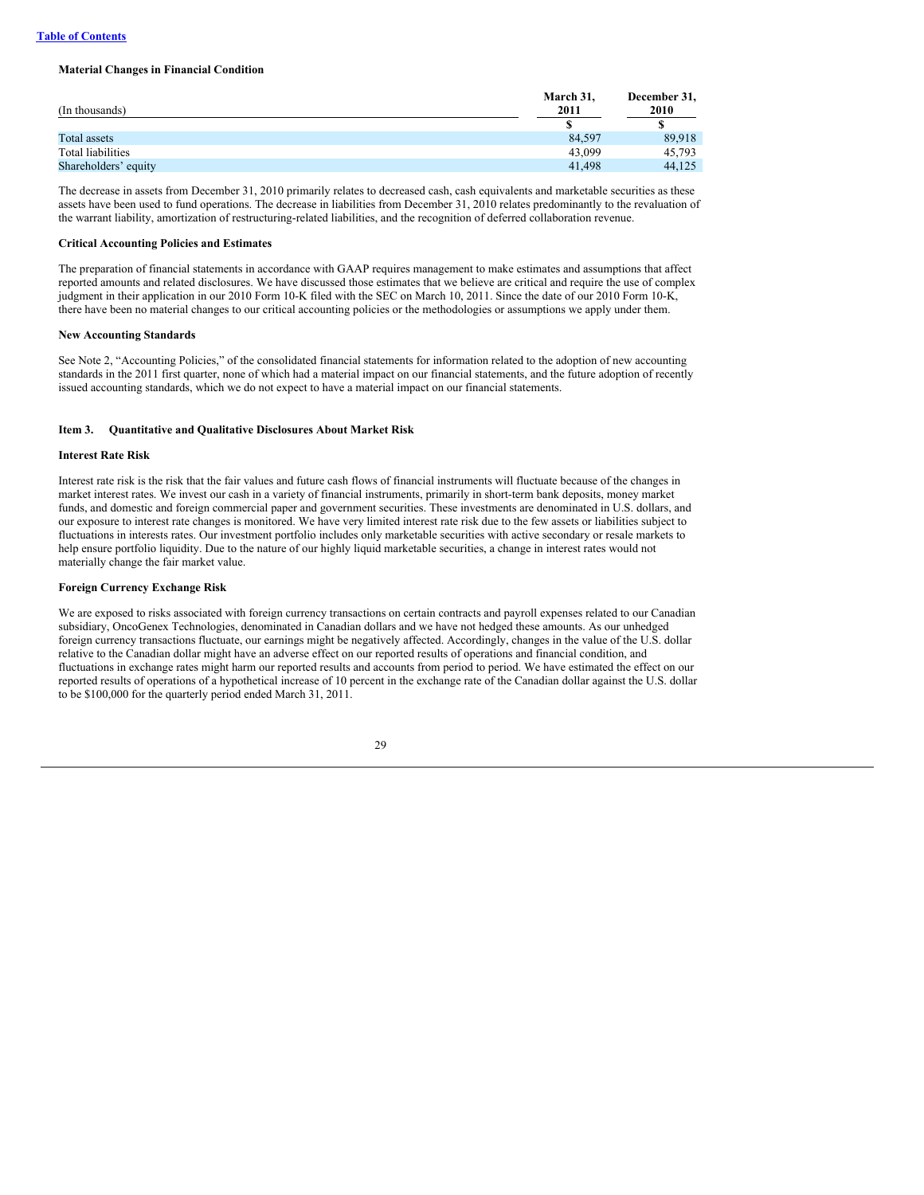## **Material Changes in Financial Condition**

| (In thousands)       | March 31.<br>2011 | December 31,<br>2010 |
|----------------------|-------------------|----------------------|
|                      |                   | S                    |
| Total assets         | 84.597            | 89,918               |
| Total liabilities    | 43,099            | 45,793               |
| Shareholders' equity | 41.498            | 44,125               |

The decrease in assets from December 31, 2010 primarily relates to decreased cash, cash equivalents and marketable securities as these assets have been used to fund operations. The decrease in liabilities from December 31, 2010 relates predominantly to the revaluation of the warrant liability, amortization of restructuring-related liabilities, and the recognition of deferred collaboration revenue.

## **Critical Accounting Policies and Estimates**

The preparation of financial statements in accordance with GAAP requires management to make estimates and assumptions that affect reported amounts and related disclosures. We have discussed those estimates that we believe are critical and require the use of complex judgment in their application in our 2010 Form 10-K filed with the SEC on March 10, 2011. Since the date of our 2010 Form 10-K, there have been no material changes to our critical accounting policies or the methodologies or assumptions we apply under them.

#### **New Accounting Standards**

See Note 2, "Accounting Policies," of the consolidated financial statements for information related to the adoption of new accounting standards in the 2011 first quarter, none of which had a material impact on our financial statements, and the future adoption of recently issued accounting standards, which we do not expect to have a material impact on our financial statements.

## <span id="page-28-0"></span>**Item 3. Quantitative and Qualitative Disclosures About Market Risk**

## **Interest Rate Risk**

Interest rate risk is the risk that the fair values and future cash flows of financial instruments will fluctuate because of the changes in market interest rates. We invest our cash in a variety of financial instruments, primarily in short-term bank deposits, money market funds, and domestic and foreign commercial paper and government securities. These investments are denominated in U.S. dollars, and our exposure to interest rate changes is monitored. We have very limited interest rate risk due to the few assets or liabilities subject to fluctuations in interests rates. Our investment portfolio includes only marketable securities with active secondary or resale markets to help ensure portfolio liquidity. Due to the nature of our highly liquid marketable securities, a change in interest rates would not materially change the fair market value.

#### **Foreign Currency Exchange Risk**

We are exposed to risks associated with foreign currency transactions on certain contracts and payroll expenses related to our Canadian subsidiary, OncoGenex Technologies, denominated in Canadian dollars and we have not hedged these amounts. As our unhedged foreign currency transactions fluctuate, our earnings might be negatively affected. Accordingly, changes in the value of the U.S. dollar relative to the Canadian dollar might have an adverse effect on our reported results of operations and financial condition, and fluctuations in exchange rates might harm our reported results and accounts from period to period. We have estimated the effect on our reported results of operations of a hypothetical increase of 10 percent in the exchange rate of the Canadian dollar against the U.S. dollar to be \$100,000 for the quarterly period ended March 31, 2011.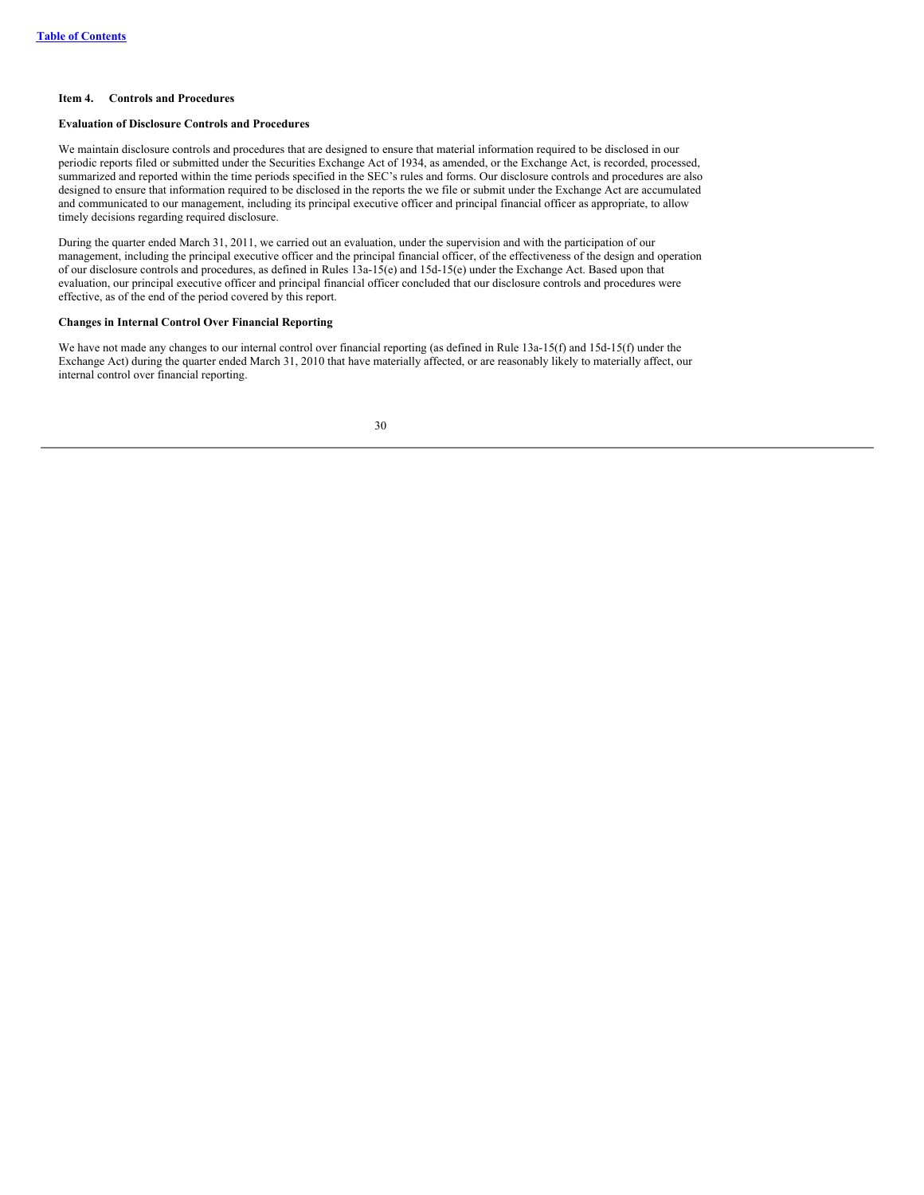## <span id="page-29-0"></span>**Item 4. Controls and Procedures**

## **Evaluation of Disclosure Controls and Procedures**

We maintain disclosure controls and procedures that are designed to ensure that material information required to be disclosed in our periodic reports filed or submitted under the Securities Exchange Act of 1934, as amended, or the Exchange Act, is recorded, processed, summarized and reported within the time periods specified in the SEC's rules and forms. Our disclosure controls and procedures are also designed to ensure that information required to be disclosed in the reports the we file or submit under the Exchange Act are accumulated and communicated to our management, including its principal executive officer and principal financial officer as appropriate, to allow timely decisions regarding required disclosure.

During the quarter ended March 31, 2011, we carried out an evaluation, under the supervision and with the participation of our management, including the principal executive officer and the principal financial officer, of the effectiveness of the design and operation of our disclosure controls and procedures, as defined in Rules 13a-15(e) and 15d-15(e) under the Exchange Act. Based upon that evaluation, our principal executive officer and principal financial officer concluded that our disclosure controls and procedures were effective, as of the end of the period covered by this report.

## **Changes in Internal Control Over Financial Reporting**

We have not made any changes to our internal control over financial reporting (as defined in Rule 13a-15(f) and 15d-15(f) under the Exchange Act) during the quarter ended March 31, 2010 that have materially affected, or are reasonably likely to materially affect, our internal control over financial reporting.

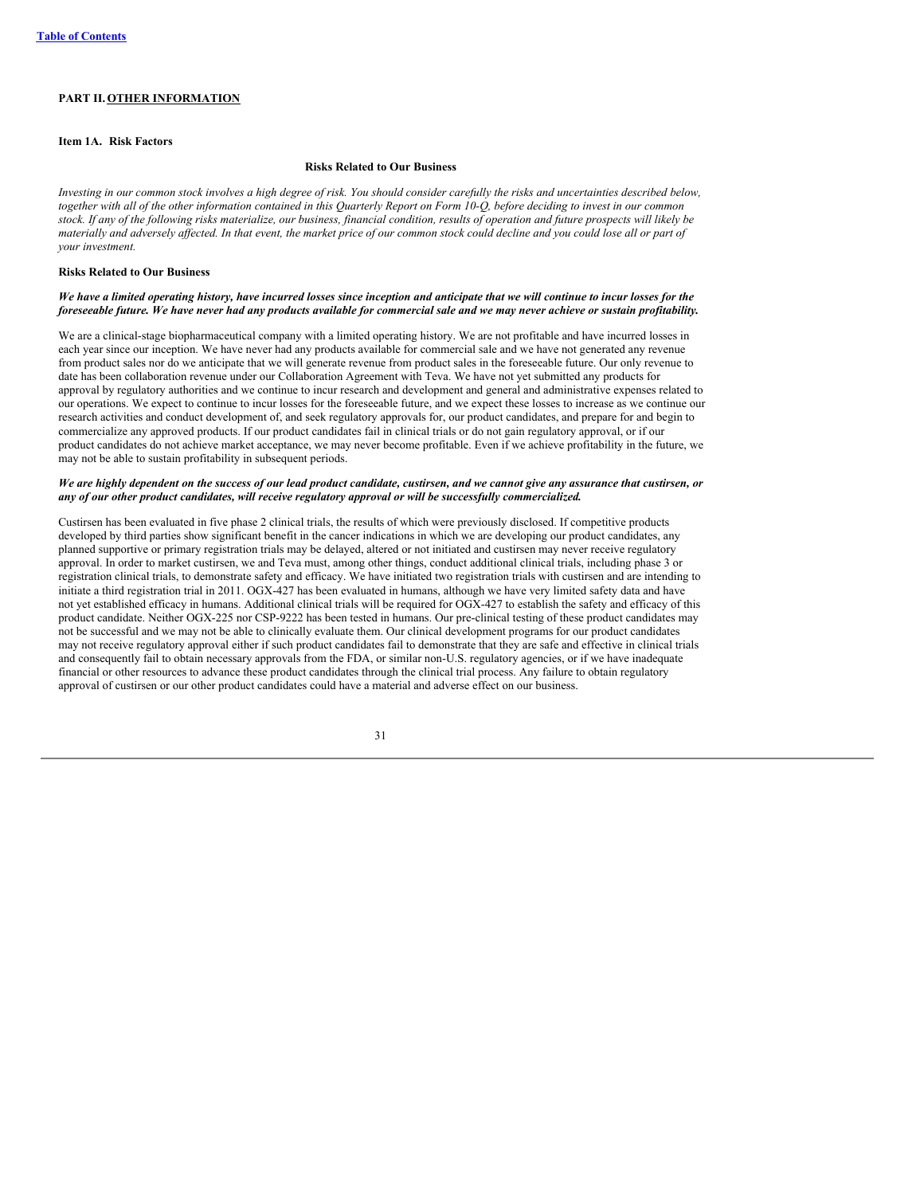## <span id="page-30-1"></span><span id="page-30-0"></span>**PART II. OTHER INFORMATION**

## **Item 1A. Risk Factors**

## **Risks Related to Our Business**

Investing in our common stock involves a high degree of risk. You should consider carefully the risks and uncertainties described below, together with all of the other information contained in this Quarterly Report on Form 10-Q, before deciding to invest in our common stock. If any of the following risks materialize, our business, financial condition, results of operation and future prospects will likely be materially and adversely affected. In that event, the market price of our common stock could decline and you could lose all or part of *your investment.*

## **Risks Related to Our Business**

## We have a limited operating history, have incurred losses since inception and anticipate that we will continue to incur losses for the foreseeable future. We have never had any products available for commercial sale and we may never achieve or sustain profitability.

We are a clinical-stage biopharmaceutical company with a limited operating history. We are not profitable and have incurred losses in each year since our inception. We have never had any products available for commercial sale and we have not generated any revenue from product sales nor do we anticipate that we will generate revenue from product sales in the foreseeable future. Our only revenue to date has been collaboration revenue under our Collaboration Agreement with Teva. We have not yet submitted any products for approval by regulatory authorities and we continue to incur research and development and general and administrative expenses related to our operations. We expect to continue to incur losses for the foreseeable future, and we expect these losses to increase as we continue our research activities and conduct development of, and seek regulatory approvals for, our product candidates, and prepare for and begin to commercialize any approved products. If our product candidates fail in clinical trials or do not gain regulatory approval, or if our product candidates do not achieve market acceptance, we may never become profitable. Even if we achieve profitability in the future, we may not be able to sustain profitability in subsequent periods.

## We are highly dependent on the success of our lead product candidate, custirsen, and we cannot give any assurance that custirsen, or *any of our other product candidates, will receive regulatory approval or will be successfully commercialized.*

Custirsen has been evaluated in five phase 2 clinical trials, the results of which were previously disclosed. If competitive products developed by third parties show significant benefit in the cancer indications in which we are developing our product candidates, any planned supportive or primary registration trials may be delayed, altered or not initiated and custirsen may never receive regulatory approval. In order to market custirsen, we and Teva must, among other things, conduct additional clinical trials, including phase 3 or registration clinical trials, to demonstrate safety and efficacy. We have initiated two registration trials with custirsen and are intending to initiate a third registration trial in 2011. OGX-427 has been evaluated in humans, although we have very limited safety data and have not yet established efficacy in humans. Additional clinical trials will be required for OGX-427 to establish the safety and efficacy of this product candidate. Neither OGX-225 nor CSP-9222 has been tested in humans. Our pre-clinical testing of these product candidates may not be successful and we may not be able to clinically evaluate them. Our clinical development programs for our product candidates may not receive regulatory approval either if such product candidates fail to demonstrate that they are safe and effective in clinical trials and consequently fail to obtain necessary approvals from the FDA, or similar non-U.S. regulatory agencies, or if we have inadequate financial or other resources to advance these product candidates through the clinical trial process. Any failure to obtain regulatory approval of custirsen or our other product candidates could have a material and adverse effect on our business.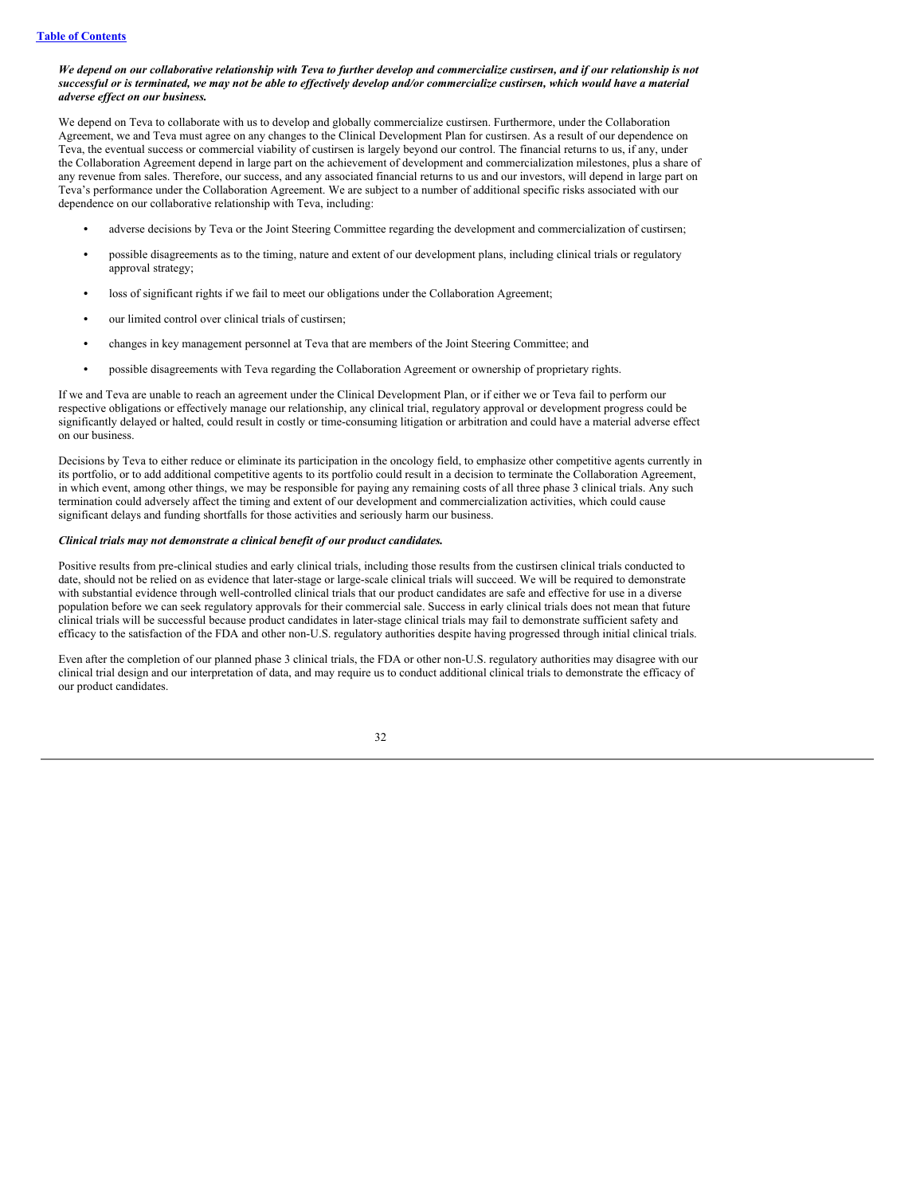## We depend on our collaborative relationship with Teva to further develop and commercialize custirsen, and if our relationship is not successful or is terminated, we may not be able to effectively develop and/or commercialize custirsen, which would have a material *adverse ef ect on our business.*

We depend on Teva to collaborate with us to develop and globally commercialize custirsen. Furthermore, under the Collaboration Agreement, we and Teva must agree on any changes to the Clinical Development Plan for custirsen. As a result of our dependence on Teva, the eventual success or commercial viability of custirsen is largely beyond our control. The financial returns to us, if any, under the Collaboration Agreement depend in large part on the achievement of development and commercialization milestones, plus a share of any revenue from sales. Therefore, our success, and any associated financial returns to us and our investors, will depend in large part on Teva's performance under the Collaboration Agreement. We are subject to a number of additional specific risks associated with our dependence on our collaborative relationship with Teva, including:

- **•** adverse decisions by Teva or the Joint Steering Committee regarding the development and commercialization of custirsen;
- **•** possible disagreements as to the timing, nature and extent of our development plans, including clinical trials or regulatory approval strategy;
- loss of significant rights if we fail to meet our obligations under the Collaboration Agreement;
- **•** our limited control over clinical trials of custirsen;
- **•** changes in key management personnel at Teva that are members of the Joint Steering Committee; and
- possible disagreements with Teva regarding the Collaboration Agreement or ownership of proprietary rights.

If we and Teva are unable to reach an agreement under the Clinical Development Plan, or if either we or Teva fail to perform our respective obligations or effectively manage our relationship, any clinical trial, regulatory approval or development progress could be significantly delayed or halted, could result in costly or time-consuming litigation or arbitration and could have a material adverse effect on our business.

Decisions by Teva to either reduce or eliminate its participation in the oncology field, to emphasize other competitive agents currently in its portfolio, or to add additional competitive agents to its portfolio could result in a decision to terminate the Collaboration Agreement, in which event, among other things, we may be responsible for paying any remaining costs of all three phase 3 clinical trials. Any such termination could adversely affect the timing and extent of our development and commercialization activities, which could cause significant delays and funding shortfalls for those activities and seriously harm our business.

#### *Clinical trials may not demonstrate a clinical benefit of our product candidates.*

Positive results from pre-clinical studies and early clinical trials, including those results from the custirsen clinical trials conducted to date, should not be relied on as evidence that later-stage or large-scale clinical trials will succeed. We will be required to demonstrate with substantial evidence through well-controlled clinical trials that our product candidates are safe and effective for use in a diverse population before we can seek regulatory approvals for their commercial sale. Success in early clinical trials does not mean that future clinical trials will be successful because product candidates in later-stage clinical trials may fail to demonstrate sufficient safety and efficacy to the satisfaction of the FDA and other non-U.S. regulatory authorities despite having progressed through initial clinical trials.

Even after the completion of our planned phase 3 clinical trials, the FDA or other non-U.S. regulatory authorities may disagree with our clinical trial design and our interpretation of data, and may require us to conduct additional clinical trials to demonstrate the efficacy of our product candidates.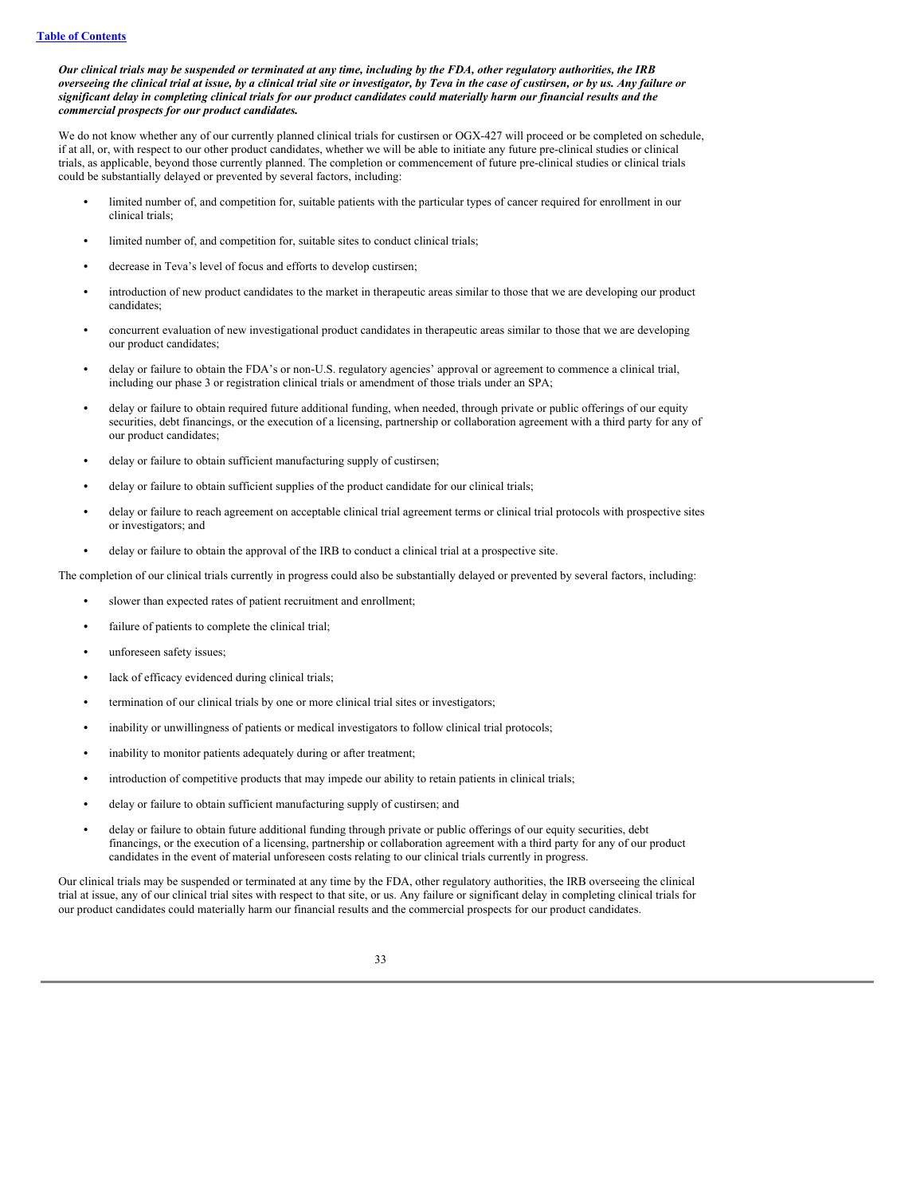Our clinical trials may be suspended or terminated at any time, including by the FDA, other regulatory authorities, the IRB overseeing the clinical trial at issue, by a clinical trial site or investigator, by Teva in the case of custirsen, or by us. Any failure or significant delay in completing clinical trials for our product candidates could materially harm our financial results and the *commercial prospects for our product candidates.*

We do not know whether any of our currently planned clinical trials for custirsen or OGX-427 will proceed or be completed on schedule, if at all, or, with respect to our other product candidates, whether we will be able to initiate any future pre-clinical studies or clinical trials, as applicable, beyond those currently planned. The completion or commencement of future pre-clinical studies or clinical trials could be substantially delayed or prevented by several factors, including:

- **•** limited number of, and competition for, suitable patients with the particular types of cancer required for enrollment in our clinical trials;
- **•** limited number of, and competition for, suitable sites to conduct clinical trials;
- **•** decrease in Teva's level of focus and efforts to develop custirsen;
- **•** introduction of new product candidates to the market in therapeutic areas similar to those that we are developing our product candidates;
- **•** concurrent evaluation of new investigational product candidates in therapeutic areas similar to those that we are developing our product candidates;
- **•** delay or failure to obtain the FDA's or non-U.S. regulatory agencies' approval or agreement to commence a clinical trial, including our phase 3 or registration clinical trials or amendment of those trials under an SPA;
- **•** delay or failure to obtain required future additional funding, when needed, through private or public offerings of our equity securities, debt financings, or the execution of a licensing, partnership or collaboration agreement with a third party for any of our product candidates;
- **•** delay or failure to obtain sufficient manufacturing supply of custirsen;
- **•** delay or failure to obtain sufficient supplies of the product candidate for our clinical trials;
- **•** delay or failure to reach agreement on acceptable clinical trial agreement terms or clinical trial protocols with prospective sites or investigators; and
- **•** delay or failure to obtain the approval of the IRB to conduct a clinical trial at a prospective site.

The completion of our clinical trials currently in progress could also be substantially delayed or prevented by several factors, including:

- slower than expected rates of patient recruitment and enrollment;
- failure of patients to complete the clinical trial;
- **•** unforeseen safety issues;
- **•** lack of efficacy evidenced during clinical trials;
- **•** termination of our clinical trials by one or more clinical trial sites or investigators;
- **•** inability or unwillingness of patients or medical investigators to follow clinical trial protocols;
- **•** inability to monitor patients adequately during or after treatment;
- **•** introduction of competitive products that may impede our ability to retain patients in clinical trials;
- **•** delay or failure to obtain sufficient manufacturing supply of custirsen; and
- **•** delay or failure to obtain future additional funding through private or public offerings of our equity securities, debt financings, or the execution of a licensing, partnership or collaboration agreement with a third party for any of our product candidates in the event of material unforeseen costs relating to our clinical trials currently in progress.

Our clinical trials may be suspended or terminated at any time by the FDA, other regulatory authorities, the IRB overseeing the clinical trial at issue, any of our clinical trial sites with respect to that site, or us. Any failure or significant delay in completing clinical trials for our product candidates could materially harm our financial results and the commercial prospects for our product candidates.

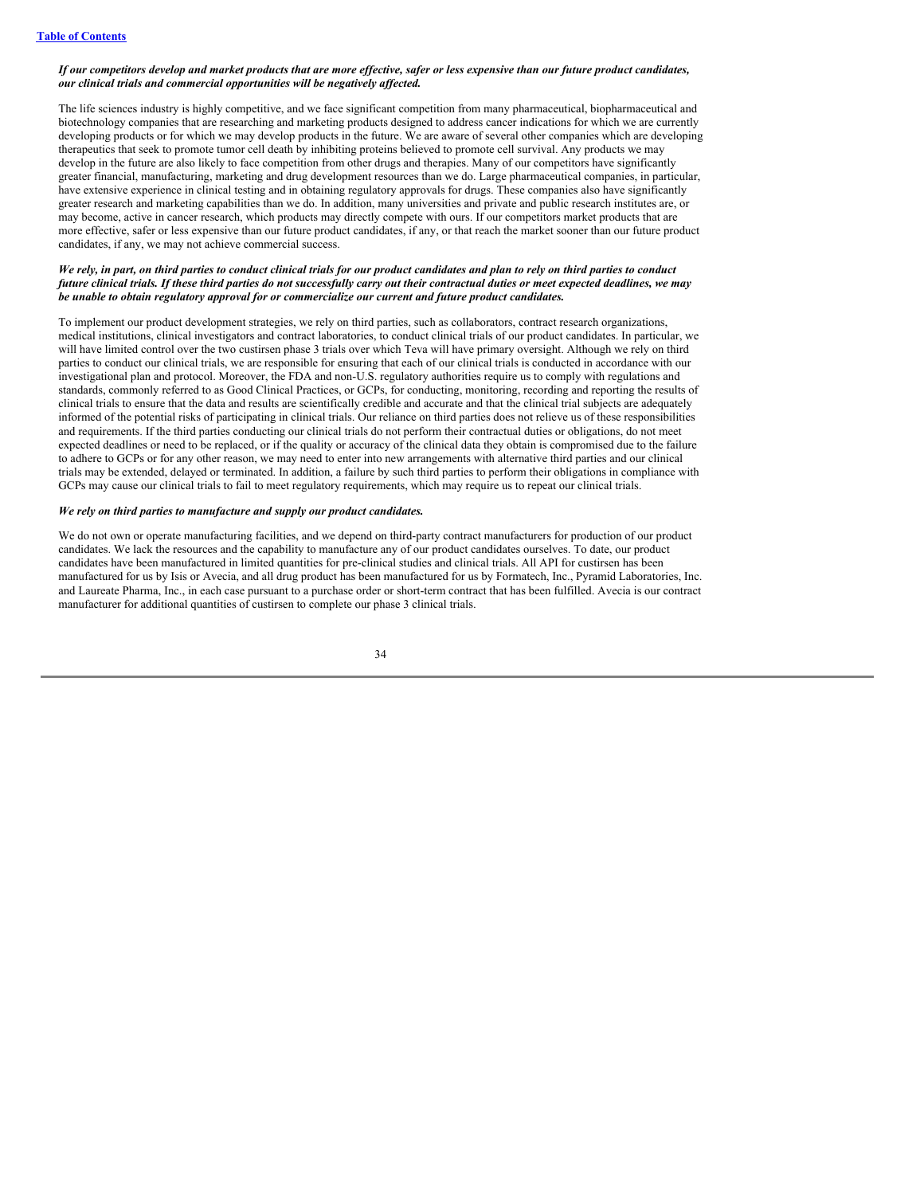## If our competitors develop and market products that are more effective, safer or less expensive than our future product candidates, *our clinical trials and commercial opportunities will be negatively af ected.*

The life sciences industry is highly competitive, and we face significant competition from many pharmaceutical, biopharmaceutical and biotechnology companies that are researching and marketing products designed to address cancer indications for which we are currently developing products or for which we may develop products in the future. We are aware of several other companies which are developing therapeutics that seek to promote tumor cell death by inhibiting proteins believed to promote cell survival. Any products we may develop in the future are also likely to face competition from other drugs and therapies. Many of our competitors have significantly greater financial, manufacturing, marketing and drug development resources than we do. Large pharmaceutical companies, in particular, have extensive experience in clinical testing and in obtaining regulatory approvals for drugs. These companies also have significantly greater research and marketing capabilities than we do. In addition, many universities and private and public research institutes are, or may become, active in cancer research, which products may directly compete with ours. If our competitors market products that are more effective, safer or less expensive than our future product candidates, if any, or that reach the market sooner than our future product candidates, if any, we may not achieve commercial success.

## We rely, in part, on third parties to conduct clinical trials for our product candidates and plan to rely on third parties to conduct future clinical trials. If these third parties do not successfully carry out their contractual duties or meet expected deadlines, we may *be unable to obtain regulatory approval for or commercialize our current and future product candidates.*

To implement our product development strategies, we rely on third parties, such as collaborators, contract research organizations, medical institutions, clinical investigators and contract laboratories, to conduct clinical trials of our product candidates. In particular, we will have limited control over the two custirsen phase 3 trials over which Teva will have primary oversight. Although we rely on third parties to conduct our clinical trials, we are responsible for ensuring that each of our clinical trials is conducted in accordance with our investigational plan and protocol. Moreover, the FDA and non-U.S. regulatory authorities require us to comply with regulations and standards, commonly referred to as Good Clinical Practices, or GCPs, for conducting, monitoring, recording and reporting the results of clinical trials to ensure that the data and results are scientifically credible and accurate and that the clinical trial subjects are adequately informed of the potential risks of participating in clinical trials. Our reliance on third parties does not relieve us of these responsibilities and requirements. If the third parties conducting our clinical trials do not perform their contractual duties or obligations, do not meet expected deadlines or need to be replaced, or if the quality or accuracy of the clinical data they obtain is compromised due to the failure to adhere to GCPs or for any other reason, we may need to enter into new arrangements with alternative third parties and our clinical trials may be extended, delayed or terminated. In addition, a failure by such third parties to perform their obligations in compliance with GCPs may cause our clinical trials to fail to meet regulatory requirements, which may require us to repeat our clinical trials.

## *We rely on third parties to manufacture and supply our product candidates.*

We do not own or operate manufacturing facilities, and we depend on third-party contract manufacturers for production of our product candidates. We lack the resources and the capability to manufacture any of our product candidates ourselves. To date, our product candidates have been manufactured in limited quantities for pre-clinical studies and clinical trials. All API for custirsen has been manufactured for us by Isis or Avecia, and all drug product has been manufactured for us by Formatech, Inc., Pyramid Laboratories, Inc. and Laureate Pharma, Inc., in each case pursuant to a purchase order or short-term contract that has been fulfilled. Avecia is our contract manufacturer for additional quantities of custirsen to complete our phase 3 clinical trials.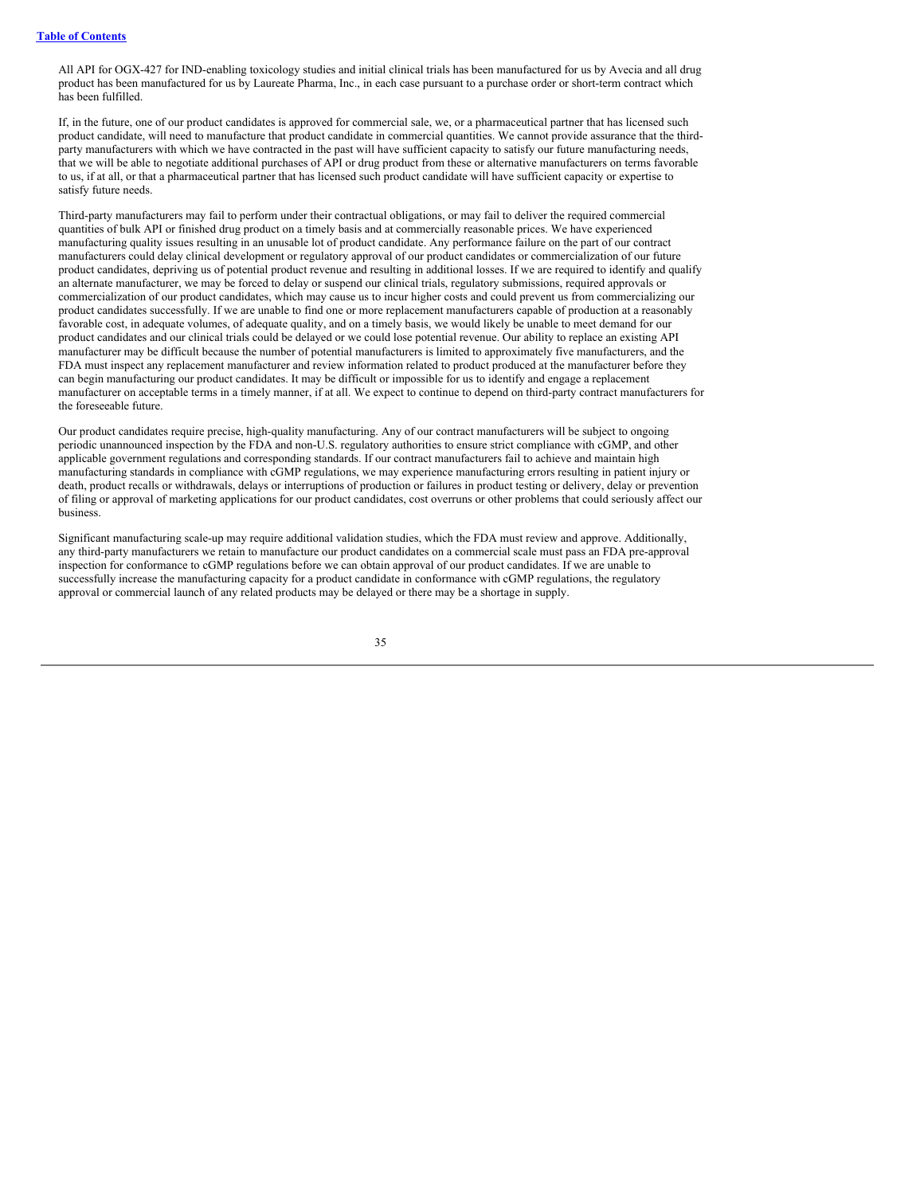All API for OGX-427 for IND-enabling toxicology studies and initial clinical trials has been manufactured for us by Avecia and all drug product has been manufactured for us by Laureate Pharma, Inc., in each case pursuant to a purchase order or short-term contract which has been fulfilled.

If, in the future, one of our product candidates is approved for commercial sale, we, or a pharmaceutical partner that has licensed such product candidate, will need to manufacture that product candidate in commercial quantities. We cannot provide assurance that the thirdparty manufacturers with which we have contracted in the past will have sufficient capacity to satisfy our future manufacturing needs, that we will be able to negotiate additional purchases of API or drug product from these or alternative manufacturers on terms favorable to us, if at all, or that a pharmaceutical partner that has licensed such product candidate will have sufficient capacity or expertise to satisfy future needs.

Third-party manufacturers may fail to perform under their contractual obligations, or may fail to deliver the required commercial quantities of bulk API or finished drug product on a timely basis and at commercially reasonable prices. We have experienced manufacturing quality issues resulting in an unusable lot of product candidate. Any performance failure on the part of our contract manufacturers could delay clinical development or regulatory approval of our product candidates or commercialization of our future product candidates, depriving us of potential product revenue and resulting in additional losses. If we are required to identify and qualify an alternate manufacturer, we may be forced to delay or suspend our clinical trials, regulatory submissions, required approvals or commercialization of our product candidates, which may cause us to incur higher costs and could prevent us from commercializing our product candidates successfully. If we are unable to find one or more replacement manufacturers capable of production at a reasonably favorable cost, in adequate volumes, of adequate quality, and on a timely basis, we would likely be unable to meet demand for our product candidates and our clinical trials could be delayed or we could lose potential revenue. Our ability to replace an existing API manufacturer may be difficult because the number of potential manufacturers is limited to approximately five manufacturers, and the FDA must inspect any replacement manufacturer and review information related to product produced at the manufacturer before they can begin manufacturing our product candidates. It may be difficult or impossible for us to identify and engage a replacement manufacturer on acceptable terms in a timely manner, if at all. We expect to continue to depend on third-party contract manufacturers for the foreseeable future.

Our product candidates require precise, high-quality manufacturing. Any of our contract manufacturers will be subject to ongoing periodic unannounced inspection by the FDA and non-U.S. regulatory authorities to ensure strict compliance with cGMP, and other applicable government regulations and corresponding standards. If our contract manufacturers fail to achieve and maintain high manufacturing standards in compliance with cGMP regulations, we may experience manufacturing errors resulting in patient injury or death, product recalls or withdrawals, delays or interruptions of production or failures in product testing or delivery, delay or prevention of filing or approval of marketing applications for our product candidates, cost overruns or other problems that could seriously affect our business.

Significant manufacturing scale-up may require additional validation studies, which the FDA must review and approve. Additionally, any third-party manufacturers we retain to manufacture our product candidates on a commercial scale must pass an FDA pre-approval inspection for conformance to cGMP regulations before we can obtain approval of our product candidates. If we are unable to successfully increase the manufacturing capacity for a product candidate in conformance with cGMP regulations, the regulatory approval or commercial launch of any related products may be delayed or there may be a shortage in supply.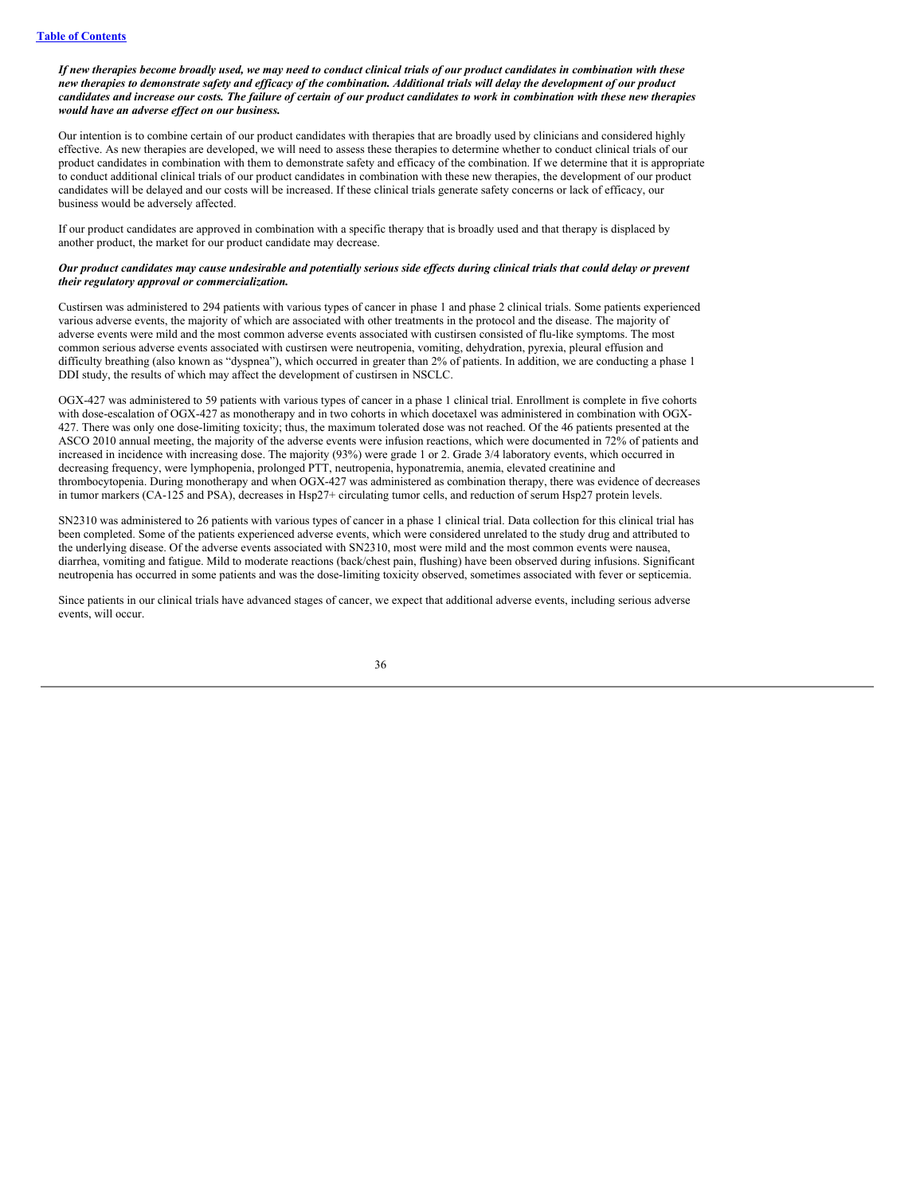If new therapies become broadly used, we may need to conduct clinical trials of our product candidates in combination with these new therapies to demonstrate safety and efficacy of the combination. Additional trials will delay the development of our product candidates and increase our costs. The failure of certain of our product candidates to work in combination with these new therapies *would have an adverse ef ect on our business.*

Our intention is to combine certain of our product candidates with therapies that are broadly used by clinicians and considered highly effective. As new therapies are developed, we will need to assess these therapies to determine whether to conduct clinical trials of our product candidates in combination with them to demonstrate safety and efficacy of the combination. If we determine that it is appropriate to conduct additional clinical trials of our product candidates in combination with these new therapies, the development of our product candidates will be delayed and our costs will be increased. If these clinical trials generate safety concerns or lack of efficacy, our business would be adversely affected.

If our product candidates are approved in combination with a specific therapy that is broadly used and that therapy is displaced by another product, the market for our product candidate may decrease.

## Our product candidates may cause undesirable and potentially serious side effects during clinical trials that could delay or prevent *their regulatory approval or commercialization.*

Custirsen was administered to 294 patients with various types of cancer in phase 1 and phase 2 clinical trials. Some patients experienced various adverse events, the majority of which are associated with other treatments in the protocol and the disease. The majority of adverse events were mild and the most common adverse events associated with custirsen consisted of flu-like symptoms. The most common serious adverse events associated with custirsen were neutropenia, vomiting, dehydration, pyrexia, pleural effusion and difficulty breathing (also known as "dyspnea"), which occurred in greater than 2% of patients. In addition, we are conducting a phase 1 DDI study, the results of which may affect the development of custirsen in NSCLC.

OGX-427 was administered to 59 patients with various types of cancer in a phase 1 clinical trial. Enrollment is complete in five cohorts with dose-escalation of OGX-427 as monotherapy and in two cohorts in which docetaxel was administered in combination with OGX-427. There was only one dose-limiting toxicity; thus, the maximum tolerated dose was not reached. Of the 46 patients presented at the ASCO 2010 annual meeting, the majority of the adverse events were infusion reactions, which were documented in 72% of patients and increased in incidence with increasing dose. The majority (93%) were grade 1 or 2. Grade 3/4 laboratory events, which occurred in decreasing frequency, were lymphopenia, prolonged PTT, neutropenia, hyponatremia, anemia, elevated creatinine and thrombocytopenia. During monotherapy and when OGX-427 was administered as combination therapy, there was evidence of decreases in tumor markers (CA-125 and PSA), decreases in Hsp27+ circulating tumor cells, and reduction of serum Hsp27 protein levels.

SN2310 was administered to 26 patients with various types of cancer in a phase 1 clinical trial. Data collection for this clinical trial has been completed. Some of the patients experienced adverse events, which were considered unrelated to the study drug and attributed to the underlying disease. Of the adverse events associated with SN2310, most were mild and the most common events were nausea, diarrhea, vomiting and fatigue. Mild to moderate reactions (back/chest pain, flushing) have been observed during infusions. Significant neutropenia has occurred in some patients and was the dose-limiting toxicity observed, sometimes associated with fever or septicemia.

Since patients in our clinical trials have advanced stages of cancer, we expect that additional adverse events, including serious adverse events, will occur.

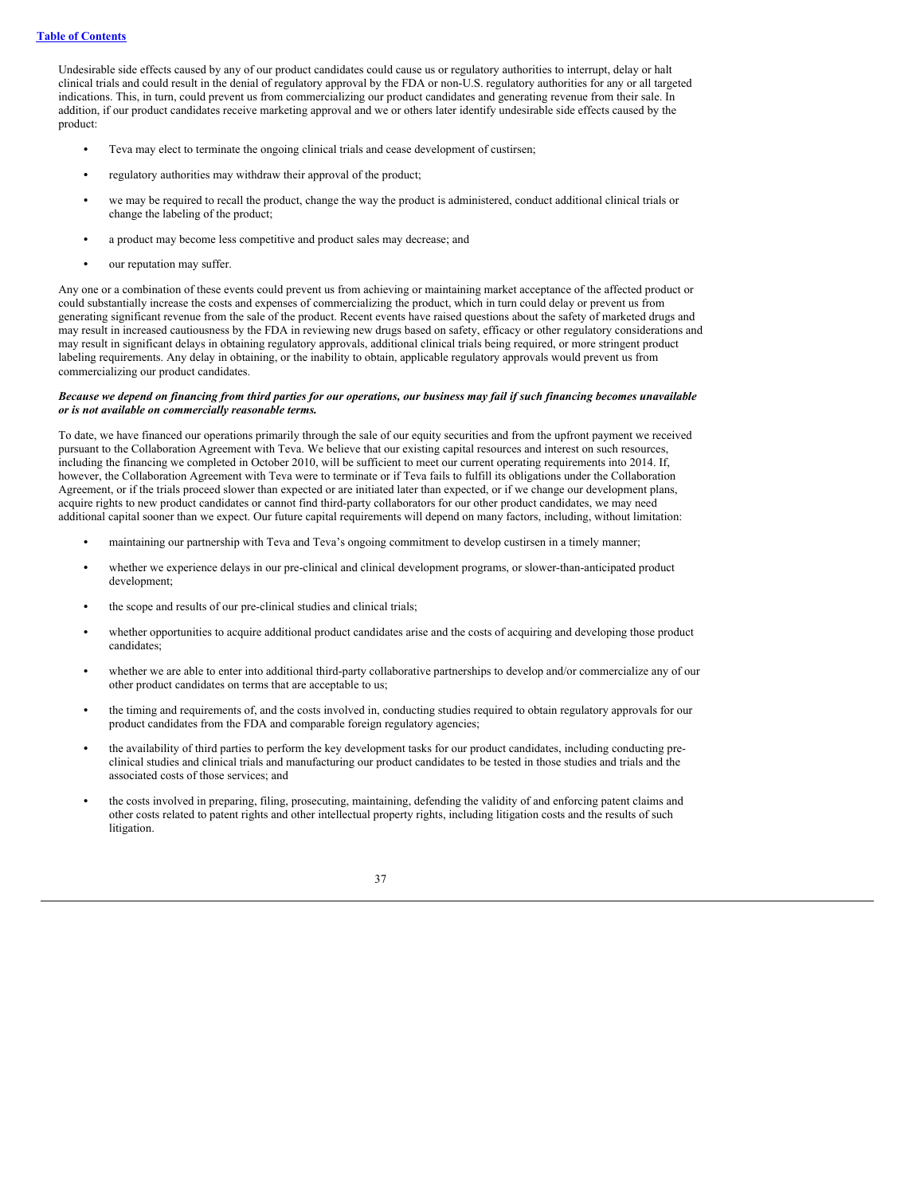Undesirable side effects caused by any of our product candidates could cause us or regulatory authorities to interrupt, delay or halt clinical trials and could result in the denial of regulatory approval by the FDA or non-U.S. regulatory authorities for any or all targeted indications. This, in turn, could prevent us from commercializing our product candidates and generating revenue from their sale. In addition, if our product candidates receive marketing approval and we or others later identify undesirable side effects caused by the product:

- **•** Teva may elect to terminate the ongoing clinical trials and cease development of custirsen;
- **•** regulatory authorities may withdraw their approval of the product;
- **•** we may be required to recall the product, change the way the product is administered, conduct additional clinical trials or change the labeling of the product;
- **•** a product may become less competitive and product sales may decrease; and
- **•** our reputation may suffer.

Any one or a combination of these events could prevent us from achieving or maintaining market acceptance of the affected product or could substantially increase the costs and expenses of commercializing the product, which in turn could delay or prevent us from generating significant revenue from the sale of the product. Recent events have raised questions about the safety of marketed drugs and may result in increased cautiousness by the FDA in reviewing new drugs based on safety, efficacy or other regulatory considerations and may result in significant delays in obtaining regulatory approvals, additional clinical trials being required, or more stringent product labeling requirements. Any delay in obtaining, or the inability to obtain, applicable regulatory approvals would prevent us from commercializing our product candidates.

## Because we depend on financing from third parties for our operations, our business may fail if such financing becomes unavailable *or is not available on commercially reasonable terms.*

To date, we have financed our operations primarily through the sale of our equity securities and from the upfront payment we received pursuant to the Collaboration Agreement with Teva. We believe that our existing capital resources and interest on such resources, including the financing we completed in October 2010, will be sufficient to meet our current operating requirements into 2014. If, however, the Collaboration Agreement with Teva were to terminate or if Teva fails to fulfill its obligations under the Collaboration Agreement, or if the trials proceed slower than expected or are initiated later than expected, or if we change our development plans, acquire rights to new product candidates or cannot find third-party collaborators for our other product candidates, we may need additional capital sooner than we expect. Our future capital requirements will depend on many factors, including, without limitation:

- **•** maintaining our partnership with Teva and Teva's ongoing commitment to develop custirsen in a timely manner;
- **•** whether we experience delays in our pre-clinical and clinical development programs, or slower-than-anticipated product development;
- **•** the scope and results of our pre-clinical studies and clinical trials;
- **•** whether opportunities to acquire additional product candidates arise and the costs of acquiring and developing those product candidates;
- **•** whether we are able to enter into additional third-party collaborative partnerships to develop and/or commercialize any of our other product candidates on terms that are acceptable to us;
- **•** the timing and requirements of, and the costs involved in, conducting studies required to obtain regulatory approvals for our product candidates from the FDA and comparable foreign regulatory agencies;
- **•** the availability of third parties to perform the key development tasks for our product candidates, including conducting preclinical studies and clinical trials and manufacturing our product candidates to be tested in those studies and trials and the associated costs of those services; and
- **•** the costs involved in preparing, filing, prosecuting, maintaining, defending the validity of and enforcing patent claims and other costs related to patent rights and other intellectual property rights, including litigation costs and the results of such litigation.

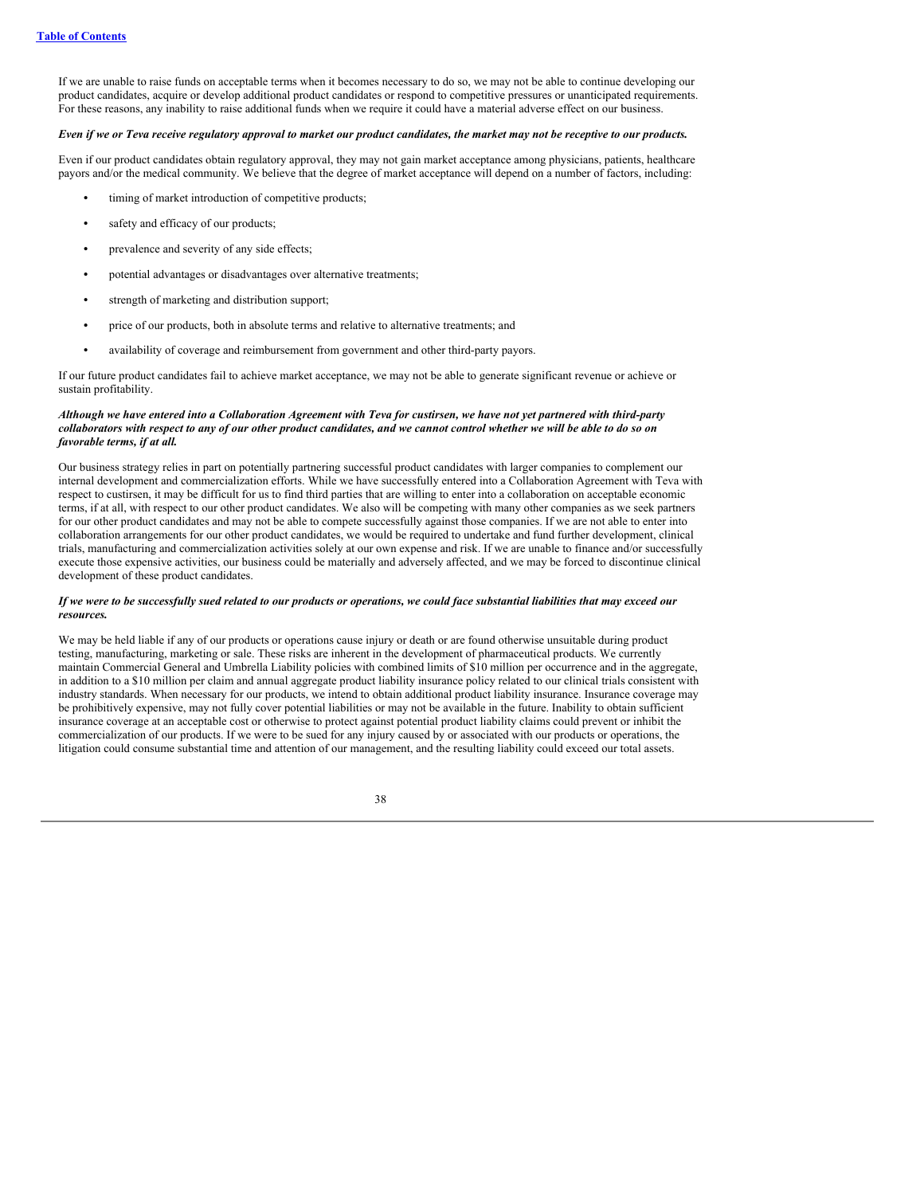If we are unable to raise funds on acceptable terms when it becomes necessary to do so, we may not be able to continue developing our product candidates, acquire or develop additional product candidates or respond to competitive pressures or unanticipated requirements. For these reasons, any inability to raise additional funds when we require it could have a material adverse effect on our business.

#### Even if we or Teva receive regulatory approval to market our product candidates, the market may not be receptive to our products.

Even if our product candidates obtain regulatory approval, they may not gain market acceptance among physicians, patients, healthcare payors and/or the medical community. We believe that the degree of market acceptance will depend on a number of factors, including:

- **•** timing of market introduction of competitive products;
- **•** safety and efficacy of our products;
- **•** prevalence and severity of any side effects;
- **•** potential advantages or disadvantages over alternative treatments;
- **•** strength of marketing and distribution support;
- **•** price of our products, both in absolute terms and relative to alternative treatments; and
- **•** availability of coverage and reimbursement from government and other third-party payors.

If our future product candidates fail to achieve market acceptance, we may not be able to generate significant revenue or achieve or sustain profitability.

## Although we have entered into a Collaboration Agreement with Teva for custirsen, we have not yet partnered with third-party collaborators with respect to any of our other product candidates, and we cannot control whether we will be able to do so on *favorable terms, if at all.*

Our business strategy relies in part on potentially partnering successful product candidates with larger companies to complement our internal development and commercialization efforts. While we have successfully entered into a Collaboration Agreement with Teva with respect to custirsen, it may be difficult for us to find third parties that are willing to enter into a collaboration on acceptable economic terms, if at all, with respect to our other product candidates. We also will be competing with many other companies as we seek partners for our other product candidates and may not be able to compete successfully against those companies. If we are not able to enter into collaboration arrangements for our other product candidates, we would be required to undertake and fund further development, clinical trials, manufacturing and commercialization activities solely at our own expense and risk. If we are unable to finance and/or successfully execute those expensive activities, our business could be materially and adversely affected, and we may be forced to discontinue clinical development of these product candidates.

## If we were to be successfully sued related to our products or operations, we could face substantial liabilities that may exceed our *resources.*

We may be held liable if any of our products or operations cause injury or death or are found otherwise unsuitable during product testing, manufacturing, marketing or sale. These risks are inherent in the development of pharmaceutical products. We currently maintain Commercial General and Umbrella Liability policies with combined limits of \$10 million per occurrence and in the aggregate, in addition to a \$10 million per claim and annual aggregate product liability insurance policy related to our clinical trials consistent with industry standards. When necessary for our products, we intend to obtain additional product liability insurance. Insurance coverage may be prohibitively expensive, may not fully cover potential liabilities or may not be available in the future. Inability to obtain sufficient insurance coverage at an acceptable cost or otherwise to protect against potential product liability claims could prevent or inhibit the commercialization of our products. If we were to be sued for any injury caused by or associated with our products or operations, the litigation could consume substantial time and attention of our management, and the resulting liability could exceed our total assets.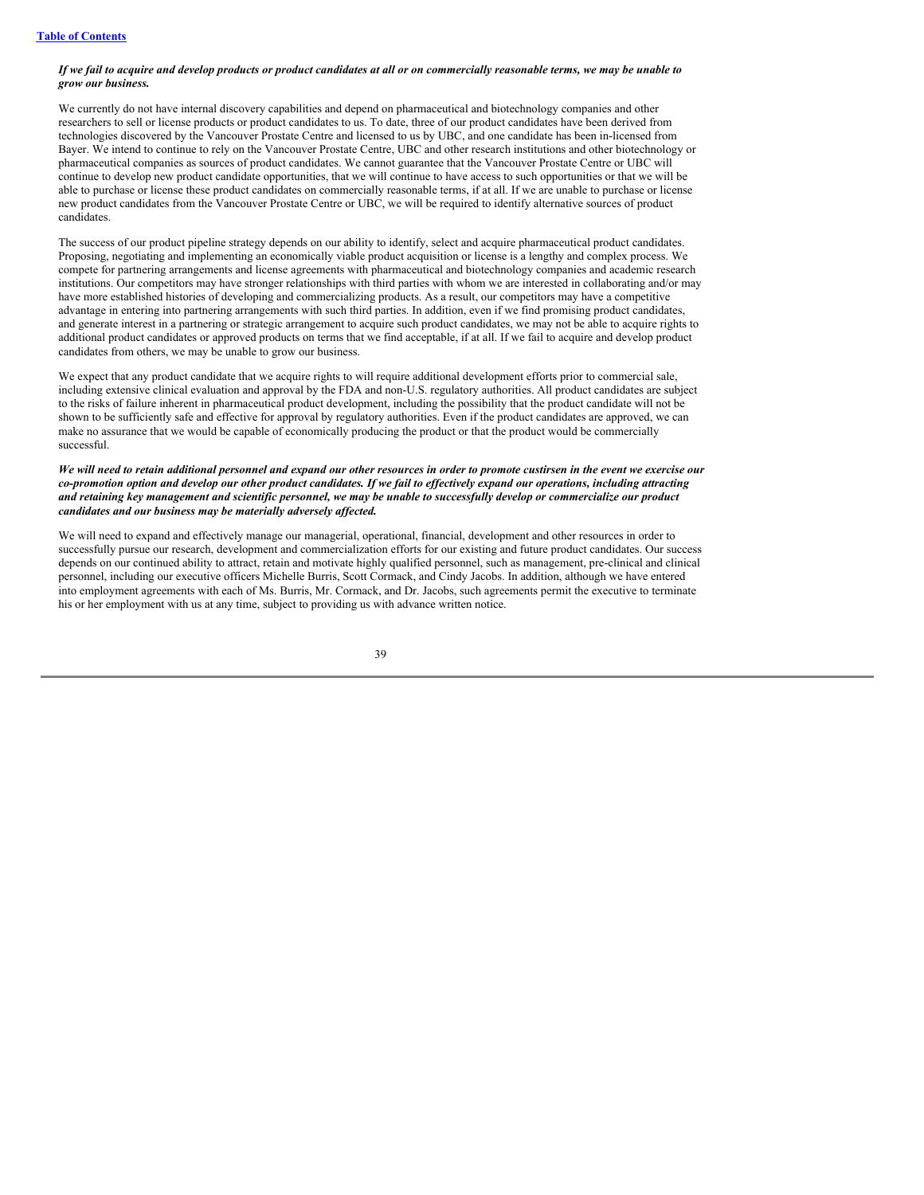## If we fail to acquire and develop products or product candidates at all or on commercially reasonable terms, we may be unable to *grow our business.*

We currently do not have internal discovery capabilities and depend on pharmaceutical and biotechnology companies and other researchers to sell or license products or product candidates to us. To date, three of our product candidates have been derived from technologies discovered by the Vancouver Prostate Centre and licensed to us by UBC, and one candidate has been in-licensed from Bayer. We intend to continue to rely on the Vancouver Prostate Centre, UBC and other research institutions and other biotechnology or pharmaceutical companies as sources of product candidates. We cannot guarantee that the Vancouver Prostate Centre or UBC will continue to develop new product candidate opportunities, that we will continue to have access to such opportunities or that we will be able to purchase or license these product candidates on commercially reasonable terms, if at all. If we are unable to purchase or license new product candidates from the Vancouver Prostate Centre or UBC, we will be required to identify alternative sources of product candidates.

The success of our product pipeline strategy depends on our ability to identify, select and acquire pharmaceutical product candidates. Proposing, negotiating and implementing an economically viable product acquisition or license is a lengthy and complex process. We compete for partnering arrangements and license agreements with pharmaceutical and biotechnology companies and academic research institutions. Our competitors may have stronger relationships with third parties with whom we are interested in collaborating and/or may have more established histories of developing and commercializing products. As a result, our competitors may have a competitive advantage in entering into partnering arrangements with such third parties. In addition, even if we find promising product candidates, and generate interest in a partnering or strategic arrangement to acquire such product candidates, we may not be able to acquire rights to additional product candidates or approved products on terms that we find acceptable, if at all. If we fail to acquire and develop product candidates from others, we may be unable to grow our business.

We expect that any product candidate that we acquire rights to will require additional development efforts prior to commercial sale, including extensive clinical evaluation and approval by the FDA and non-U.S. regulatory authorities. All product candidates are subject to the risks of failure inherent in pharmaceutical product development, including the possibility that the product candidate will not be shown to be sufficiently safe and effective for approval by regulatory authorities. Even if the product candidates are approved, we can make no assurance that we would be capable of economically producing the product or that the product would be commercially successful.

We will need to retain additional personnel and expand our other resources in order to promote custirsen in the event we exercise our co-promotion option and develop our other product candidates. If we fail to effectively expand our operations, including attracting and retaining key management and scientific personnel, we may be unable to successfully develop or commercialize our product *candidates and our business may be materially adversely af ected.*

We will need to expand and effectively manage our managerial, operational, financial, development and other resources in order to successfully pursue our research, development and commercialization efforts for our existing and future product candidates. Our success depends on our continued ability to attract, retain and motivate highly qualified personnel, such as management, pre-clinical and clinical personnel, including our executive officers Michelle Burris, Scott Cormack, and Cindy Jacobs. In addition, although we have entered into employment agreements with each of Ms. Burris, Mr. Cormack, and Dr. Jacobs, such agreements permit the executive to terminate his or her employment with us at any time, subject to providing us with advance written notice.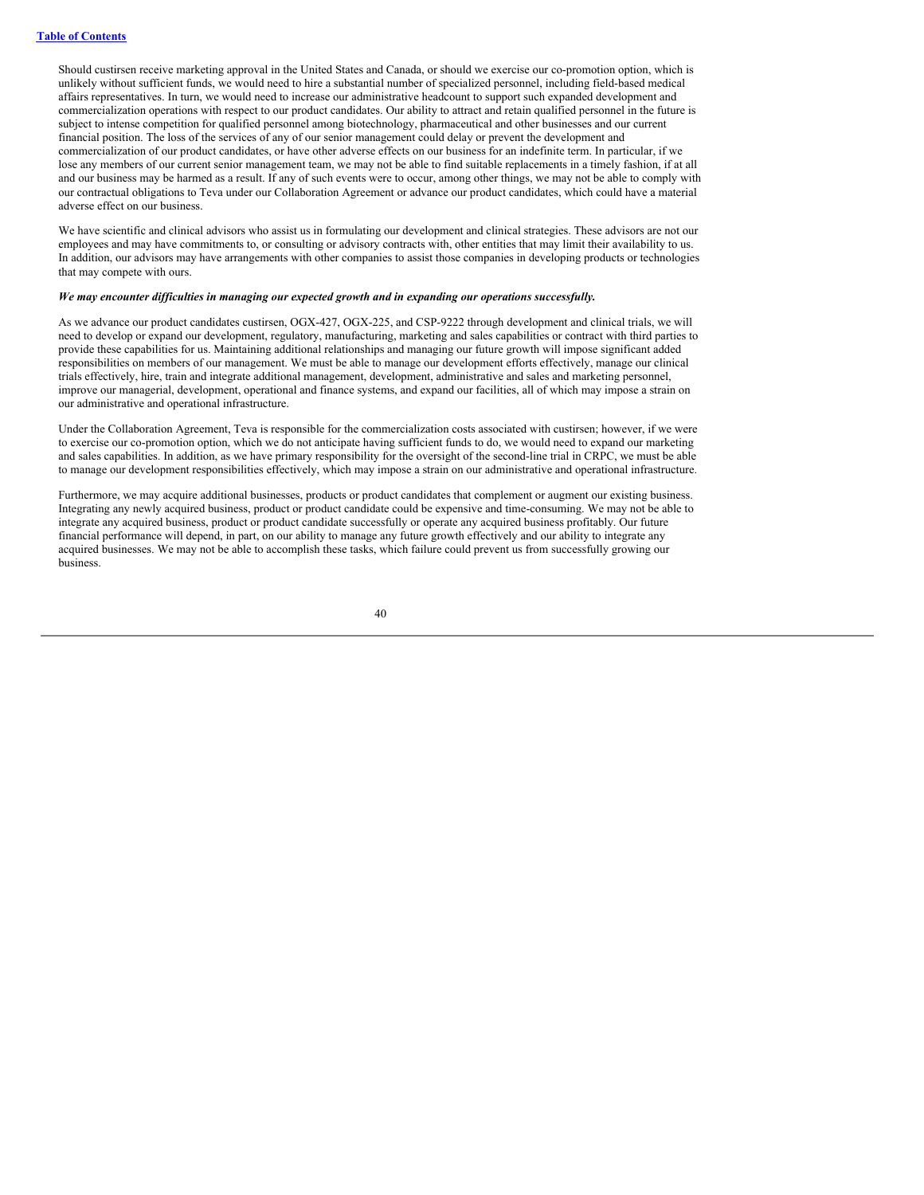Should custirsen receive marketing approval in the United States and Canada, or should we exercise our co-promotion option, which is unlikely without sufficient funds, we would need to hire a substantial number of specialized personnel, including field-based medical affairs representatives. In turn, we would need to increase our administrative headcount to support such expanded development and commercialization operations with respect to our product candidates. Our ability to attract and retain qualified personnel in the future is subject to intense competition for qualified personnel among biotechnology, pharmaceutical and other businesses and our current financial position. The loss of the services of any of our senior management could delay or prevent the development and commercialization of our product candidates, or have other adverse effects on our business for an indefinite term. In particular, if we lose any members of our current senior management team, we may not be able to find suitable replacements in a timely fashion, if at all and our business may be harmed as a result. If any of such events were to occur, among other things, we may not be able to comply with our contractual obligations to Teva under our Collaboration Agreement or advance our product candidates, which could have a material adverse effect on our business.

We have scientific and clinical advisors who assist us in formulating our development and clinical strategies. These advisors are not our employees and may have commitments to, or consulting or advisory contracts with, other entities that may limit their availability to us. In addition, our advisors may have arrangements with other companies to assist those companies in developing products or technologies that may compete with ours.

## *We may encounter dif iculties in managing our expected growth and in expanding our operations successfully.*

As we advance our product candidates custirsen, OGX-427, OGX-225, and CSP-9222 through development and clinical trials, we will need to develop or expand our development, regulatory, manufacturing, marketing and sales capabilities or contract with third parties to provide these capabilities for us. Maintaining additional relationships and managing our future growth will impose significant added responsibilities on members of our management. We must be able to manage our development efforts effectively, manage our clinical trials effectively, hire, train and integrate additional management, development, administrative and sales and marketing personnel, improve our managerial, development, operational and finance systems, and expand our facilities, all of which may impose a strain on our administrative and operational infrastructure.

Under the Collaboration Agreement, Teva is responsible for the commercialization costs associated with custirsen; however, if we were to exercise our co-promotion option, which we do not anticipate having sufficient funds to do, we would need to expand our marketing and sales capabilities. In addition, as we have primary responsibility for the oversight of the second-line trial in CRPC, we must be able to manage our development responsibilities effectively, which may impose a strain on our administrative and operational infrastructure.

Furthermore, we may acquire additional businesses, products or product candidates that complement or augment our existing business. Integrating any newly acquired business, product or product candidate could be expensive and time-consuming. We may not be able to integrate any acquired business, product or product candidate successfully or operate any acquired business profitably. Our future financial performance will depend, in part, on our ability to manage any future growth effectively and our ability to integrate any acquired businesses. We may not be able to accomplish these tasks, which failure could prevent us from successfully growing our business.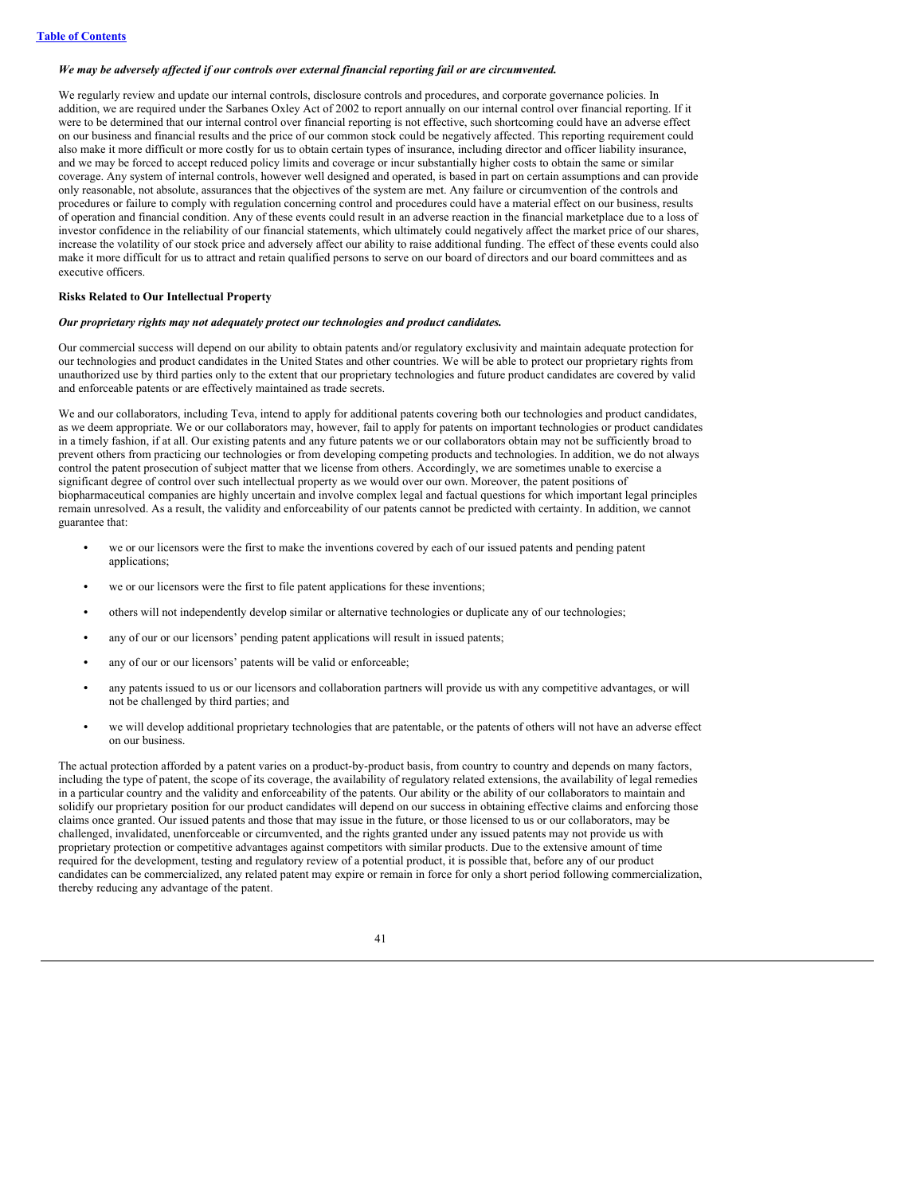#### *We may be adversely af ected if our controls over external financial reporting fail or are circumvented.*

We regularly review and update our internal controls, disclosure controls and procedures, and corporate governance policies. In addition, we are required under the Sarbanes Oxley Act of 2002 to report annually on our internal control over financial reporting. If it were to be determined that our internal control over financial reporting is not effective, such shortcoming could have an adverse effect on our business and financial results and the price of our common stock could be negatively affected. This reporting requirement could also make it more difficult or more costly for us to obtain certain types of insurance, including director and officer liability insurance, and we may be forced to accept reduced policy limits and coverage or incur substantially higher costs to obtain the same or similar coverage. Any system of internal controls, however well designed and operated, is based in part on certain assumptions and can provide only reasonable, not absolute, assurances that the objectives of the system are met. Any failure or circumvention of the controls and procedures or failure to comply with regulation concerning control and procedures could have a material effect on our business, results of operation and financial condition. Any of these events could result in an adverse reaction in the financial marketplace due to a loss of investor confidence in the reliability of our financial statements, which ultimately could negatively affect the market price of our shares, increase the volatility of our stock price and adversely affect our ability to raise additional funding. The effect of these events could also make it more difficult for us to attract and retain qualified persons to serve on our board of directors and our board committees and as executive officers.

## **Risks Related to Our Intellectual Property**

## *Our proprietary rights may not adequately protect our technologies and product candidates.*

Our commercial success will depend on our ability to obtain patents and/or regulatory exclusivity and maintain adequate protection for our technologies and product candidates in the United States and other countries. We will be able to protect our proprietary rights from unauthorized use by third parties only to the extent that our proprietary technologies and future product candidates are covered by valid and enforceable patents or are effectively maintained as trade secrets.

We and our collaborators, including Teva, intend to apply for additional patents covering both our technologies and product candidates, as we deem appropriate. We or our collaborators may, however, fail to apply for patents on important technologies or product candidates in a timely fashion, if at all. Our existing patents and any future patents we or our collaborators obtain may not be sufficiently broad to prevent others from practicing our technologies or from developing competing products and technologies. In addition, we do not always control the patent prosecution of subject matter that we license from others. Accordingly, we are sometimes unable to exercise a significant degree of control over such intellectual property as we would over our own. Moreover, the patent positions of biopharmaceutical companies are highly uncertain and involve complex legal and factual questions for which important legal principles remain unresolved. As a result, the validity and enforceability of our patents cannot be predicted with certainty. In addition, we cannot guarantee that:

- **•** we or our licensors were the first to make the inventions covered by each of our issued patents and pending patent applications;
- **•** we or our licensors were the first to file patent applications for these inventions;
- **•** others will not independently develop similar or alternative technologies or duplicate any of our technologies;
- any of our or our licensors' pending patent applications will result in issued patents;
- any of our or our licensors' patents will be valid or enforceable;
- **•** any patents issued to us or our licensors and collaboration partners will provide us with any competitive advantages, or will not be challenged by third parties; and
- **•** we will develop additional proprietary technologies that are patentable, or the patents of others will not have an adverse effect on our business.

The actual protection afforded by a patent varies on a product-by-product basis, from country to country and depends on many factors, including the type of patent, the scope of its coverage, the availability of regulatory related extensions, the availability of legal remedies in a particular country and the validity and enforceability of the patents. Our ability or the ability of our collaborators to maintain and solidify our proprietary position for our product candidates will depend on our success in obtaining effective claims and enforcing those claims once granted. Our issued patents and those that may issue in the future, or those licensed to us or our collaborators, may be challenged, invalidated, unenforceable or circumvented, and the rights granted under any issued patents may not provide us with proprietary protection or competitive advantages against competitors with similar products. Due to the extensive amount of time required for the development, testing and regulatory review of a potential product, it is possible that, before any of our product candidates can be commercialized, any related patent may expire or remain in force for only a short period following commercialization, thereby reducing any advantage of the patent.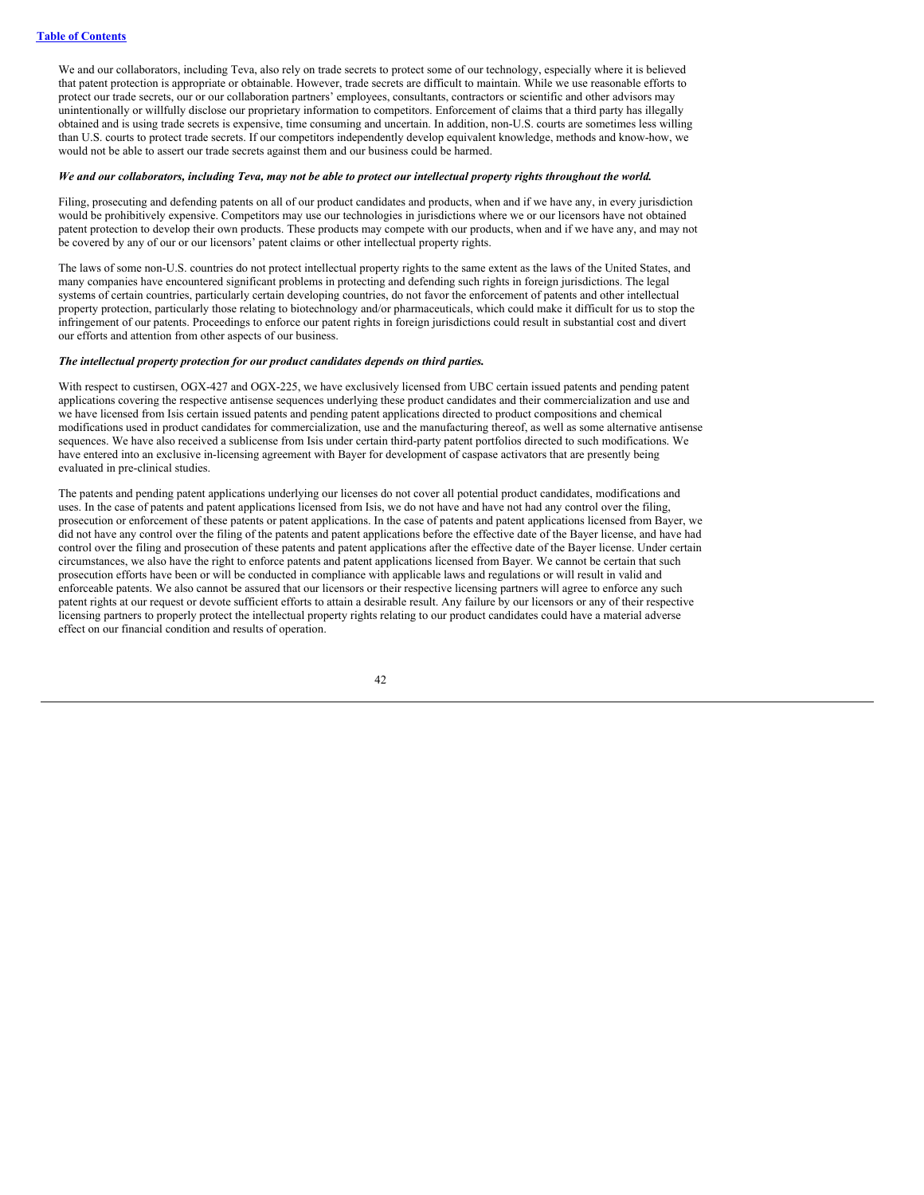We and our collaborators, including Teva, also rely on trade secrets to protect some of our technology, especially where it is believed that patent protection is appropriate or obtainable. However, trade secrets are difficult to maintain. While we use reasonable efforts to protect our trade secrets, our or our collaboration partners' employees, consultants, contractors or scientific and other advisors may unintentionally or willfully disclose our proprietary information to competitors. Enforcement of claims that a third party has illegally obtained and is using trade secrets is expensive, time consuming and uncertain. In addition, non-U.S. courts are sometimes less willing than U.S. courts to protect trade secrets. If our competitors independently develop equivalent knowledge, methods and know-how, we would not be able to assert our trade secrets against them and our business could be harmed.

#### We and our collaborators, including Teva, may not be able to protect our intellectual property rights throughout the world.

Filing, prosecuting and defending patents on all of our product candidates and products, when and if we have any, in every jurisdiction would be prohibitively expensive. Competitors may use our technologies in jurisdictions where we or our licensors have not obtained patent protection to develop their own products. These products may compete with our products, when and if we have any, and may not be covered by any of our or our licensors' patent claims or other intellectual property rights.

The laws of some non-U.S. countries do not protect intellectual property rights to the same extent as the laws of the United States, and many companies have encountered significant problems in protecting and defending such rights in foreign jurisdictions. The legal systems of certain countries, particularly certain developing countries, do not favor the enforcement of patents and other intellectual property protection, particularly those relating to biotechnology and/or pharmaceuticals, which could make it difficult for us to stop the infringement of our patents. Proceedings to enforce our patent rights in foreign jurisdictions could result in substantial cost and divert our efforts and attention from other aspects of our business.

#### *The intellectual property protection for our product candidates depends on third parties.*

With respect to custirsen, OGX-427 and OGX-225, we have exclusively licensed from UBC certain issued patents and pending patent applications covering the respective antisense sequences underlying these product candidates and their commercialization and use and we have licensed from Isis certain issued patents and pending patent applications directed to product compositions and chemical modifications used in product candidates for commercialization, use and the manufacturing thereof, as well as some alternative antisense sequences. We have also received a sublicense from Isis under certain third-party patent portfolios directed to such modifications. We have entered into an exclusive in-licensing agreement with Bayer for development of caspase activators that are presently being evaluated in pre-clinical studies.

The patents and pending patent applications underlying our licenses do not cover all potential product candidates, modifications and uses. In the case of patents and patent applications licensed from Isis, we do not have and have not had any control over the filing, prosecution or enforcement of these patents or patent applications. In the case of patents and patent applications licensed from Bayer, we did not have any control over the filing of the patents and patent applications before the effective date of the Bayer license, and have had control over the filing and prosecution of these patents and patent applications after the effective date of the Bayer license. Under certain circumstances, we also have the right to enforce patents and patent applications licensed from Bayer. We cannot be certain that such prosecution efforts have been or will be conducted in compliance with applicable laws and regulations or will result in valid and enforceable patents. We also cannot be assured that our licensors or their respective licensing partners will agree to enforce any such patent rights at our request or devote sufficient efforts to attain a desirable result. Any failure by our licensors or any of their respective licensing partners to properly protect the intellectual property rights relating to our product candidates could have a material adverse effect on our financial condition and results of operation.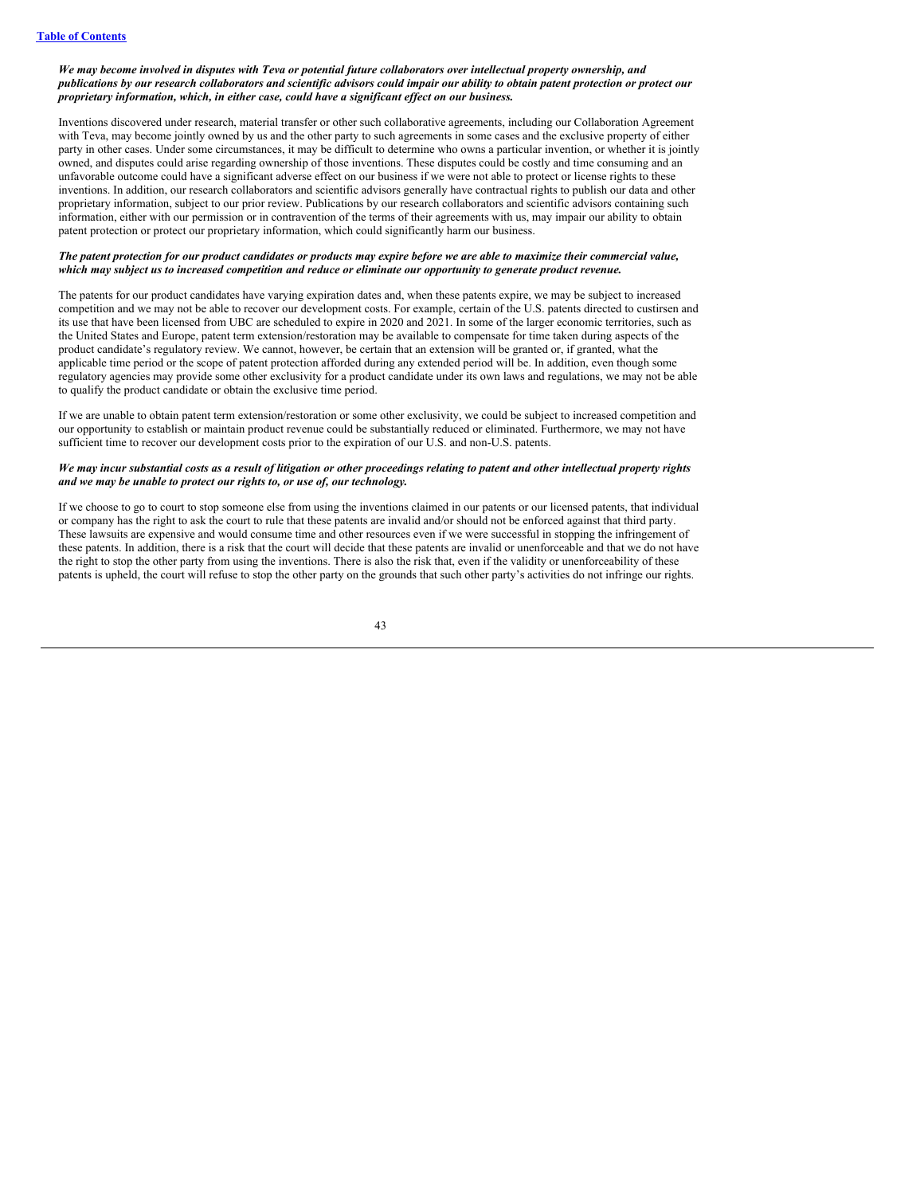## We may become involved in disputes with Teva or potential future collaborators over intellectual property ownership, and publications by our research collaborators and scientific advisors could impair our ability to obtain patent protection or protect our *proprietary information, which, in either case, could have a significant ef ect on our business.*

Inventions discovered under research, material transfer or other such collaborative agreements, including our Collaboration Agreement with Teva, may become jointly owned by us and the other party to such agreements in some cases and the exclusive property of either party in other cases. Under some circumstances, it may be difficult to determine who owns a particular invention, or whether it is jointly owned, and disputes could arise regarding ownership of those inventions. These disputes could be costly and time consuming and an unfavorable outcome could have a significant adverse effect on our business if we were not able to protect or license rights to these inventions. In addition, our research collaborators and scientific advisors generally have contractual rights to publish our data and other proprietary information, subject to our prior review. Publications by our research collaborators and scientific advisors containing such information, either with our permission or in contravention of the terms of their agreements with us, may impair our ability to obtain patent protection or protect our proprietary information, which could significantly harm our business.

## The patent protection for our product candidates or products may expire before we are able to maximize their commercial value, which may subject us to increased competition and reduce or eliminate our opportunity to generate product revenue.

The patents for our product candidates have varying expiration dates and, when these patents expire, we may be subject to increased competition and we may not be able to recover our development costs. For example, certain of the U.S. patents directed to custirsen and its use that have been licensed from UBC are scheduled to expire in 2020 and 2021. In some of the larger economic territories, such as the United States and Europe, patent term extension/restoration may be available to compensate for time taken during aspects of the product candidate's regulatory review. We cannot, however, be certain that an extension will be granted or, if granted, what the applicable time period or the scope of patent protection afforded during any extended period will be. In addition, even though some regulatory agencies may provide some other exclusivity for a product candidate under its own laws and regulations, we may not be able to qualify the product candidate or obtain the exclusive time period.

If we are unable to obtain patent term extension/restoration or some other exclusivity, we could be subject to increased competition and our opportunity to establish or maintain product revenue could be substantially reduced or eliminated. Furthermore, we may not have sufficient time to recover our development costs prior to the expiration of our U.S. and non-U.S. patents.

## We may incur substantial costs as a result of litigation or other proceedings relating to patent and other intellectual property rights *and we may be unable to protect our rights to, or use of, our technology.*

If we choose to go to court to stop someone else from using the inventions claimed in our patents or our licensed patents, that individual or company has the right to ask the court to rule that these patents are invalid and/or should not be enforced against that third party. These lawsuits are expensive and would consume time and other resources even if we were successful in stopping the infringement of these patents. In addition, there is a risk that the court will decide that these patents are invalid or unenforceable and that we do not have the right to stop the other party from using the inventions. There is also the risk that, even if the validity or unenforceability of these patents is upheld, the court will refuse to stop the other party on the grounds that such other party's activities do not infringe our rights.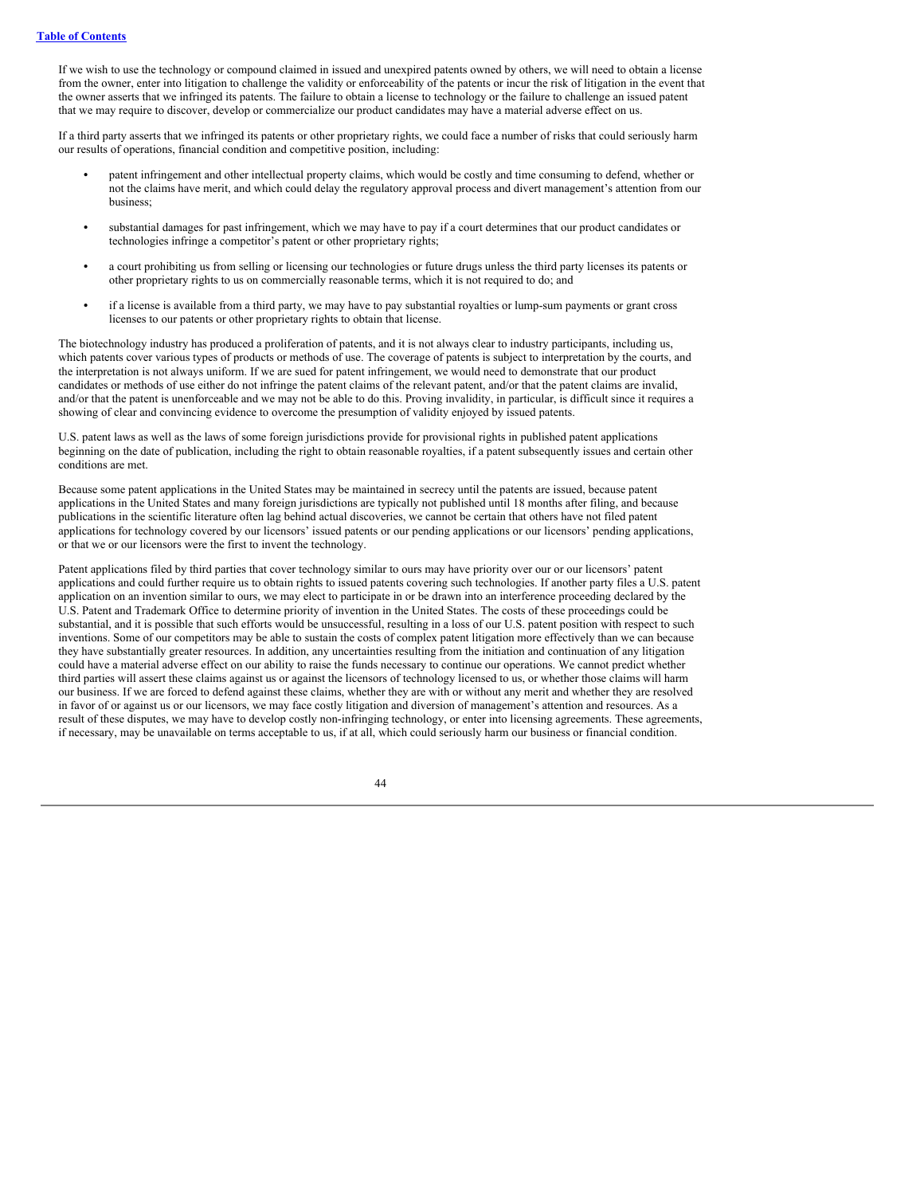If we wish to use the technology or compound claimed in issued and unexpired patents owned by others, we will need to obtain a license from the owner, enter into litigation to challenge the validity or enforceability of the patents or incur the risk of litigation in the event that the owner asserts that we infringed its patents. The failure to obtain a license to technology or the failure to challenge an issued patent that we may require to discover, develop or commercialize our product candidates may have a material adverse effect on us.

If a third party asserts that we infringed its patents or other proprietary rights, we could face a number of risks that could seriously harm our results of operations, financial condition and competitive position, including:

- **•** patent infringement and other intellectual property claims, which would be costly and time consuming to defend, whether or not the claims have merit, and which could delay the regulatory approval process and divert management's attention from our business;
- **•** substantial damages for past infringement, which we may have to pay if a court determines that our product candidates or technologies infringe a competitor's patent or other proprietary rights;
- **•** a court prohibiting us from selling or licensing our technologies or future drugs unless the third party licenses its patents or other proprietary rights to us on commercially reasonable terms, which it is not required to do; and
- **•** if a license is available from a third party, we may have to pay substantial royalties or lump-sum payments or grant cross licenses to our patents or other proprietary rights to obtain that license.

The biotechnology industry has produced a proliferation of patents, and it is not always clear to industry participants, including us, which patents cover various types of products or methods of use. The coverage of patents is subject to interpretation by the courts, and the interpretation is not always uniform. If we are sued for patent infringement, we would need to demonstrate that our product candidates or methods of use either do not infringe the patent claims of the relevant patent, and/or that the patent claims are invalid, and/or that the patent is unenforceable and we may not be able to do this. Proving invalidity, in particular, is difficult since it requires a showing of clear and convincing evidence to overcome the presumption of validity enjoyed by issued patents.

U.S. patent laws as well as the laws of some foreign jurisdictions provide for provisional rights in published patent applications beginning on the date of publication, including the right to obtain reasonable royalties, if a patent subsequently issues and certain other conditions are met.

Because some patent applications in the United States may be maintained in secrecy until the patents are issued, because patent applications in the United States and many foreign jurisdictions are typically not published until 18 months after filing, and because publications in the scientific literature often lag behind actual discoveries, we cannot be certain that others have not filed patent applications for technology covered by our licensors' issued patents or our pending applications or our licensors' pending applications, or that we or our licensors were the first to invent the technology.

Patent applications filed by third parties that cover technology similar to ours may have priority over our or our licensors' patent applications and could further require us to obtain rights to issued patents covering such technologies. If another party files a U.S. patent application on an invention similar to ours, we may elect to participate in or be drawn into an interference proceeding declared by the U.S. Patent and Trademark Office to determine priority of invention in the United States. The costs of these proceedings could be substantial, and it is possible that such efforts would be unsuccessful, resulting in a loss of our U.S. patent position with respect to such inventions. Some of our competitors may be able to sustain the costs of complex patent litigation more effectively than we can because they have substantially greater resources. In addition, any uncertainties resulting from the initiation and continuation of any litigation could have a material adverse effect on our ability to raise the funds necessary to continue our operations. We cannot predict whether third parties will assert these claims against us or against the licensors of technology licensed to us, or whether those claims will harm our business. If we are forced to defend against these claims, whether they are with or without any merit and whether they are resolved in favor of or against us or our licensors, we may face costly litigation and diversion of management's attention and resources. As a result of these disputes, we may have to develop costly non-infringing technology, or enter into licensing agreements. These agreements, if necessary, may be unavailable on terms acceptable to us, if at all, which could seriously harm our business or financial condition.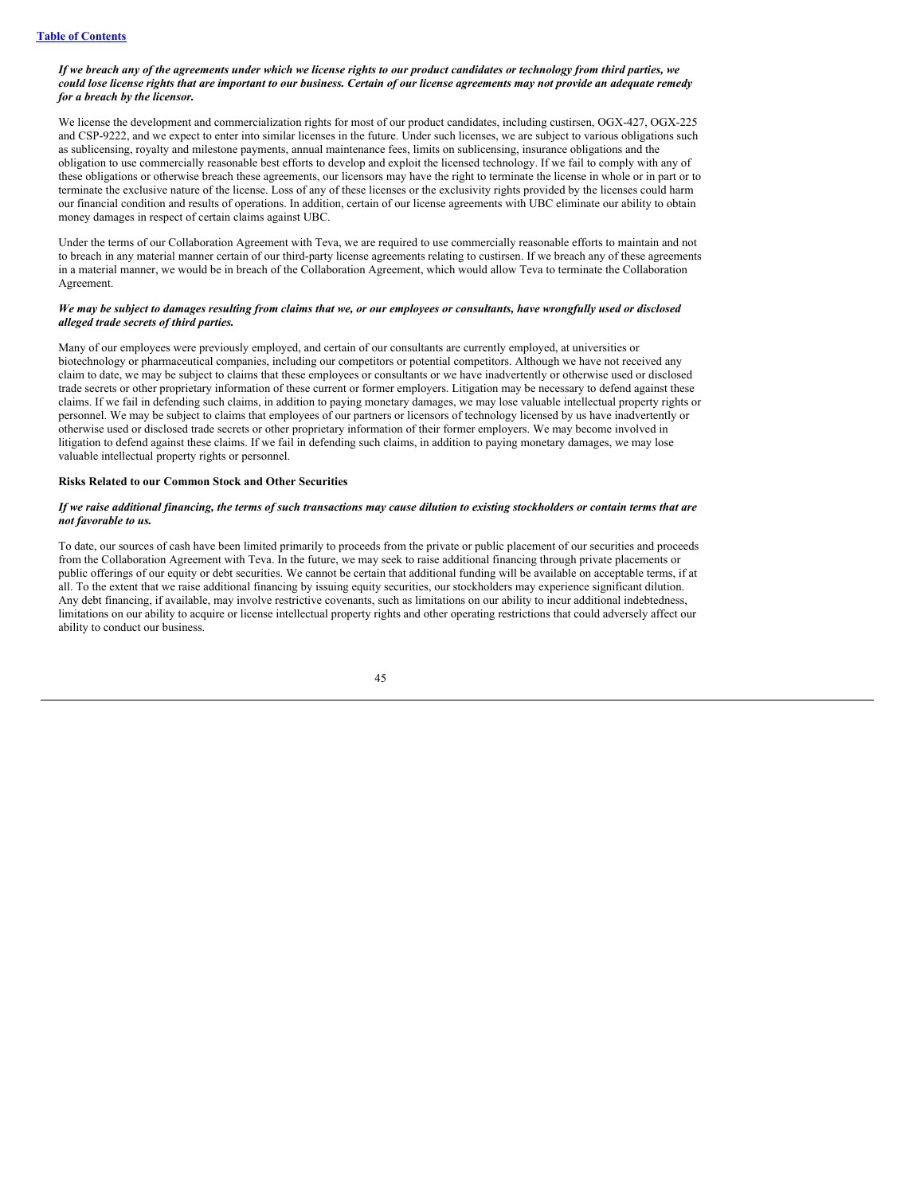## If we breach any of the agreements under which we license rights to our product candidates or technology from third parties, we could lose license rights that are important to our business. Certain of our license agreements may not provide an adequate remedy *for a breach by the licensor.*

We license the development and commercialization rights for most of our product candidates, including custirsen, OGX-427, OGX-225 and CSP-9222, and we expect to enter into similar licenses in the future. Under such licenses, we are subject to various obligations such as sublicensing, royalty and milestone payments, annual maintenance fees, limits on sublicensing, insurance obligations and the obligation to use commercially reasonable best efforts to develop and exploit the licensed technology. If we fail to comply with any of these obligations or otherwise breach these agreements, our licensors may have the right to terminate the license in whole or in part or to terminate the exclusive nature of the license. Loss of any of these licenses or the exclusivity rights provided by the licenses could harm our financial condition and results of operations. In addition, certain of our license agreements with UBC eliminate our ability to obtain money damages in respect of certain claims against UBC.

Under the terms of our Collaboration Agreement with Teva, we are required to use commercially reasonable efforts to maintain and not to breach in any material manner certain of our third-party license agreements relating to custirsen. If we breach any of these agreements in a material manner, we would be in breach of the Collaboration Agreement, which would allow Teva to terminate the Collaboration Agreement.

## We may be subject to damages resulting from claims that we, or our employees or consultants, have wrongfully used or disclosed *alleged trade secrets of third parties.*

Many of our employees were previously employed, and certain of our consultants are currently employed, at universities or biotechnology or pharmaceutical companies, including our competitors or potential competitors. Although we have not received any claim to date, we may be subject to claims that these employees or consultants or we have inadvertently or otherwise used or disclosed trade secrets or other proprietary information of these current or former employers. Litigation may be necessary to defend against these claims. If we fail in defending such claims, in addition to paying monetary damages, we may lose valuable intellectual property rights or personnel. We may be subject to claims that employees of our partners or licensors of technology licensed by us have inadvertently or otherwise used or disclosed trade secrets or other proprietary information of their former employers. We may become involved in litigation to defend against these claims. If we fail in defending such claims, in addition to paying monetary damages, we may lose valuable intellectual property rights or personnel.

## **Risks Related to our Common Stock and Other Securities**

## If we raise additional financing, the terms of such transactions may cause dilution to existing stockholders or contain terms that are *not favorable to us.*

To date, our sources of cash have been limited primarily to proceeds from the private or public placement of our securities and proceeds from the Collaboration Agreement with Teva. In the future, we may seek to raise additional financing through private placements or public offerings of our equity or debt securities. We cannot be certain that additional funding will be available on acceptable terms, if at all. To the extent that we raise additional financing by issuing equity securities, our stockholders may experience significant dilution. Any debt financing, if available, may involve restrictive covenants, such as limitations on our ability to incur additional indebtedness, limitations on our ability to acquire or license intellectual property rights and other operating restrictions that could adversely affect our ability to conduct our business.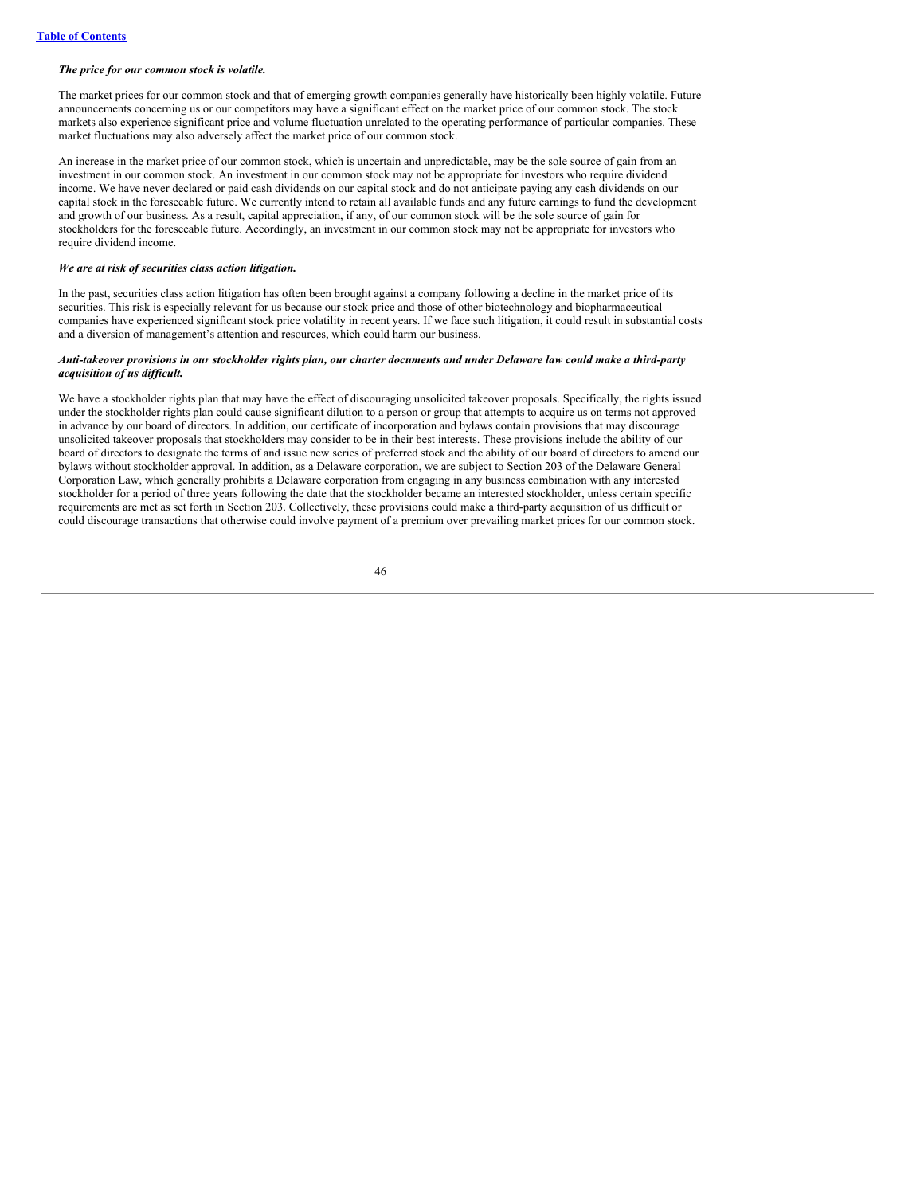#### *The price for our common stock is volatile.*

The market prices for our common stock and that of emerging growth companies generally have historically been highly volatile. Future announcements concerning us or our competitors may have a significant effect on the market price of our common stock. The stock markets also experience significant price and volume fluctuation unrelated to the operating performance of particular companies. These market fluctuations may also adversely affect the market price of our common stock.

An increase in the market price of our common stock, which is uncertain and unpredictable, may be the sole source of gain from an investment in our common stock. An investment in our common stock may not be appropriate for investors who require dividend income. We have never declared or paid cash dividends on our capital stock and do not anticipate paying any cash dividends on our capital stock in the foreseeable future. We currently intend to retain all available funds and any future earnings to fund the development and growth of our business. As a result, capital appreciation, if any, of our common stock will be the sole source of gain for stockholders for the foreseeable future. Accordingly, an investment in our common stock may not be appropriate for investors who require dividend income.

## *We are at risk of securities class action litigation.*

In the past, securities class action litigation has often been brought against a company following a decline in the market price of its securities. This risk is especially relevant for us because our stock price and those of other biotechnology and biopharmaceutical companies have experienced significant stock price volatility in recent years. If we face such litigation, it could result in substantial costs and a diversion of management's attention and resources, which could harm our business.

## Anti-takeover provisions in our stockholder rights plan, our charter documents and under Delaware law could make a third-party *acquisition of us dif icult.*

We have a stockholder rights plan that may have the effect of discouraging unsolicited takeover proposals. Specifically, the rights issued under the stockholder rights plan could cause significant dilution to a person or group that attempts to acquire us on terms not approved in advance by our board of directors. In addition, our certificate of incorporation and bylaws contain provisions that may discourage unsolicited takeover proposals that stockholders may consider to be in their best interests. These provisions include the ability of our board of directors to designate the terms of and issue new series of preferred stock and the ability of our board of directors to amend our bylaws without stockholder approval. In addition, as a Delaware corporation, we are subject to Section 203 of the Delaware General Corporation Law, which generally prohibits a Delaware corporation from engaging in any business combination with any interested stockholder for a period of three years following the date that the stockholder became an interested stockholder, unless certain specific requirements are met as set forth in Section 203. Collectively, these provisions could make a third-party acquisition of us difficult or could discourage transactions that otherwise could involve payment of a premium over prevailing market prices for our common stock.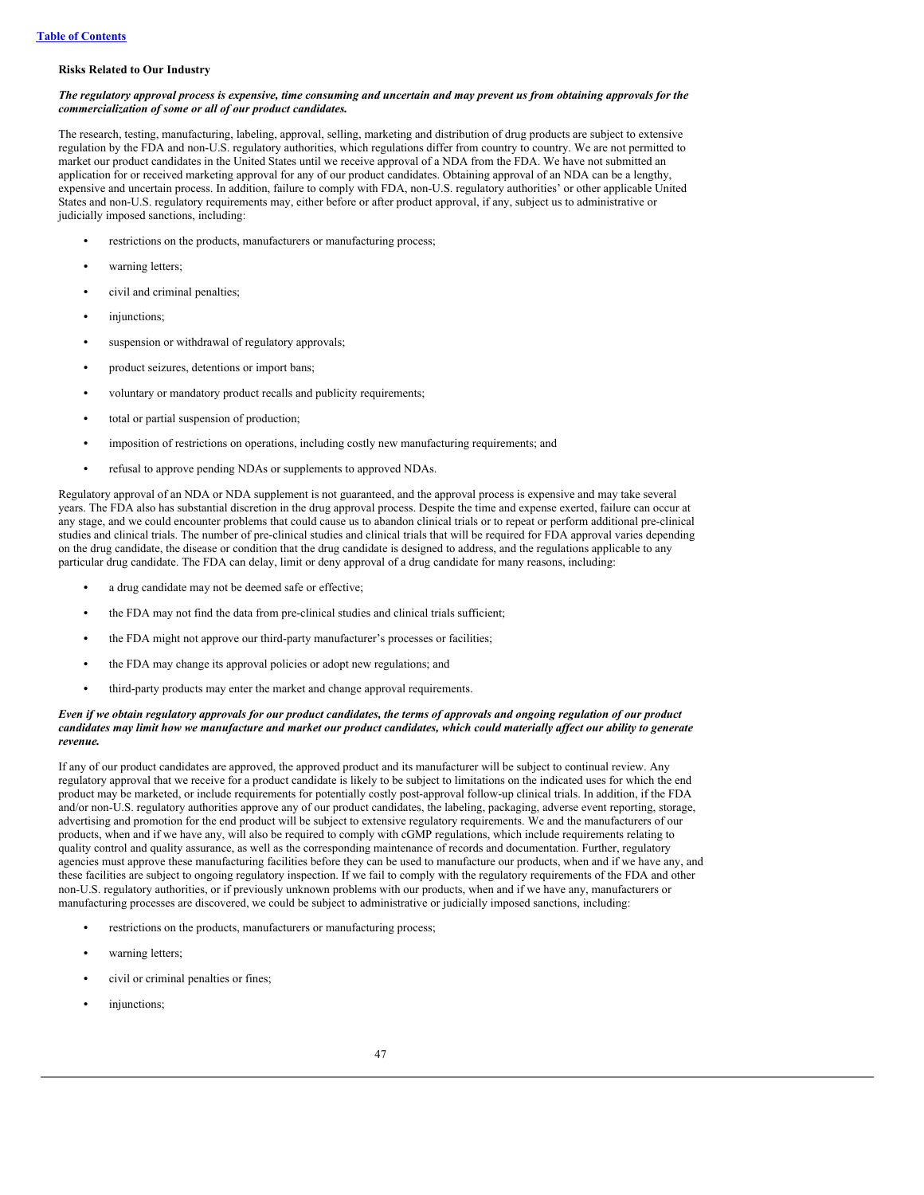## **Risks Related to Our Industry**

## The regulatory approval process is expensive, time consuming and uncertain and may prevent us from obtaining approvals for the *commercialization of some or all of our product candidates.*

The research, testing, manufacturing, labeling, approval, selling, marketing and distribution of drug products are subject to extensive regulation by the FDA and non-U.S. regulatory authorities, which regulations differ from country to country. We are not permitted to market our product candidates in the United States until we receive approval of a NDA from the FDA. We have not submitted an application for or received marketing approval for any of our product candidates. Obtaining approval of an NDA can be a lengthy, expensive and uncertain process. In addition, failure to comply with FDA, non-U.S. regulatory authorities' or other applicable United States and non-U.S. regulatory requirements may, either before or after product approval, if any, subject us to administrative or judicially imposed sanctions, including:

- **•** restrictions on the products, manufacturers or manufacturing process;
- **•** warning letters;
- **•** civil and criminal penalties;
- **•** injunctions;
- **•** suspension or withdrawal of regulatory approvals;
- **•** product seizures, detentions or import bans;
- **•** voluntary or mandatory product recalls and publicity requirements;
- **•** total or partial suspension of production;
- **•** imposition of restrictions on operations, including costly new manufacturing requirements; and
- **•** refusal to approve pending NDAs or supplements to approved NDAs.

Regulatory approval of an NDA or NDA supplement is not guaranteed, and the approval process is expensive and may take several years. The FDA also has substantial discretion in the drug approval process. Despite the time and expense exerted, failure can occur at any stage, and we could encounter problems that could cause us to abandon clinical trials or to repeat or perform additional pre-clinical studies and clinical trials. The number of pre-clinical studies and clinical trials that will be required for FDA approval varies depending on the drug candidate, the disease or condition that the drug candidate is designed to address, and the regulations applicable to any particular drug candidate. The FDA can delay, limit or deny approval of a drug candidate for many reasons, including:

- **•** a drug candidate may not be deemed safe or effective;
- **•** the FDA may not find the data from pre-clinical studies and clinical trials sufficient;
- **•** the FDA might not approve our third-party manufacturer's processes or facilities;
- **•** the FDA may change its approval policies or adopt new regulations; and
- **•** third-party products may enter the market and change approval requirements.

## Even if we obtain regulatory approvals for our product candidates, the terms of approvals and ongoing regulation of our product candidates may limit how we manufacture and market our product candidates, which could materially affect our ability to generate *revenue.*

If any of our product candidates are approved, the approved product and its manufacturer will be subject to continual review. Any regulatory approval that we receive for a product candidate is likely to be subject to limitations on the indicated uses for which the end product may be marketed, or include requirements for potentially costly post-approval follow-up clinical trials. In addition, if the FDA and/or non-U.S. regulatory authorities approve any of our product candidates, the labeling, packaging, adverse event reporting, storage, advertising and promotion for the end product will be subject to extensive regulatory requirements. We and the manufacturers of our products, when and if we have any, will also be required to comply with cGMP regulations, which include requirements relating to quality control and quality assurance, as well as the corresponding maintenance of records and documentation. Further, regulatory agencies must approve these manufacturing facilities before they can be used to manufacture our products, when and if we have any, and these facilities are subject to ongoing regulatory inspection. If we fail to comply with the regulatory requirements of the FDA and other non-U.S. regulatory authorities, or if previously unknown problems with our products, when and if we have any, manufacturers or manufacturing processes are discovered, we could be subject to administrative or judicially imposed sanctions, including:

- **•** restrictions on the products, manufacturers or manufacturing process;
- **•** warning letters;
- **•** civil or criminal penalties or fines;
- **•** injunctions;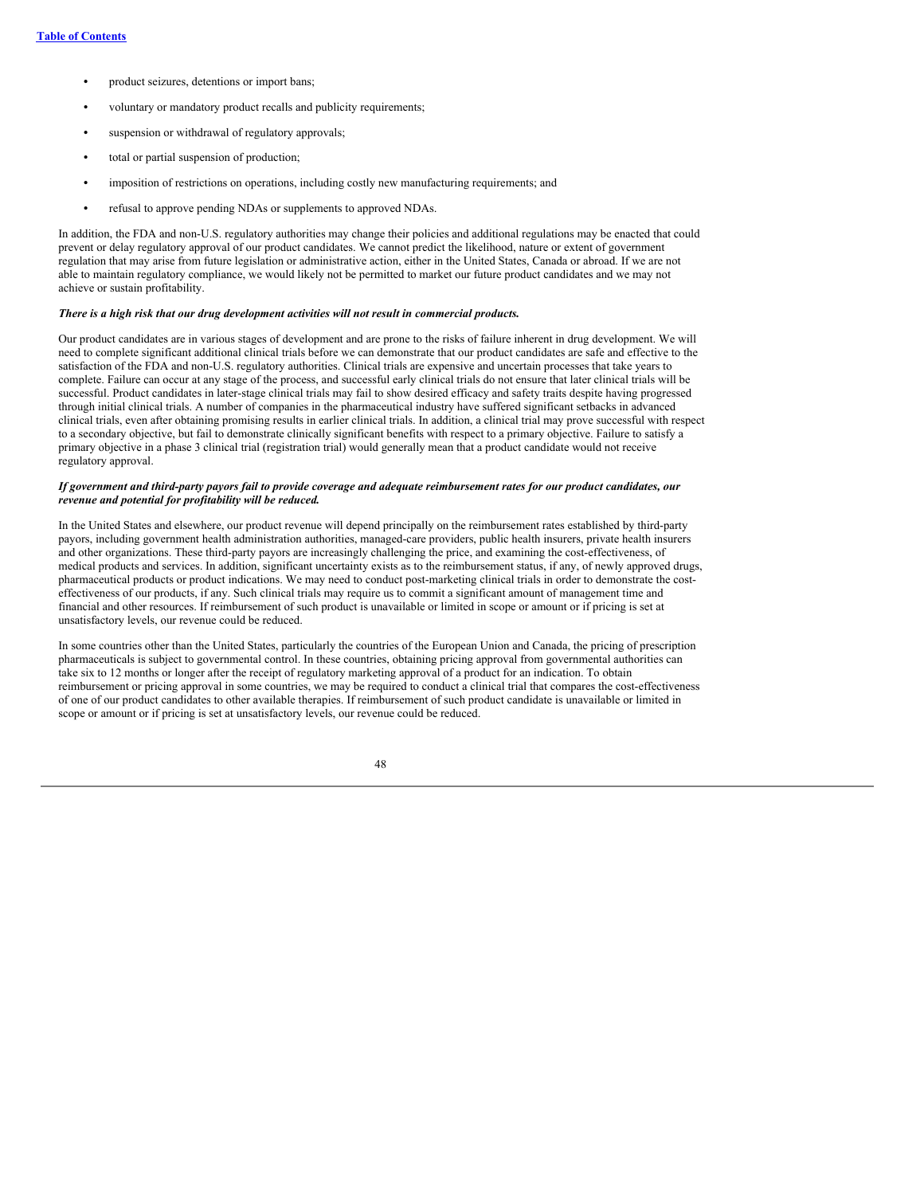- **•** product seizures, detentions or import bans;
- **•** voluntary or mandatory product recalls and publicity requirements;
- **•** suspension or withdrawal of regulatory approvals;
- **•** total or partial suspension of production;
- **•** imposition of restrictions on operations, including costly new manufacturing requirements; and
- **•** refusal to approve pending NDAs or supplements to approved NDAs.

In addition, the FDA and non-U.S. regulatory authorities may change their policies and additional regulations may be enacted that could prevent or delay regulatory approval of our product candidates. We cannot predict the likelihood, nature or extent of government regulation that may arise from future legislation or administrative action, either in the United States, Canada or abroad. If we are not able to maintain regulatory compliance, we would likely not be permitted to market our future product candidates and we may not achieve or sustain profitability.

## *There is a high risk that our drug development activities will not result in commercial products.*

Our product candidates are in various stages of development and are prone to the risks of failure inherent in drug development. We will need to complete significant additional clinical trials before we can demonstrate that our product candidates are safe and effective to the satisfaction of the FDA and non-U.S. regulatory authorities. Clinical trials are expensive and uncertain processes that take years to complete. Failure can occur at any stage of the process, and successful early clinical trials do not ensure that later clinical trials will be successful. Product candidates in later-stage clinical trials may fail to show desired efficacy and safety traits despite having progressed through initial clinical trials. A number of companies in the pharmaceutical industry have suffered significant setbacks in advanced clinical trials, even after obtaining promising results in earlier clinical trials. In addition, a clinical trial may prove successful with respect to a secondary objective, but fail to demonstrate clinically significant benefits with respect to a primary objective. Failure to satisfy a primary objective in a phase 3 clinical trial (registration trial) would generally mean that a product candidate would not receive regulatory approval.

## If government and third-party payors fail to provide coverage and adequate reimbursement rates for our product candidates, our *revenue and potential for profitability will be reduced.*

In the United States and elsewhere, our product revenue will depend principally on the reimbursement rates established by third-party payors, including government health administration authorities, managed-care providers, public health insurers, private health insurers and other organizations. These third-party payors are increasingly challenging the price, and examining the cost-effectiveness, of medical products and services. In addition, significant uncertainty exists as to the reimbursement status, if any, of newly approved drugs, pharmaceutical products or product indications. We may need to conduct post-marketing clinical trials in order to demonstrate the costeffectiveness of our products, if any. Such clinical trials may require us to commit a significant amount of management time and financial and other resources. If reimbursement of such product is unavailable or limited in scope or amount or if pricing is set at unsatisfactory levels, our revenue could be reduced.

In some countries other than the United States, particularly the countries of the European Union and Canada, the pricing of prescription pharmaceuticals is subject to governmental control. In these countries, obtaining pricing approval from governmental authorities can take six to 12 months or longer after the receipt of regulatory marketing approval of a product for an indication. To obtain reimbursement or pricing approval in some countries, we may be required to conduct a clinical trial that compares the cost-effectiveness of one of our product candidates to other available therapies. If reimbursement of such product candidate is unavailable or limited in scope or amount or if pricing is set at unsatisfactory levels, our revenue could be reduced.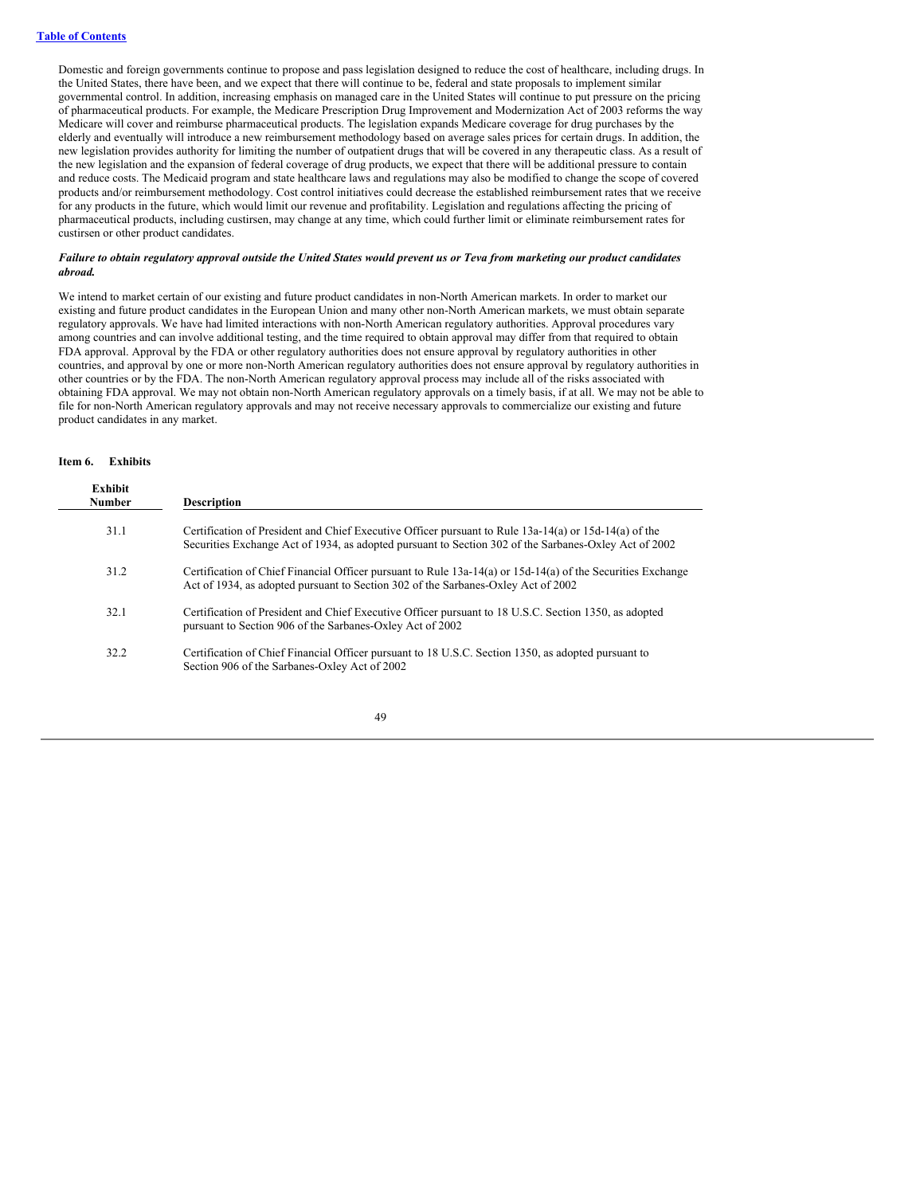Domestic and foreign governments continue to propose and pass legislation designed to reduce the cost of healthcare, including drugs. In the United States, there have been, and we expect that there will continue to be, federal and state proposals to implement similar governmental control. In addition, increasing emphasis on managed care in the United States will continue to put pressure on the pricing of pharmaceutical products. For example, the Medicare Prescription Drug Improvement and Modernization Act of 2003 reforms the way Medicare will cover and reimburse pharmaceutical products. The legislation expands Medicare coverage for drug purchases by the elderly and eventually will introduce a new reimbursement methodology based on average sales prices for certain drugs. In addition, the new legislation provides authority for limiting the number of outpatient drugs that will be covered in any therapeutic class. As a result of the new legislation and the expansion of federal coverage of drug products, we expect that there will be additional pressure to contain and reduce costs. The Medicaid program and state healthcare laws and regulations may also be modified to change the scope of covered products and/or reimbursement methodology. Cost control initiatives could decrease the established reimbursement rates that we receive for any products in the future, which would limit our revenue and profitability. Legislation and regulations affecting the pricing of pharmaceutical products, including custirsen, may change at any time, which could further limit or eliminate reimbursement rates for custirsen or other product candidates.

## Failure to obtain regulatory approval outside the United States would prevent us or Teva from marketing our product candidates *abroad.*

We intend to market certain of our existing and future product candidates in non-North American markets. In order to market our existing and future product candidates in the European Union and many other non-North American markets, we must obtain separate regulatory approvals. We have had limited interactions with non-North American regulatory authorities. Approval procedures vary among countries and can involve additional testing, and the time required to obtain approval may differ from that required to obtain FDA approval. Approval by the FDA or other regulatory authorities does not ensure approval by regulatory authorities in other countries, and approval by one or more non-North American regulatory authorities does not ensure approval by regulatory authorities in other countries or by the FDA. The non-North American regulatory approval process may include all of the risks associated with obtaining FDA approval. We may not obtain non-North American regulatory approvals on a timely basis, if at all. We may not be able to file for non-North American regulatory approvals and may not receive necessary approvals to commercialize our existing and future product candidates in any market.

## <span id="page-48-0"></span>**Item 6. Exhibits**

| Exhibit<br><b>Number</b> | <b>Description</b>                                                                                                                                                                                             |
|--------------------------|----------------------------------------------------------------------------------------------------------------------------------------------------------------------------------------------------------------|
| 31.1                     | Certification of President and Chief Executive Officer pursuant to Rule 13a-14(a) or 15d-14(a) of the<br>Securities Exchange Act of 1934, as adopted pursuant to Section 302 of the Sarbanes-Oxley Act of 2002 |
| 31.2                     | Certification of Chief Financial Officer pursuant to Rule $13a-14(a)$ or $15d-14(a)$ of the Securities Exchange<br>Act of 1934, as adopted pursuant to Section 302 of the Sarbanes-Oxley Act of 2002           |
| 32.1                     | Certification of President and Chief Executive Officer pursuant to 18 U.S.C. Section 1350, as adopted<br>pursuant to Section 906 of the Sarbanes-Oxley Act of 2002                                             |
| 32.2                     | Certification of Chief Financial Officer pursuant to 18 U.S.C. Section 1350, as adopted pursuant to<br>Section 906 of the Sarbanes-Oxley Act of 2002                                                           |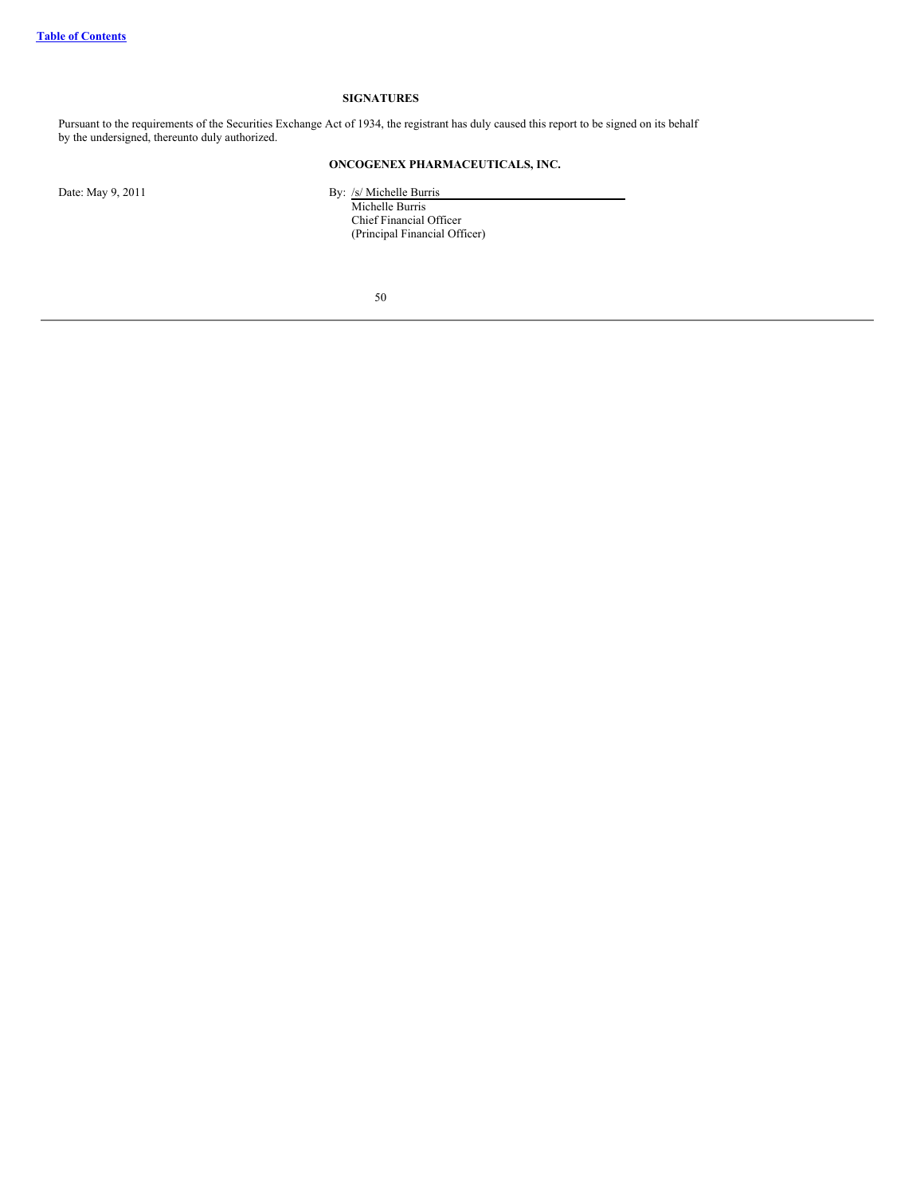## **SIGNATURES**

<span id="page-49-0"></span>Pursuant to the requirements of the Securities Exchange Act of 1934, the registrant has duly caused this report to be signed on its behalf by the undersigned, thereunto duly authorized.

# **ONCOGENEX PHARMACEUTICALS, INC.**

Date: May 9, 2011 By: /s/ Michelle Burris Michelle Burris Chief Financial Officer (Principal Financial Officer)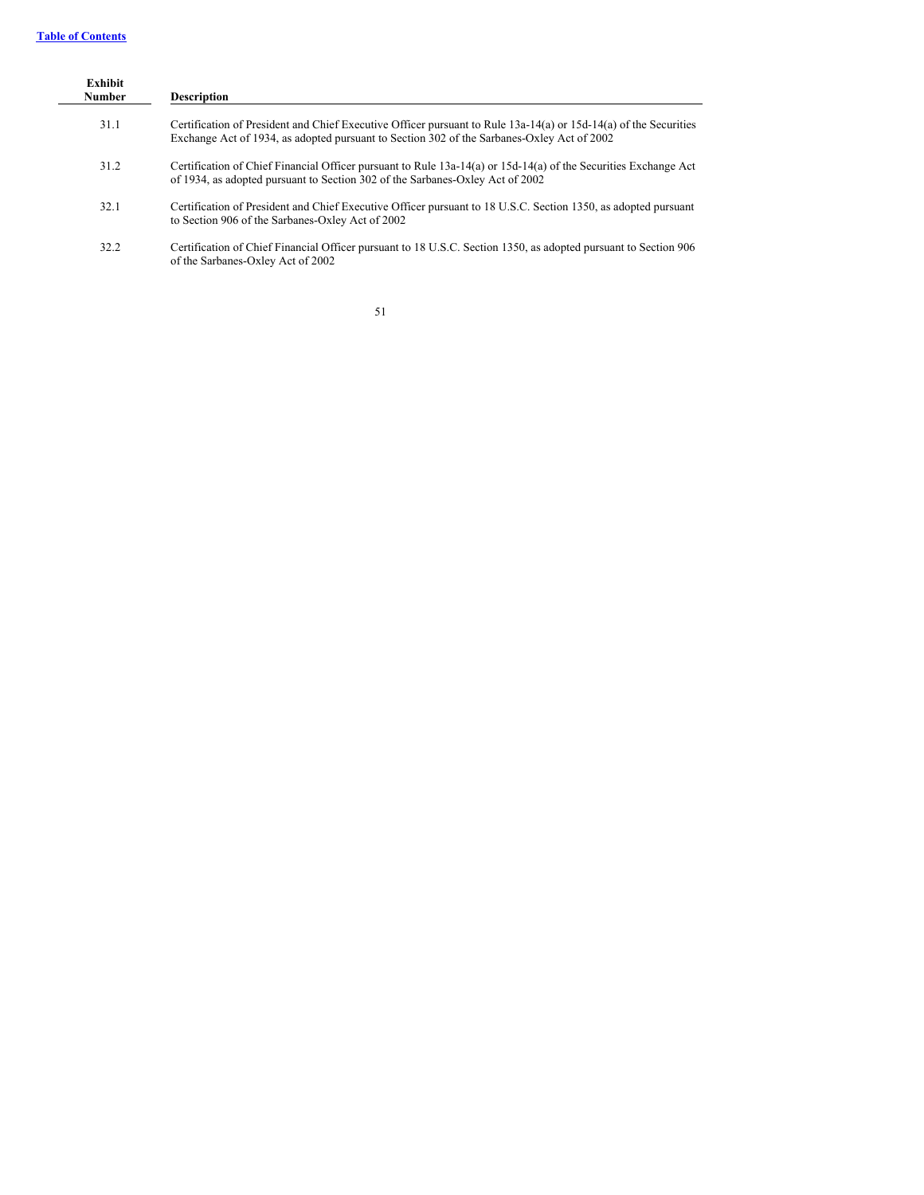| Exhibit<br><b>Number</b> | <b>Description</b>                                                                                                                                                                                             |
|--------------------------|----------------------------------------------------------------------------------------------------------------------------------------------------------------------------------------------------------------|
| 31.1                     | Certification of President and Chief Executive Officer pursuant to Rule 13a-14(a) or 15d-14(a) of the Securities<br>Exchange Act of 1934, as adopted pursuant to Section 302 of the Sarbanes-Oxley Act of 2002 |
| 31.2                     | Certification of Chief Financial Officer pursuant to Rule 13a-14(a) or 15d-14(a) of the Securities Exchange Act<br>of 1934, as adopted pursuant to Section 302 of the Sarbanes-Oxley Act of 2002               |
| 32.1                     | Certification of President and Chief Executive Officer pursuant to 18 U.S.C. Section 1350, as adopted pursuant<br>to Section 906 of the Sarbanes-Oxley Act of 2002                                             |
| 32.2                     | Certification of Chief Financial Officer pursuant to 18 U.S.C. Section 1350, as adopted pursuant to Section 906<br>of the Sarbanes-Oxley Act of 2002                                                           |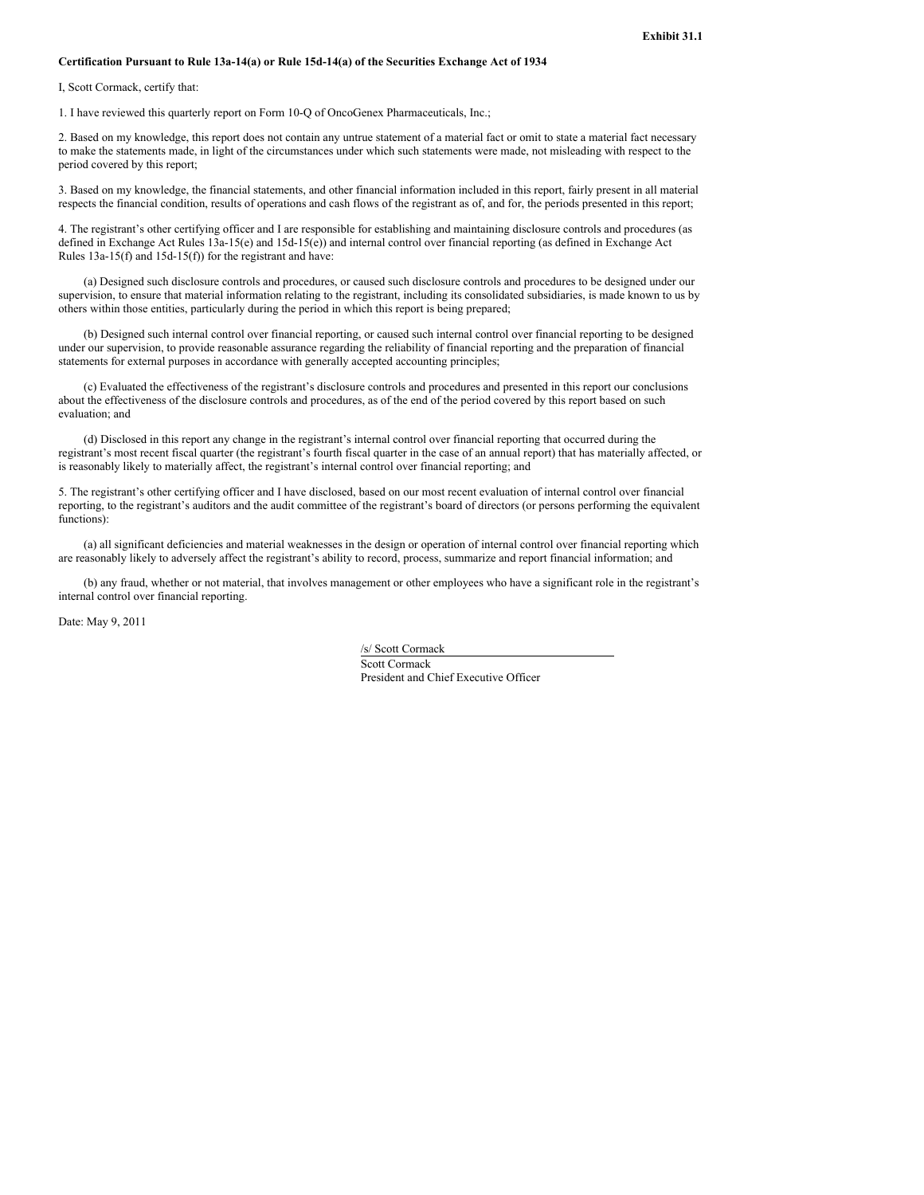#### <span id="page-51-0"></span>**Certification Pursuant to Rule 13a-14(a) or Rule 15d-14(a) of the Securities Exchange Act of 1934**

I, Scott Cormack, certify that:

1. I have reviewed this quarterly report on Form 10-Q of OncoGenex Pharmaceuticals, Inc.;

2. Based on my knowledge, this report does not contain any untrue statement of a material fact or omit to state a material fact necessary to make the statements made, in light of the circumstances under which such statements were made, not misleading with respect to the period covered by this report;

3. Based on my knowledge, the financial statements, and other financial information included in this report, fairly present in all material respects the financial condition, results of operations and cash flows of the registrant as of, and for, the periods presented in this report;

4. The registrant's other certifying officer and I are responsible for establishing and maintaining disclosure controls and procedures (as defined in Exchange Act Rules 13a-15(e) and 15d-15(e)) and internal control over financial reporting (as defined in Exchange Act Rules 13a-15(f) and 15d-15(f)) for the registrant and have:

(a) Designed such disclosure controls and procedures, or caused such disclosure controls and procedures to be designed under our supervision, to ensure that material information relating to the registrant, including its consolidated subsidiaries, is made known to us by others within those entities, particularly during the period in which this report is being prepared;

(b) Designed such internal control over financial reporting, or caused such internal control over financial reporting to be designed under our supervision, to provide reasonable assurance regarding the reliability of financial reporting and the preparation of financial statements for external purposes in accordance with generally accepted accounting principles;

(c) Evaluated the effectiveness of the registrant's disclosure controls and procedures and presented in this report our conclusions about the effectiveness of the disclosure controls and procedures, as of the end of the period covered by this report based on such evaluation; and

(d) Disclosed in this report any change in the registrant's internal control over financial reporting that occurred during the registrant's most recent fiscal quarter (the registrant's fourth fiscal quarter in the case of an annual report) that has materially affected, or is reasonably likely to materially affect, the registrant's internal control over financial reporting; and

5. The registrant's other certifying officer and I have disclosed, based on our most recent evaluation of internal control over financial reporting, to the registrant's auditors and the audit committee of the registrant's board of directors (or persons performing the equivalent functions):

(a) all significant deficiencies and material weaknesses in the design or operation of internal control over financial reporting which are reasonably likely to adversely affect the registrant's ability to record, process, summarize and report financial information; and

(b) any fraud, whether or not material, that involves management or other employees who have a significant role in the registrant's internal control over financial reporting.

Date: May 9, 2011

/s/ Scott Cormack Scott Cormack

President and Chief Executive Officer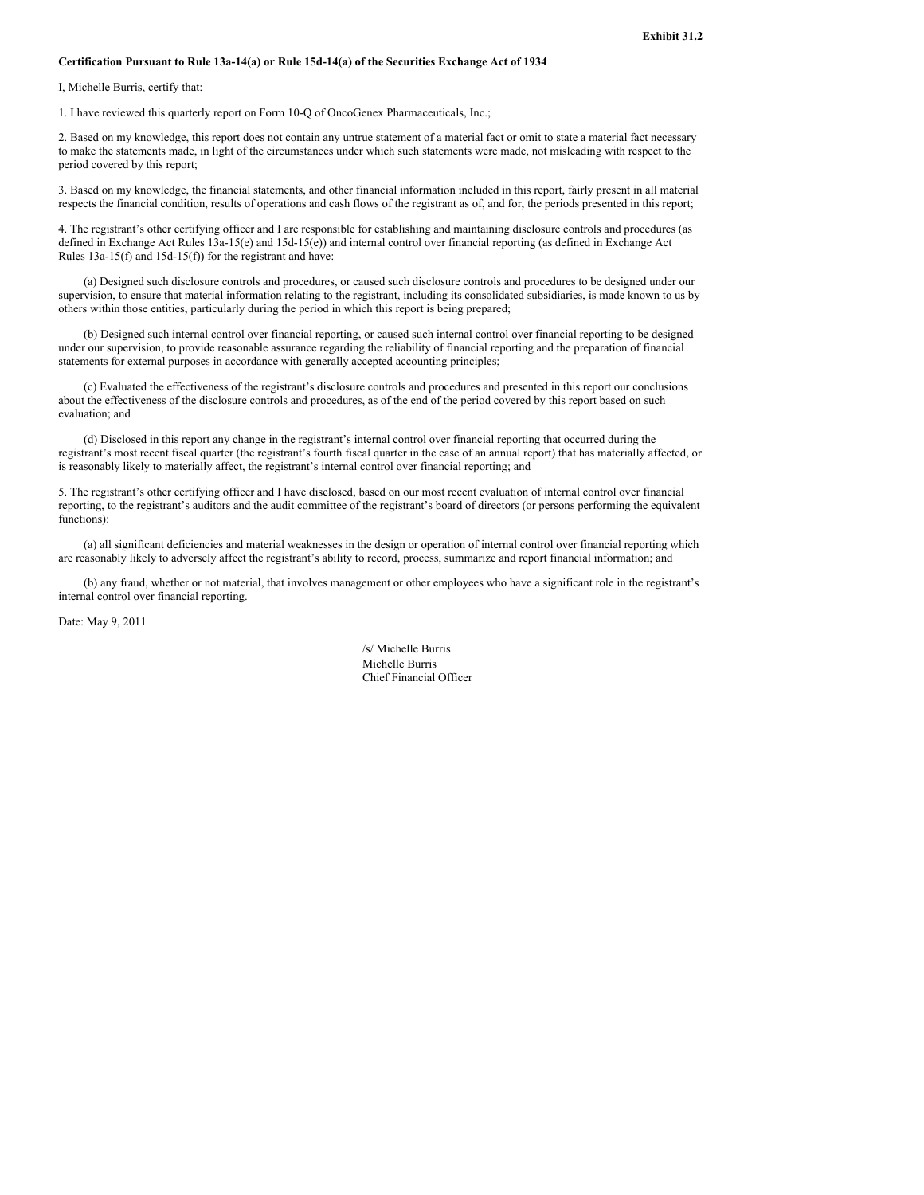#### <span id="page-52-0"></span>**Certification Pursuant to Rule 13a-14(a) or Rule 15d-14(a) of the Securities Exchange Act of 1934**

I, Michelle Burris, certify that:

1. I have reviewed this quarterly report on Form 10-Q of OncoGenex Pharmaceuticals, Inc.;

2. Based on my knowledge, this report does not contain any untrue statement of a material fact or omit to state a material fact necessary to make the statements made, in light of the circumstances under which such statements were made, not misleading with respect to the period covered by this report;

3. Based on my knowledge, the financial statements, and other financial information included in this report, fairly present in all material respects the financial condition, results of operations and cash flows of the registrant as of, and for, the periods presented in this report;

4. The registrant's other certifying officer and I are responsible for establishing and maintaining disclosure controls and procedures (as defined in Exchange Act Rules 13a-15(e) and 15d-15(e)) and internal control over financial reporting (as defined in Exchange Act Rules 13a-15(f) and 15d-15(f)) for the registrant and have:

(a) Designed such disclosure controls and procedures, or caused such disclosure controls and procedures to be designed under our supervision, to ensure that material information relating to the registrant, including its consolidated subsidiaries, is made known to us by others within those entities, particularly during the period in which this report is being prepared;

(b) Designed such internal control over financial reporting, or caused such internal control over financial reporting to be designed under our supervision, to provide reasonable assurance regarding the reliability of financial reporting and the preparation of financial statements for external purposes in accordance with generally accepted accounting principles;

(c) Evaluated the effectiveness of the registrant's disclosure controls and procedures and presented in this report our conclusions about the effectiveness of the disclosure controls and procedures, as of the end of the period covered by this report based on such evaluation; and

(d) Disclosed in this report any change in the registrant's internal control over financial reporting that occurred during the registrant's most recent fiscal quarter (the registrant's fourth fiscal quarter in the case of an annual report) that has materially affected, or is reasonably likely to materially affect, the registrant's internal control over financial reporting; and

5. The registrant's other certifying officer and I have disclosed, based on our most recent evaluation of internal control over financial reporting, to the registrant's auditors and the audit committee of the registrant's board of directors (or persons performing the equivalent functions):

(a) all significant deficiencies and material weaknesses in the design or operation of internal control over financial reporting which are reasonably likely to adversely affect the registrant's ability to record, process, summarize and report financial information; and

(b) any fraud, whether or not material, that involves management or other employees who have a significant role in the registrant's internal control over financial reporting.

Date: May 9, 2011

/s/ Michelle Burris Michelle Burris Chief Financial Officer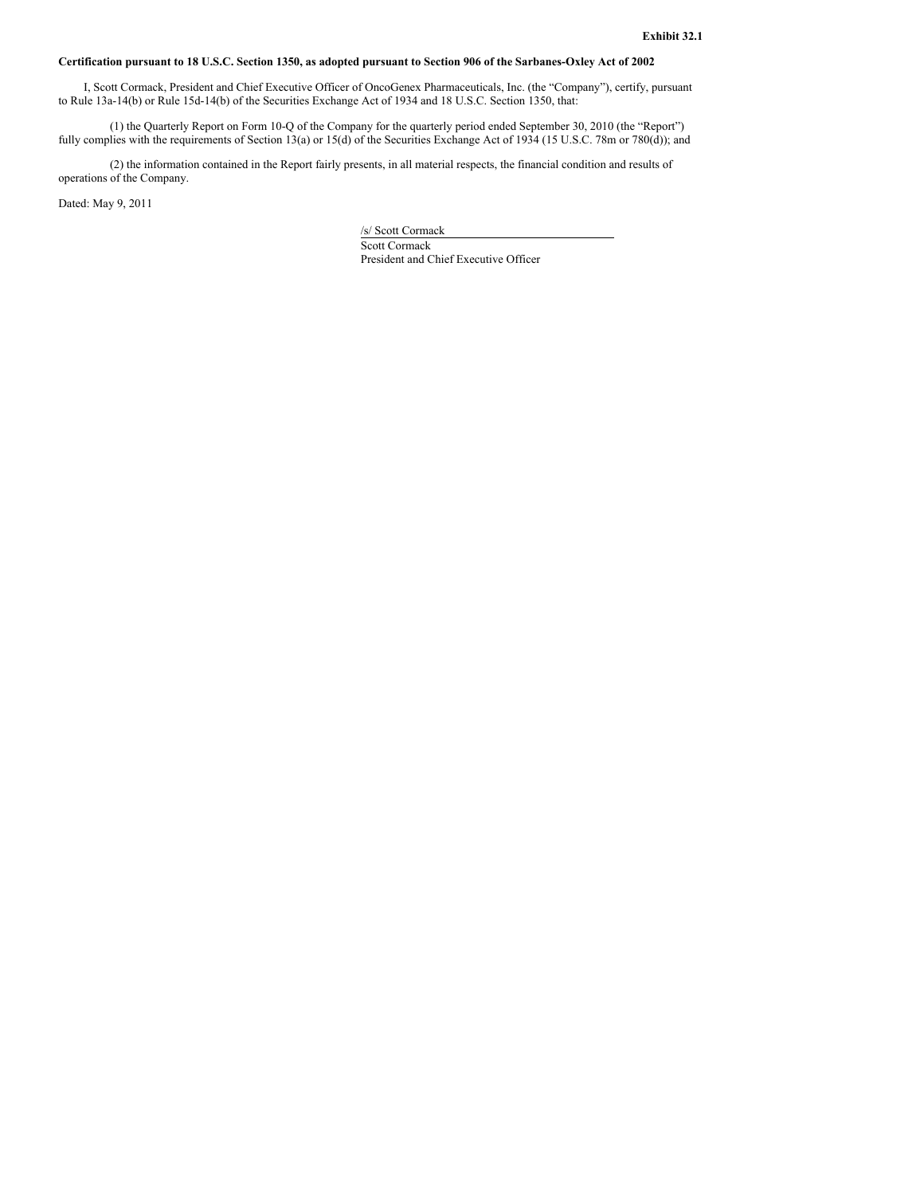## <span id="page-53-0"></span>Certification pursuant to 18 U.S.C. Section 1350, as adopted pursuant to Section 906 of the Sarbanes-Oxley Act of 2002

I, Scott Cormack, President and Chief Executive Officer of OncoGenex Pharmaceuticals, Inc. (the "Company"), certify, pursuant to Rule 13a-14(b) or Rule 15d-14(b) of the Securities Exchange Act of 1934 and 18 U.S.C. Section 1350, that:

(1) the Quarterly Report on Form 10-Q of the Company for the quarterly period ended September 30, 2010 (the "Report") fully complies with the requirements of Section 13(a) or 15(d) of the Securities Exchange Act of 1934 (15 U.S.C. 78m or 780(d)); and

(2) the information contained in the Report fairly presents, in all material respects, the financial condition and results of operations of the Company.

Dated: May 9, 2011

/s/ Scott Cormack

Scott Cormack President and Chief Executive Officer